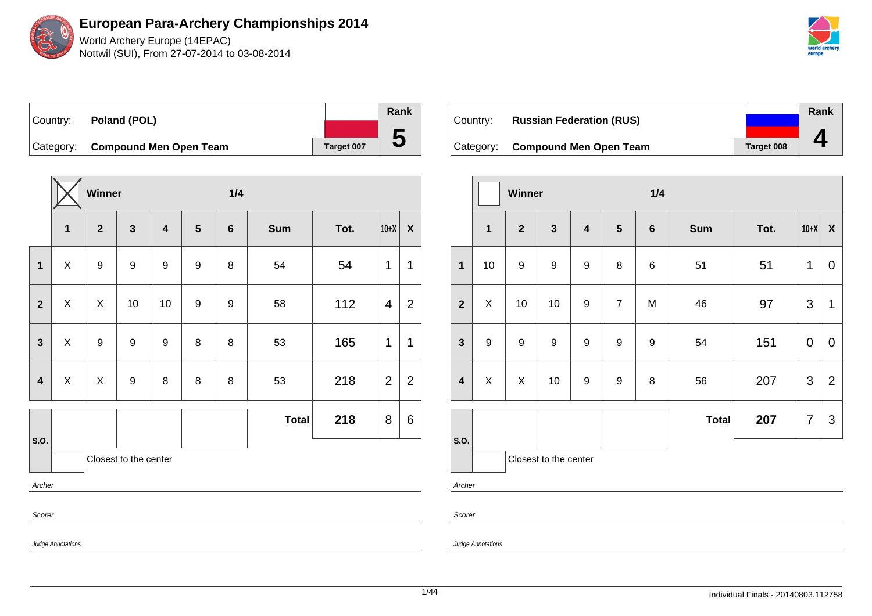World Archery Europe (14EPAC) Nottwil (SUI), From 27-07-2014 to 03-08-2014



Country: **Poland (POL)** Category: **Compound Men Open Team Target 007 Rank 5**

|                |                   | Winner           |                       |                         |                  |                |              | 1/4  |                |                  |  |  |  |
|----------------|-------------------|------------------|-----------------------|-------------------------|------------------|----------------|--------------|------|----------------|------------------|--|--|--|
|                | $\mathbf{1}$      | $\overline{2}$   | $\mathbf{3}$          | $\overline{\mathbf{4}}$ | $5\phantom{1}$   | $6\phantom{1}$ | <b>Sum</b>   | Tot. | $10+X$         | $\boldsymbol{X}$ |  |  |  |
| $\mathbf 1$    | X                 | $\boldsymbol{9}$ | $\boldsymbol{9}$      | $\boldsymbol{9}$        | 9                | 8              | 54           | 54   | $\mathbf 1$    | 1                |  |  |  |
| $\overline{2}$ | $\mathsf X$       | X                | $10$                  | 10                      | $\boldsymbol{9}$ | 9              | 58           | 112  | 4              | $\overline{2}$   |  |  |  |
| $\mathbf{3}$   | X                 | $\boldsymbol{9}$ | $\boldsymbol{9}$      | $\boldsymbol{9}$        | 8                | 8              | 53           | 165  | 1              | 1                |  |  |  |
| 4              | X                 | X                | $\boldsymbol{9}$      | 8                       | 8                | 8              | 53           | 218  | $\overline{2}$ | $\overline{2}$   |  |  |  |
|                |                   |                  |                       |                         |                  |                | <b>Total</b> | 218  | 8              | 6                |  |  |  |
| S.O.           |                   |                  | Closest to the center |                         |                  |                |              |      |                |                  |  |  |  |
| Archer         |                   |                  |                       |                         |                  |                |              |      |                |                  |  |  |  |
| Scorer         |                   |                  |                       |                         |                  |                |              |      |                |                  |  |  |  |
|                | Judge Annotations |                  |                       |                         |                  |                |              |      |                |                  |  |  |  |

| ∣Country: | <b>Russian Federation (RUS)</b>  |            | Rank |
|-----------|----------------------------------|------------|------|
|           |                                  |            |      |
|           | Category: Compound Men Open Team | Target 008 |      |

|                         |                  | Winner           |                       |                         |                | 1/4              |              |      |                |                |  |
|-------------------------|------------------|------------------|-----------------------|-------------------------|----------------|------------------|--------------|------|----------------|----------------|--|
|                         | $\overline{1}$   | $\overline{2}$   | $\mathbf{3}$          | $\overline{\mathbf{4}}$ | $\sqrt{5}$     | $\bf 6$          | <b>Sum</b>   | Tot. | $10+X$         | $\pmb{\chi}$   |  |
| $\mathbf{1}$            | 10               | $\boldsymbol{9}$ | $\boldsymbol{9}$      | 9                       | 8              | 6                | 51           | 51   | 1              | $\mathbf 0$    |  |
| $\overline{\mathbf{2}}$ | X                | 10               | 10                    | 9                       | $\overline{7}$ | M                | 46           | 97   | 3              | 1              |  |
| $\mathbf{3}$            | $\boldsymbol{9}$ | $\boldsymbol{9}$ | $\boldsymbol{9}$      | $\boldsymbol{9}$        | 9              | $\boldsymbol{9}$ | 54           | 151  | $\mathbf 0$    | $\mathbf 0$    |  |
| $\overline{\mathbf{4}}$ | X                | X                | 10                    | 9                       | 9              | 8                | 56           | 207  | 3              | $\overline{2}$ |  |
|                         |                  |                  |                       |                         |                |                  | <b>Total</b> | 207  | $\overline{7}$ | 3              |  |
| S.O.                    |                  |                  | Closest to the center |                         |                |                  |              |      |                |                |  |

Archer

Scorer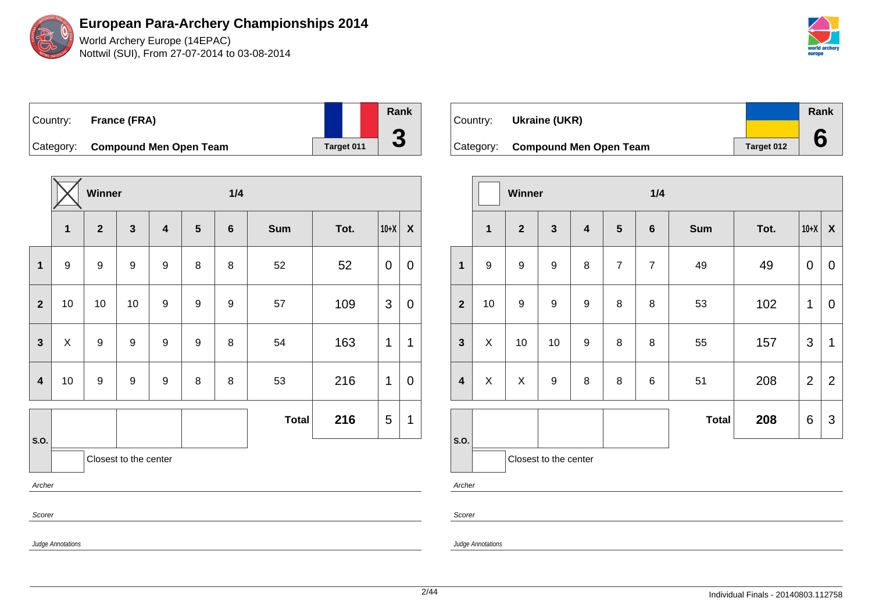World Archery Europe (14EPAC) Nottwil (SUI), From 27-07-2014 to 03-08-2014



| Country: | France (FRA)                     |            | Rank |
|----------|----------------------------------|------------|------|
|          |                                  |            |      |
|          | Category: Compound Men Open Team | Target 011 |      |

|                         | Winner                |                |              |                         |                | 1/4            |              |      |        |                           |  |
|-------------------------|-----------------------|----------------|--------------|-------------------------|----------------|----------------|--------------|------|--------|---------------------------|--|
|                         | $\mathbf{1}$          | $\overline{2}$ | $\mathbf{3}$ | $\overline{\mathbf{4}}$ | $5\phantom{1}$ | $6\phantom{1}$ | <b>Sum</b>   | Tot. | $10+X$ | $\boldsymbol{\mathsf{X}}$ |  |
| $\mathbf 1$             | 9                     | 9              | 9            | 9                       | 8              | 8              | 52           | 52   | 0      | $\mathbf 0$               |  |
| $\overline{2}$          | 10                    | 10             | 10           | 9                       | 9              | 9              | 57           | 109  | 3      | $\mathbf 0$               |  |
| $\overline{\mathbf{3}}$ | X                     | 9              | 9            | 9                       | 9              | 8              | 54           | 163  | 1      | 1                         |  |
| $\overline{\mathbf{4}}$ | 10                    | 9              | 9            | $\boldsymbol{9}$        | 8              | 8              | 53           | 216  | 1      | $\mathbf 0$               |  |
|                         |                       |                |              |                         |                |                | <b>Total</b> | 216  | 5      | 1                         |  |
| S.O.                    | Closest to the center |                |              |                         |                |                |              |      |        |                           |  |
| Archer                  |                       |                |              |                         |                |                |              |      |        |                           |  |
| Scorer                  |                       |                |              |                         |                |                |              |      |        |                           |  |

| Country:  | Ukraine (UKR)                 |            | Rank |
|-----------|-------------------------------|------------|------|
| Category: | <b>Compound Men Open Team</b> | Target 012 |      |

|                         | Winner                |                  |                         |                         |                 |                | 1/4          |      |                |                           |  |  |
|-------------------------|-----------------------|------------------|-------------------------|-------------------------|-----------------|----------------|--------------|------|----------------|---------------------------|--|--|
|                         | $\mathbf{1}$          | $\overline{2}$   | $\overline{\mathbf{3}}$ | $\overline{\mathbf{4}}$ | $5\phantom{.0}$ | $6\phantom{1}$ | <b>Sum</b>   | Tot. | $10+X$         | $\pmb{\mathsf{X}}$        |  |  |
| $\mathbf{1}$            | $\boldsymbol{9}$      | 9                | 9                       | 8                       | $\overline{7}$  | $\overline{7}$ | 49           | 49   | 0              | $\boldsymbol{0}$          |  |  |
| $\overline{2}$          | 10                    | $\boldsymbol{9}$ | 9                       | $\boldsymbol{9}$        | 8               | 8              | 53           | 102  | $\mathbf 1$    | $\pmb{0}$                 |  |  |
| $\mathbf{3}$            | X                     | 10               | 10                      | 9                       | 8               | 8              | 55           | 157  | 3              | 1                         |  |  |
| $\overline{\mathbf{4}}$ | X                     | X                | 9                       | 8                       | 8               | 6              | 51           | 208  | $\overline{2}$ | $\overline{2}$            |  |  |
|                         |                       |                  |                         |                         |                 |                | <b>Total</b> | 208  | 6              | $\ensuremath{\mathsf{3}}$ |  |  |
| S.O.                    | Closest to the center |                  |                         |                         |                 |                |              |      |                |                           |  |  |
| Archer                  |                       |                  |                         |                         |                 |                |              |      |                |                           |  |  |

Scorer

Judge Annotations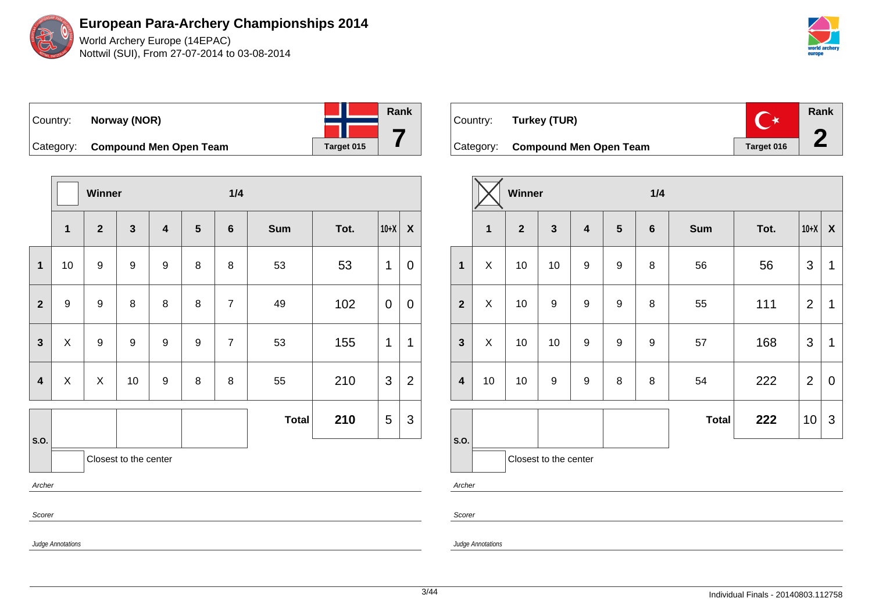World Archery Europe (14EPAC) Nottwil (SUI), From 27-07-2014 to 03-08-2014



| ∣Country: | Norway (NOR)                     |            | Rank |
|-----------|----------------------------------|------------|------|
|           |                                  |            |      |
|           | Category: Compound Men Open Team | Target 015 |      |

|                         | Winner           |                  |                       |                         |                 | 1/4            |              |      |                |                  |  |
|-------------------------|------------------|------------------|-----------------------|-------------------------|-----------------|----------------|--------------|------|----------------|------------------|--|
|                         | $\mathbf{1}$     | $\overline{2}$   | $\mathbf{3}$          | $\overline{\mathbf{4}}$ | $5\phantom{.0}$ | $6\phantom{1}$ | <b>Sum</b>   | Tot. | $10+X$         | $\boldsymbol{X}$ |  |
| $\mathbf{1}$            | 10               | $\boldsymbol{9}$ | 9                     | $\boldsymbol{9}$        | 8               | 8              | 53           | 53   | 1              | 0                |  |
| $\overline{2}$          | $\boldsymbol{9}$ | $\boldsymbol{9}$ | 8                     | 8                       | 8               | $\overline{7}$ | 49           | 102  | $\overline{0}$ | 0                |  |
| $\mathbf{3}$            | X                | $\boldsymbol{9}$ | $\boldsymbol{9}$      | 9                       | 9               | $\overline{7}$ | 53           | 155  | 1              | $\mathbf{1}$     |  |
| $\overline{\mathbf{4}}$ | X                | X                | 10                    | 9                       | 8               | 8              | 55           | 210  | 3              | $\overline{2}$   |  |
|                         |                  |                  |                       |                         |                 |                | <b>Total</b> | 210  | 5              | 3                |  |
| S.O.                    |                  |                  | Closest to the center |                         |                 |                |              |      |                |                  |  |
| Archer                  |                  |                  |                       |                         |                 |                |              |      |                |                  |  |
| Scorer                  |                  |                  |                       |                         |                 |                |              |      |                |                  |  |

| Country: | Turkey (TUR)                     | ╶╶★        | Rank |
|----------|----------------------------------|------------|------|
|          | Category: Compound Men Open Team | Target 016 |      |

|                         | Winner       |              |                       |                         |                  |                  | 1/4          |      |                |                    |  |
|-------------------------|--------------|--------------|-----------------------|-------------------------|------------------|------------------|--------------|------|----------------|--------------------|--|
|                         | $\mathbf{1}$ | $\mathbf{2}$ | $\mathbf{3}$          | $\overline{\mathbf{4}}$ | $5\phantom{.0}$  | $\bf 6$          | <b>Sum</b>   | Tot. | $10+X$         | $\pmb{\mathsf{X}}$ |  |
| $\mathbf{1}$            | X            | 10           | 10                    | 9                       | $\boldsymbol{9}$ | 8                | 56           | 56   | 3              | 1                  |  |
| $\overline{2}$          | X            | 10           | $\boldsymbol{9}$      | 9                       | $\boldsymbol{9}$ | 8                | 55           | 111  | $\overline{2}$ | $\mathbf 1$        |  |
| $\mathbf{3}$            | X            | 10           | 10                    | $\boldsymbol{9}$        | $\boldsymbol{9}$ | $\boldsymbol{9}$ | 57           | 168  | $\mathfrak{S}$ | 1                  |  |
| $\overline{\mathbf{4}}$ | 10           | 10           | $\boldsymbol{9}$      | 9                       | 8                | 8                | 54           | 222  | $\overline{2}$ | $\pmb{0}$          |  |
| S.O.                    |              |              |                       |                         |                  |                  | <b>Total</b> | 222  | 10             | 3                  |  |
|                         |              |              | Closest to the center |                         |                  |                  |              |      |                |                    |  |

Archer

Scorer

Judge Annotations

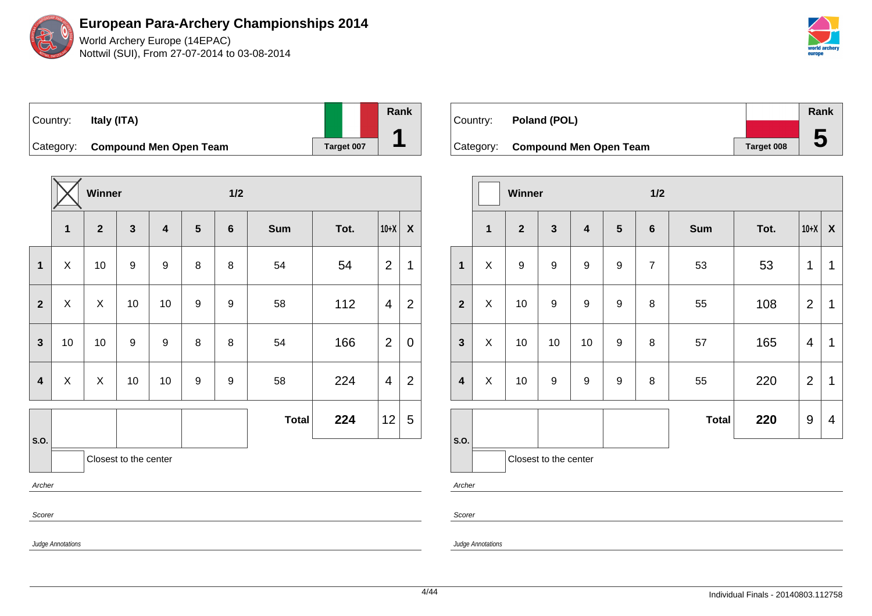World Archery Europe (14EPAC) Nottwil (SUI), From 27-07-2014 to 03-08-2014



| Country:  | Italy (ITA)                   |            | Rank |
|-----------|-------------------------------|------------|------|
| Category: | <b>Compound Men Open Team</b> | Target 007 |      |

|                |                          | Winner         |                       |                         |                  |                  | 1/2          |      |                |                           |  |  |
|----------------|--------------------------|----------------|-----------------------|-------------------------|------------------|------------------|--------------|------|----------------|---------------------------|--|--|
|                | $\mathbf 1$              | $\overline{2}$ | $\mathbf{3}$          | $\overline{\mathbf{4}}$ | $5\phantom{1}$   | $6\phantom{a}$   | Sum          | Tot. | $10+X$         | $\boldsymbol{\mathsf{X}}$ |  |  |
| $\mathbf{1}$   | X                        | 10             | $\boldsymbol{9}$      | $\boldsymbol{9}$        | 8                | 8                | 54           | 54   | $\overline{2}$ | 1                         |  |  |
| $\overline{2}$ | X                        | X              | 10                    | 10                      | $\boldsymbol{9}$ | 9                | 58           | 112  | 4              | $\overline{2}$            |  |  |
| $\overline{3}$ | 10                       | 10             | 9                     | 9                       | 8                | 8                | 54           | 166  | $\overline{2}$ | 0                         |  |  |
| 4              | $\mathsf{X}$             | X              | 10                    | 10                      | $\boldsymbol{9}$ | $\boldsymbol{9}$ | 58           | 224  | 4              | $\overline{2}$            |  |  |
|                |                          |                |                       |                         |                  |                  | <b>Total</b> | 224  | 12             | 5                         |  |  |
| S.O.           |                          |                | Closest to the center |                         |                  |                  |              |      |                |                           |  |  |
| Archer         |                          |                |                       |                         |                  |                  |              |      |                |                           |  |  |
| Scorer         |                          |                |                       |                         |                  |                  |              |      |                |                           |  |  |
|                | <b>Judge Annotations</b> |                |                       |                         |                  |                  |              |      |                |                           |  |  |

| Country: | Poland (POL)                     |            | Rank         |
|----------|----------------------------------|------------|--------------|
|          |                                  |            |              |
|          | Category: Compound Men Open Team | Target 008 | $\mathbf{5}$ |

|                         |              | <b>Winner</b>    |                       |                         |                 | 1/2            |              |      |                |                          |
|-------------------------|--------------|------------------|-----------------------|-------------------------|-----------------|----------------|--------------|------|----------------|--------------------------|
|                         | $\mathbf{1}$ | $\overline{2}$   | $\mathbf{3}$          | $\overline{\mathbf{4}}$ | $5\phantom{.0}$ | $\bf 6$        | <b>Sum</b>   | Tot. | $10+X$         | X                        |
| $\mathbf{1}$            | X            | $\boldsymbol{9}$ | $\boldsymbol{9}$      | 9                       | 9               | $\overline{7}$ | 53           | 53   | 1              | $\mathbf 1$              |
| $\overline{\mathbf{2}}$ | X            | 10               | $\boldsymbol{9}$      | 9                       | 9               | 8              | 55           | 108  | $\overline{2}$ | 1                        |
| $\mathbf{3}$            | X            | 10               | 10                    | 10                      | 9               | 8              | 57           | 165  | $\overline{4}$ | 1                        |
| $\overline{\mathbf{4}}$ | X            | 10               | $\boldsymbol{9}$      | $\boldsymbol{9}$        | 9               | 8              | 55           | 220  | $\overline{2}$ | 1                        |
|                         |              |                  |                       |                         |                 |                | <b>Total</b> | 220  | $9\,$          | $\overline{\mathcal{A}}$ |
| S.O.                    |              |                  | Closest to the center |                         |                 |                |              |      |                |                          |
|                         |              |                  |                       |                         |                 |                |              |      |                |                          |

Archer

Scorer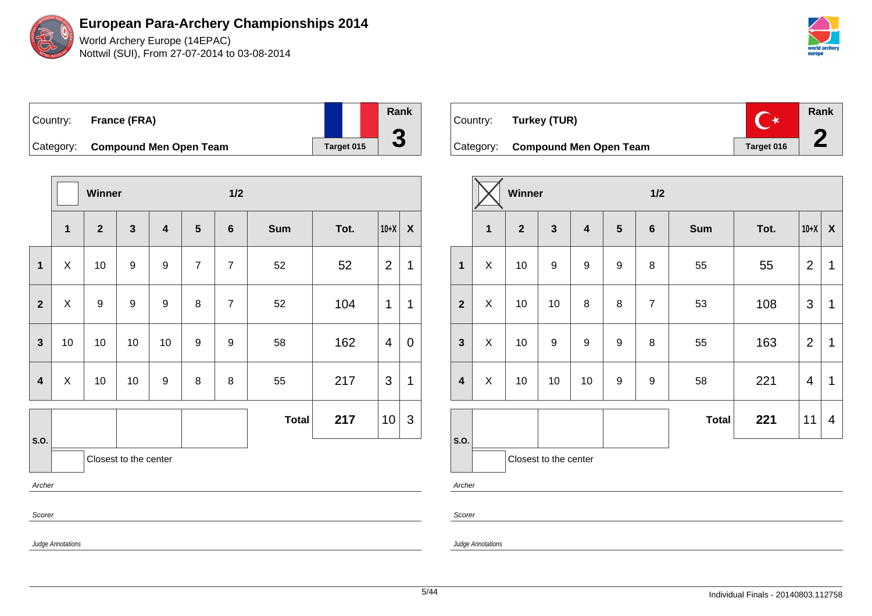World Archery Europe (14EPAC) Nottwil (SUI), From 27-07-2014 to 03-08-2014



| Country: | France (FRA)                     |                   | Rank                     |
|----------|----------------------------------|-------------------|--------------------------|
|          |                                  |                   | $\overline{\phantom{a}}$ |
|          | Category: Compound Men Open Team | <b>Target 015</b> |                          |

|                         | Winner                    |                  |                       |                         |                  | $1/2$          |              |      |                 |                  |  |  |
|-------------------------|---------------------------|------------------|-----------------------|-------------------------|------------------|----------------|--------------|------|-----------------|------------------|--|--|
|                         | $\mathbf{1}$              | $\mathbf{2}$     | $\mathbf{3}$          | $\overline{\mathbf{4}}$ | $5\phantom{1}$   | $\bf 6$        | <b>Sum</b>   | Tot. | $10+X$          | $\boldsymbol{X}$ |  |  |
| $\mathbf 1$             | X                         | 10               | 9                     | 9                       | $\boldsymbol{7}$ | $\overline{7}$ | 52           | 52   | $\overline{2}$  | 1                |  |  |
| $\overline{2}$          | $\boldsymbol{\mathsf{X}}$ | $\boldsymbol{9}$ | $\boldsymbol{9}$      | 9                       | 8                | $\overline{7}$ | 52           | 104  | 1               | 1                |  |  |
| $\overline{\mathbf{3}}$ | 10                        | 10               | 10                    | 10                      | 9                | 9              | 58           | 162  | 4               | 0                |  |  |
| 4                       | $\pmb{\times}$            | 10               | 10                    | 9                       | 8                | $\, 8$         | 55           | 217  | 3               | 1                |  |  |
|                         |                           |                  |                       |                         |                  |                | <b>Total</b> | 217  | 10 <sub>1</sub> | 3                |  |  |
| S.O.                    |                           |                  | Closest to the center |                         |                  |                |              |      |                 |                  |  |  |
| Archer                  |                           |                  |                       |                         |                  |                |              |      |                 |                  |  |  |
| Scorer                  |                           |                  |                       |                         |                  |                |              |      |                 |                  |  |  |
|                         |                           |                  |                       | Judge Annotations       |                  |                |              |      |                 |                  |  |  |

| Country: Turkey (TUR)            |            | <b>Rank</b> |
|----------------------------------|------------|-------------|
| Category: Compound Men Open Team | Target 016 |             |

|                         |              | Winner         |                       |                         |                  | 1/2            |              |      |                |                  |  |
|-------------------------|--------------|----------------|-----------------------|-------------------------|------------------|----------------|--------------|------|----------------|------------------|--|
|                         | $\mathbf{1}$ | $\overline{2}$ | $\mathbf{3}$          | $\overline{\mathbf{4}}$ | $5\phantom{.0}$  | $6\phantom{1}$ | <b>Sum</b>   | Tot. | $10+X$         | $\boldsymbol{X}$ |  |
| $\mathbf{1}$            | X            | 10             | $\boldsymbol{9}$      | $\boldsymbol{9}$        | $\boldsymbol{9}$ | 8              | 55           | 55   | $\overline{2}$ | $\mathbf 1$      |  |
| $\overline{2}$          | X            | 10             | 10                    | 8                       | 8                | $\overline{7}$ | 53           | 108  | $\mathfrak{S}$ | 1                |  |
| $\mathbf{3}$            | X            | 10             | 9                     | 9                       | 9                | 8              | 55           | 163  | $\overline{2}$ | 1                |  |
| $\overline{\mathbf{4}}$ | X            | 10             | 10                    | 10                      | 9                | 9              | 58           | 221  | 4              | 1                |  |
|                         |              |                |                       |                         |                  |                | <b>Total</b> | 221  | 11             | 4                |  |
| S.O.                    |              |                | Closest to the center |                         |                  |                |              |      |                |                  |  |

Archer

Scorer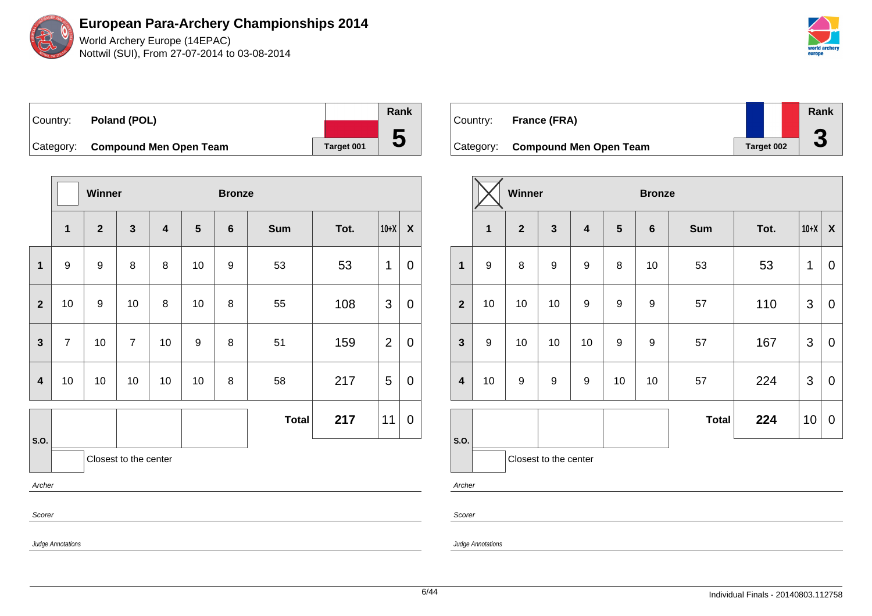World Archery Europe (14EPAC) Nottwil (SUI), From 27-07-2014 to 03-08-2014

| ⊺Countr∨: | Poland (POL)                     |            | Rank |
|-----------|----------------------------------|------------|------|
|           |                                  |            |      |
|           | Category: Compound Men Open Team | Target 001 |      |

|                |                       | Winner         |                |                         |    |                 | <b>Bronze</b> |      |                |                           |  |  |
|----------------|-----------------------|----------------|----------------|-------------------------|----|-----------------|---------------|------|----------------|---------------------------|--|--|
|                | 1                     | $\overline{2}$ | $\mathbf{3}$   | $\overline{\mathbf{4}}$ | 5  | $6\phantom{1}6$ | <b>Sum</b>    | Tot. | $10+X$         | $\boldsymbol{\mathsf{X}}$ |  |  |
| $\mathbf 1$    | 9                     | 9              | 8              | 8                       | 10 | 9               | 53            | 53   | 1              | 0                         |  |  |
| $\overline{2}$ | 10                    | 9              | 10             | 8                       | 10 | 8               | 55            | 108  | 3              | $\mathbf 0$               |  |  |
| $\mathbf{3}$   | $\overline{7}$        | 10             | $\overline{7}$ | 10                      | 9  | 8               | 51            | 159  | $\overline{2}$ | $\pmb{0}$                 |  |  |
| 4              | 10                    | 10             | 10             | 10                      | 10 | 8               | 58            | 217  | 5              | $\mathbf 0$               |  |  |
|                |                       |                |                |                         |    |                 | <b>Total</b>  | 217  | 11             | $\pmb{0}$                 |  |  |
| S.O.           | Closest to the center |                |                |                         |    |                 |               |      |                |                           |  |  |
|                | Archer                |                |                |                         |    |                 |               |      |                |                           |  |  |
| Scorer         |                       |                |                |                         |    |                 |               |      |                |                           |  |  |

| Country: | France (FRA)                     |            | Rank |
|----------|----------------------------------|------------|------|
|          |                                  |            |      |
|          | Category: Compound Men Open Team | Target 002 | J    |

|                         |                  | Winner         |                       |                         |                  | <b>Bronze</b> |              |      |                |             |  |
|-------------------------|------------------|----------------|-----------------------|-------------------------|------------------|---------------|--------------|------|----------------|-------------|--|
|                         | $\mathbf{1}$     | $\overline{2}$ | $\mathbf{3}$          | $\overline{\mathbf{4}}$ | $5\phantom{1}$   | $\bf 6$       | <b>Sum</b>   | Tot. | $10+X$         | X           |  |
| $\mathbf{1}$            | $\boldsymbol{9}$ | 8              | 9                     | $\boldsymbol{9}$        | 8                | 10            | 53           | 53   | 1              | $\mathbf 0$ |  |
| $\overline{2}$          | 10               | 10             | 10                    | $\boldsymbol{9}$        | $\boldsymbol{9}$ | 9             | 57           | 110  | 3              | $\mathbf 0$ |  |
| $\mathbf{3}$            | $\boldsymbol{9}$ | 10             | 10                    | 10                      | $\mathsf g$      | 9             | 57           | 167  | $\mathfrak{S}$ | $\mathbf 0$ |  |
| $\overline{\mathbf{4}}$ | 10               | 9              | 9                     | $\boldsymbol{9}$        | 10               | 10            | 57           | 224  | 3              | $\mathbf 0$ |  |
| S.O.                    |                  |                |                       |                         |                  |               | <b>Total</b> | 224  | 10             | $\mathbf 0$ |  |
| $\mathbf{A}$            |                  |                | Closest to the center |                         |                  |               |              |      |                |             |  |

Archer

Scorer

Judge Annotations

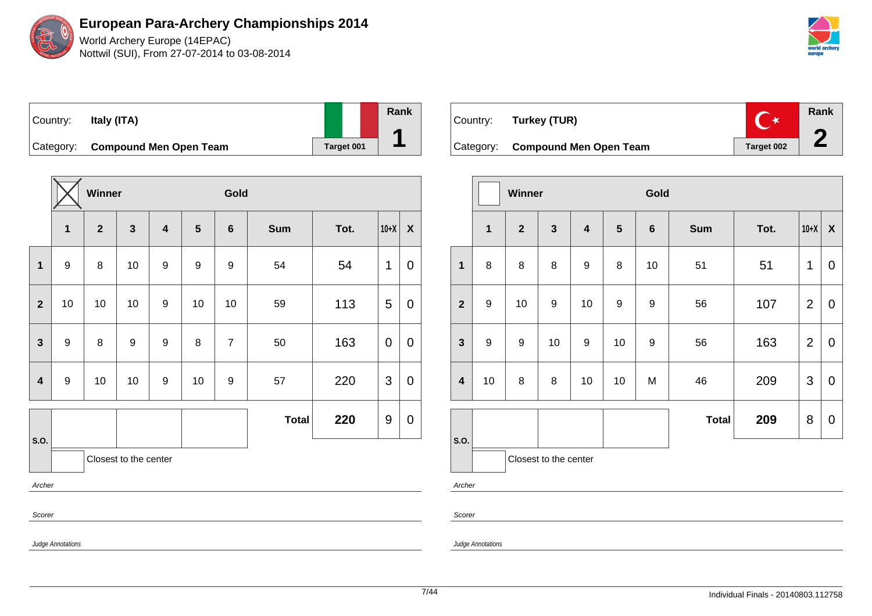World Archery Europe (14EPAC) Nottwil (SUI), From 27-07-2014 to 03-08-2014



| Country:  | Italy (ITA)                   |            | Rank |
|-----------|-------------------------------|------------|------|
| Category: | <b>Compound Men Open Team</b> | Target 001 |      |

|                |                   | Winner       |                       |                         |                  | Gold             |              |      |             |                  |  |
|----------------|-------------------|--------------|-----------------------|-------------------------|------------------|------------------|--------------|------|-------------|------------------|--|
|                | $\mathbf 1$       | $\mathbf{2}$ | $\mathbf{3}$          | $\overline{\mathbf{4}}$ | $5\phantom{1}$   | $6\phantom{1}$   | <b>Sum</b>   | Tot. | $10+X$      | $\boldsymbol{X}$ |  |
| $\mathbf{1}$   | $\boldsymbol{9}$  | 8            | 10                    | $\boldsymbol{9}$        | $\boldsymbol{9}$ | $\boldsymbol{9}$ | 54           | 54   | 1           | $\mathbf 0$      |  |
| $\overline{2}$ | 10                | 10           | 10                    | $\boldsymbol{9}$        | 10               | 10               | 59           | 113  | 5           | $\pmb{0}$        |  |
| $\mathbf{3}$   | $\boldsymbol{9}$  | 8            | $\boldsymbol{9}$      | $\boldsymbol{9}$        | 8                | $\overline{7}$   | 50           | 163  | $\mathbf 0$ | $\mathbf 0$      |  |
| $\overline{4}$ | $\boldsymbol{9}$  | 10           | 10                    | $\boldsymbol{9}$        | 10               | $\boldsymbol{9}$ | 57           | 220  | 3           | $\boldsymbol{0}$ |  |
|                |                   |              |                       |                         |                  |                  | <b>Total</b> | 220  | 9           | $\boldsymbol{0}$ |  |
| S.O.           |                   |              | Closest to the center |                         |                  |                  |              |      |             |                  |  |
| Archer         |                   |              |                       |                         |                  |                  |              |      |             |                  |  |
| Scorer         |                   |              |                       |                         |                  |                  |              |      |             |                  |  |
|                | Judge Annotations |              |                       |                         |                  |                  |              |      |             |                  |  |



|                         |                  | <b>Winner</b>  |                       |                         |                | Gold    |              |      |                |                  |  |
|-------------------------|------------------|----------------|-----------------------|-------------------------|----------------|---------|--------------|------|----------------|------------------|--|
|                         | $\mathbf{1}$     | $\overline{2}$ | $\mathbf{3}$          | $\overline{\mathbf{4}}$ | $5\phantom{1}$ | $\bf 6$ | <b>Sum</b>   | Tot. | $10+X$         | $\boldsymbol{X}$ |  |
| $\mathbf 1$             | 8                | 8              | 8                     | $\boldsymbol{9}$        | 8              | 10      | 51           | 51   | 1              | $\overline{0}$   |  |
| $\overline{2}$          | $\boldsymbol{9}$ | 10             | $\boldsymbol{9}$      | 10                      | 9              | 9       | 56           | 107  | $\overline{2}$ | $\mathbf 0$      |  |
| $\mathbf{3}$            | $\boldsymbol{9}$ | 9              | 10                    | $\boldsymbol{9}$        | 10             | 9       | 56           | 163  | $\overline{2}$ | $\mathbf 0$      |  |
| $\overline{\mathbf{4}}$ | 10               | 8              | 8                     | 10                      | 10             | M       | 46           | 209  | 3              | $\mathbf 0$      |  |
|                         |                  |                |                       |                         |                |         | <b>Total</b> | 209  | 8              | $\pmb{0}$        |  |
| S.O.                    |                  |                | Closest to the center |                         |                |         |              |      |                |                  |  |
| $\sim$                  |                  |                |                       |                         |                |         |              |      |                |                  |  |

Archer

Scorer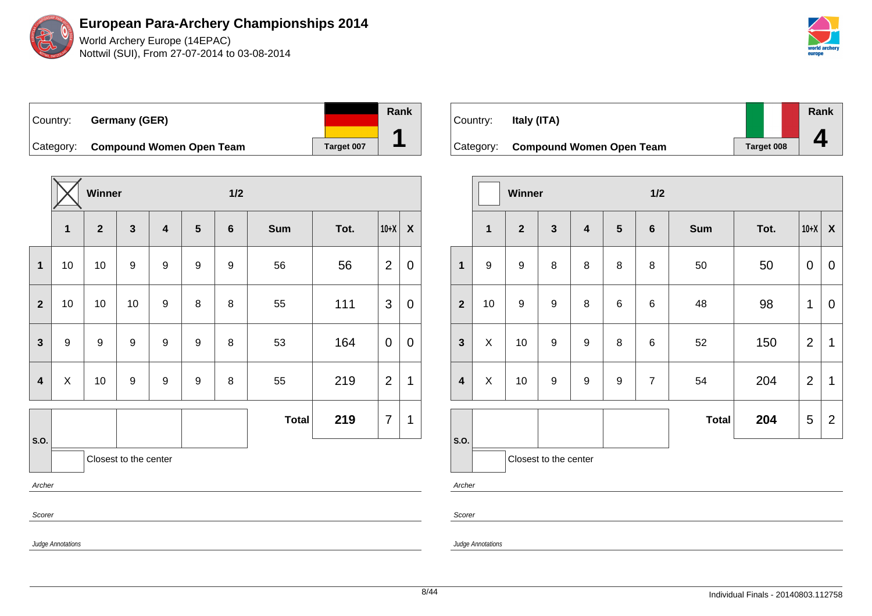

World Archery Europe (14EPAC) Nottwil (SUI), From 27-07-2014 to 03-08-2014



Country: **Germany (GER)** Category: **Compound Women Open Team** Target 007

|                         |                          | Winner         |                       |                         |                  | $1/2$            |              |      |                |                |  |
|-------------------------|--------------------------|----------------|-----------------------|-------------------------|------------------|------------------|--------------|------|----------------|----------------|--|
|                         | $\mathbf{1}$             | 2 <sup>1</sup> | $\mathbf{3}$          | $\overline{\mathbf{4}}$ | $5\phantom{1}$   | $\bf 6$          | Sum          | Tot. | $10+X$         | $\pmb{\chi}$   |  |
| $\mathbf{1}$            | 10                       | 10             | 9                     | $\boldsymbol{9}$        | 9                | $\boldsymbol{9}$ | 56           | 56   | $\overline{2}$ | $\mathbf 0$    |  |
| $\mathbf{2}$            | 10                       | 10             | 10                    | $\boldsymbol{9}$        | 8                | 8                | 55           | 111  | 3              | $\overline{0}$ |  |
| $\mathbf{3}$            | $\boldsymbol{9}$         | 9              | 9                     | $\boldsymbol{9}$        | 9                | 8                | 53           | 164  | $\mathbf 0$    | 0              |  |
| $\overline{\mathbf{4}}$ | X                        | 10             | $\boldsymbol{9}$      | $\boldsymbol{9}$        | $\boldsymbol{9}$ | 8                | 55           | 219  | $\overline{2}$ | 1              |  |
|                         |                          |                |                       |                         |                  |                  | <b>Total</b> | 219  | $\overline{7}$ | $\mathbf 1$    |  |
| S.O.                    |                          |                | Closest to the center |                         |                  |                  |              |      |                |                |  |
| Archer                  |                          |                |                       |                         |                  |                  |              |      |                |                |  |
| Scorer                  |                          |                |                       |                         |                  |                  |              |      |                |                |  |
|                         | <b>Judge Annotations</b> |                |                       |                         |                  |                  |              |      |                |                |  |

| Country: | Italy (ITA)                        |                   | Rank |
|----------|------------------------------------|-------------------|------|
|          |                                    |                   |      |
|          | Category: Compound Women Open Team | <b>Target 008</b> |      |

|                         |                  | Winner         |                       |                         |            | 1/2            |              |      |                |                           |
|-------------------------|------------------|----------------|-----------------------|-------------------------|------------|----------------|--------------|------|----------------|---------------------------|
|                         | 1                | $\overline{2}$ | $\mathbf{3}$          | $\overline{\mathbf{4}}$ | $\sqrt{5}$ | $\bf 6$        | <b>Sum</b>   | Tot. | $10+X$         | $\boldsymbol{\mathsf{X}}$ |
| 1                       | $\boldsymbol{9}$ | 9              | 8                     | 8                       | 8          | 8              | 50           | 50   | $\pmb{0}$      | $\mathbf 0$               |
| $\overline{\mathbf{2}}$ | 10               | 9              | $\boldsymbol{9}$      | 8                       | 6          | 6              | 48           | 98   | 1              | $\mathbf 0$               |
| $\mathbf{3}$            | X                | 10             | $\boldsymbol{9}$      | $\boldsymbol{9}$        | 8          | 6              | 52           | 150  | $\overline{2}$ | 1                         |
| $\overline{\mathbf{4}}$ | X                | 10             | $\boldsymbol{9}$      | $\boldsymbol{9}$        | 9          | $\overline{7}$ | 54           | 204  | $\overline{2}$ | $\mathbf 1$               |
|                         |                  |                |                       |                         |            |                | <b>Total</b> | 204  | 5              | $\overline{2}$            |
| S.O.                    |                  |                | Closest to the center |                         |            |                |              |      |                |                           |

Archer

Scorer

Judge Annotations

Judge Annotations

**Rank**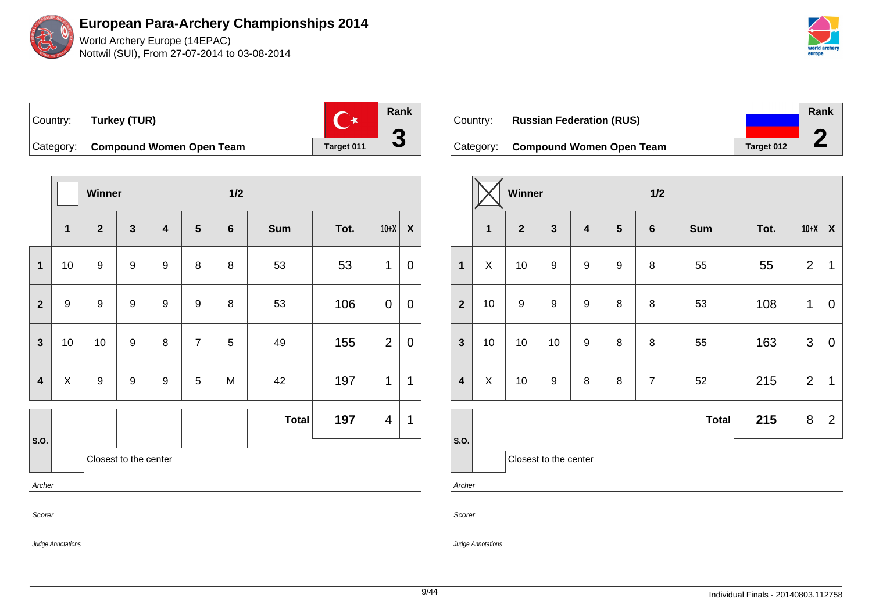

**Rank**  $\mathbb{C}^*$ Country: **Turkey (TUR) 3** Category: **Compound Women Open Team** | Target 011

|                         |                   | Winner           |                       |                         |                |                 | $1/2$        |      |                |                           |  |  |
|-------------------------|-------------------|------------------|-----------------------|-------------------------|----------------|-----------------|--------------|------|----------------|---------------------------|--|--|
|                         | $\mathbf 1$       | $\overline{2}$   | $\mathbf{3}$          | $\overline{\mathbf{4}}$ | $5\phantom{1}$ | $6\phantom{1}6$ | <b>Sum</b>   | Tot. | $10+X$         | $\boldsymbol{\mathsf{X}}$ |  |  |
| $\mathbf{1}$            | 10                | $\boldsymbol{9}$ | $\boldsymbol{9}$      | $\boldsymbol{9}$        | 8              | 8               | 53           | 53   | 1              | 0                         |  |  |
| $\overline{2}$          | $\boldsymbol{9}$  | $\boldsymbol{9}$ | $\boldsymbol{9}$      | $\boldsymbol{9}$        | 9              | 8               | 53           | 106  | 0              | 0                         |  |  |
| $\mathbf{3}$            | 10                | 10               | 9                     | $\bf 8$                 | $\overline{7}$ | 5               | 49           | 155  | $\overline{2}$ | 0                         |  |  |
| $\overline{\mathbf{4}}$ | X                 | $\boldsymbol{9}$ | $\boldsymbol{9}$      | 9                       | 5              | M               | 42           | 197  | 1              | 1                         |  |  |
|                         |                   |                  |                       |                         |                |                 | <b>Total</b> | 197  | 4              | 1                         |  |  |
| S.O.                    |                   |                  | Closest to the center |                         |                |                 |              |      |                |                           |  |  |
| Archer                  |                   |                  |                       |                         |                |                 |              |      |                |                           |  |  |
| Scorer                  |                   |                  |                       |                         |                |                 |              |      |                |                           |  |  |
|                         | Judge Annotations |                  |                       |                         |                |                 |              |      |                |                           |  |  |

| Country: | <b>Russian Federation (RUS)</b>    |            | Rank |
|----------|------------------------------------|------------|------|
|          | Category: Compound Women Open Team | Target 012 |      |

|                         | Winner       |                         |                       |                         |                | 1/2            |              |      |                |                    |
|-------------------------|--------------|-------------------------|-----------------------|-------------------------|----------------|----------------|--------------|------|----------------|--------------------|
|                         | $\mathbf{1}$ | $\overline{\mathbf{2}}$ | $\mathbf{3}$          | $\overline{\mathbf{4}}$ | $5\phantom{1}$ | $\bf 6$        | <b>Sum</b>   | Tot. | $10+X$         | $\pmb{\mathsf{X}}$ |
| $\mathbf{1}$            | X            | 10                      | $\boldsymbol{9}$      | $\boldsymbol{9}$        | 9              | 8              | 55           | 55   | $\overline{2}$ | 1                  |
| $\overline{2}$          | 10           | $\boldsymbol{9}$        | $\boldsymbol{9}$      | $\boldsymbol{9}$        | 8              | 8              | 53           | 108  | 1              | 0                  |
| $\mathbf{3}$            | 10           | 10                      | 10                    | 9                       | 8              | 8              | 55           | 163  | 3              | $\mathbf 0$        |
| $\overline{\mathbf{4}}$ | X            | 10                      | $\boldsymbol{9}$      | 8                       | 8              | $\overline{7}$ | 52           | 215  | $\overline{2}$ | $\mathbf 1$        |
|                         |              |                         |                       |                         |                |                | <b>Total</b> | 215  | 8              | $\overline{2}$     |
| S.O.                    |              |                         | Closest to the center |                         |                |                |              |      |                |                    |
| Archer                  |              |                         |                       |                         |                |                |              |      |                |                    |

Scorer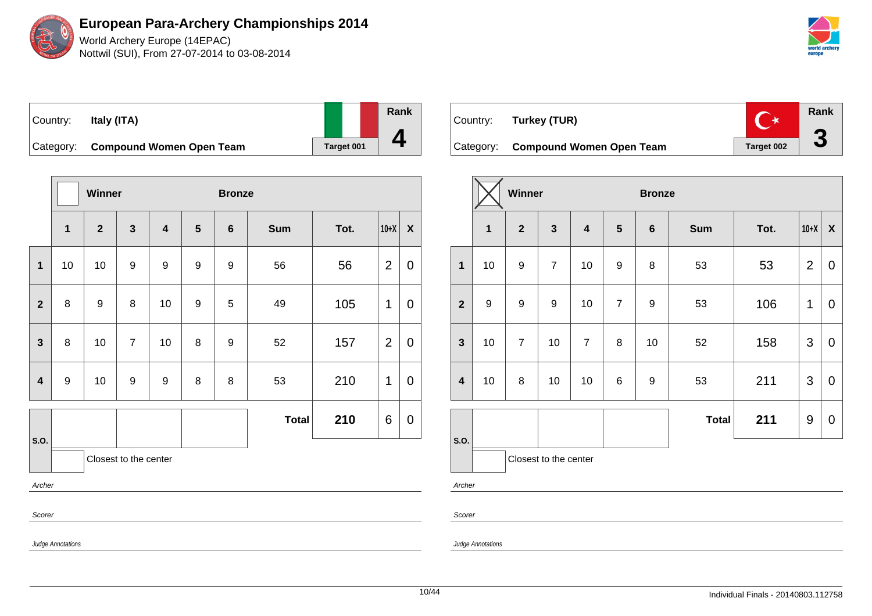World Archery Europe (14EPAC) Nottwil (SUI), From 27-07-2014 to 03-08-2014



| Country:  | Italy (ITA)                     |            |  |
|-----------|---------------------------------|------------|--|
| Category: | <b>Compound Women Open Team</b> | Target 001 |  |

|                         |                   | Winner           |                       |                         |                  | <b>Bronze</b>    |              |      |                |                           |  |
|-------------------------|-------------------|------------------|-----------------------|-------------------------|------------------|------------------|--------------|------|----------------|---------------------------|--|
|                         | $\overline{1}$    | $\overline{2}$   | $\mathbf{3}$          | $\overline{\mathbf{4}}$ | 5                | 6                | <b>Sum</b>   | Tot. | $10+X$         | $\boldsymbol{\mathsf{X}}$ |  |
| $\mathbf 1$             | 10                | 10               | $\boldsymbol{9}$      | $\boldsymbol{9}$        | $\boldsymbol{9}$ | $\boldsymbol{9}$ | 56           | 56   | $\overline{2}$ | 0                         |  |
| $\mathbf{2}$            | 8                 | $\boldsymbol{9}$ | 8                     | 10                      | 9                | 5                | 49           | 105  | 1              | 0                         |  |
| $\mathbf{3}$            | $\bf 8$           | 10               | $\overline{7}$        | 10                      | 8                | 9                | 52           | 157  | $\overline{2}$ | 0                         |  |
| $\overline{\mathbf{4}}$ | $\boldsymbol{9}$  | 10               | $\boldsymbol{9}$      | 9                       | 8                | 8                | 53           | 210  | 1              | 0                         |  |
| S.O.                    |                   |                  |                       |                         |                  |                  | <b>Total</b> | 210  | 6              | 0                         |  |
|                         |                   |                  | Closest to the center |                         |                  |                  |              |      |                |                           |  |
| Archer                  |                   |                  |                       |                         |                  |                  |              |      |                |                           |  |
| Scorer                  |                   |                  |                       |                         |                  |                  |              |      |                |                           |  |
|                         | Ludge Annotations |                  |                       |                         |                  |                  |              |      |                |                           |  |

| Country: | Turkey (TUR)                       |                   | Rank |
|----------|------------------------------------|-------------------|------|
|          | Category: Compound Women Open Team | <b>Target 002</b> |      |

|                         |                       | Winner                  |                         |                         |                | <b>Bronze</b>  |              |      |                |                           |
|-------------------------|-----------------------|-------------------------|-------------------------|-------------------------|----------------|----------------|--------------|------|----------------|---------------------------|
|                         | $\overline{1}$        | $\overline{\mathbf{2}}$ | $\overline{\mathbf{3}}$ | $\overline{\mathbf{4}}$ | $5\phantom{1}$ | $6\phantom{a}$ | <b>Sum</b>   | Tot. | $10+X$         | $\boldsymbol{\mathsf{X}}$ |
| $\mathbf{1}$            | 10                    | $\boldsymbol{9}$        | $\overline{7}$          | 10                      | 9              | 8              | 53           | 53   | $\overline{2}$ | 0                         |
| $\overline{2}$          | 9                     | 9                       | $\boldsymbol{9}$        | 10                      | $\overline{7}$ | 9              | 53           | 106  | 1              | 0                         |
| $\mathbf{3}$            | 10                    | $\overline{7}$          | 10                      | $\overline{7}$          | 8              | 10             | 52           | 158  | 3              | 0                         |
| $\overline{\mathbf{4}}$ | 10                    | 8                       | 10                      | 10                      | 6              | 9              | 53           | 211  | 3              | $\mathbf 0$               |
|                         |                       |                         |                         |                         |                |                | <b>Total</b> | 211  | 9              | 0                         |
| S.O.                    | Closest to the center |                         |                         |                         |                |                |              |      |                |                           |
| Archer                  |                       |                         |                         |                         |                |                |              |      |                |                           |

Scorer

Judge Annotations

Judge Annotations

**Rank**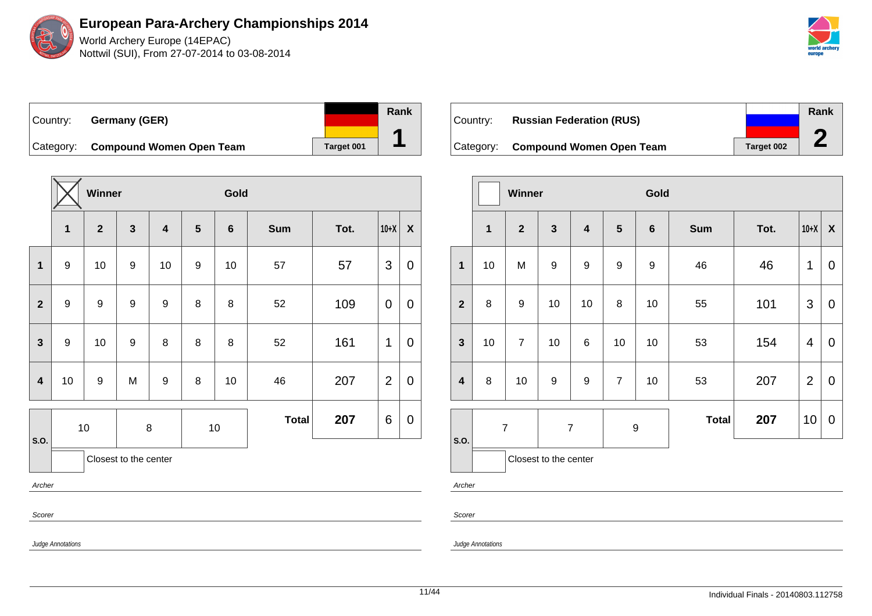World Archery Europe (14EPAC) Nottwil (SUI), From 27-07-2014 to 03-08-2014



Country: **Germany (GER)** Category: **Compound Women Open Team** | Target 001

|                         |                   | Winner           |                       |                         |                         | Gold           |              |      |                |                    |
|-------------------------|-------------------|------------------|-----------------------|-------------------------|-------------------------|----------------|--------------|------|----------------|--------------------|
|                         | $\mathbf{1}$      | $\mathbf{2}$     | $\mathbf{3}$          | $\overline{\mathbf{4}}$ | $\overline{\mathbf{5}}$ | $6\phantom{1}$ | <b>Sum</b>   | Tot. | $10+X$         | $\pmb{\mathsf{X}}$ |
| 1                       | 9                 | 10               | 9                     | 10                      | 9                       | 10             | 57           | 57   | $\mathfrak{B}$ | $\mathbf 0$        |
| $\mathbf{2}$            | $\boldsymbol{9}$  | $\boldsymbol{9}$ | $\boldsymbol{9}$      | 9                       | 8                       | 8              | 52           | 109  | $\pmb{0}$      | $\pmb{0}$          |
| $\mathbf{3}$            | $\boldsymbol{9}$  | 10               | $\boldsymbol{9}$      | 8                       | 8                       | 8              | 52           | 161  | 1              | $\mathbf 0$        |
| $\overline{\mathbf{4}}$ | 10                | $\boldsymbol{9}$ | M                     | 9                       | 8                       | 10             | 46           | 207  | $\overline{2}$ | $\boldsymbol{0}$   |
| S.O.                    |                   | $10$             | $\,8\,$               |                         |                         | $10$           | <b>Total</b> | 207  | 6              | 0                  |
|                         |                   |                  | Closest to the center |                         |                         |                |              |      |                |                    |
| Archer                  |                   |                  |                       |                         |                         |                |              |      |                |                    |
| Scorer                  |                   |                  |                       |                         |                         |                |              |      |                |                    |
|                         | Judge Annotations |                  |                       |                         |                         |                |              |      |                |                    |

| ⊺Countr∨: | <b>Russian Federation (RUS)</b>    |                   | Rank |
|-----------|------------------------------------|-------------------|------|
|           |                                    |                   |      |
|           | Category: Compound Women Open Team | <b>Target 002</b> |      |

|                         |                | Winner           |                       |                                    |                | Gold         |            |      |                |             |
|-------------------------|----------------|------------------|-----------------------|------------------------------------|----------------|--------------|------------|------|----------------|-------------|
|                         | $\mathbf{1}$   | $\overline{2}$   | $\mathbf{3}$          | $\overline{\mathbf{4}}$            | 5              | $\bf 6$      | <b>Sum</b> | Tot. | $10+X$         | X           |
| $\mathbf{1}$            | 10             | M                | $\boldsymbol{9}$      | $\boldsymbol{9}$                   | 9              | 9            | 46         | 46   | 1              | $\mathbf 0$ |
| $\overline{2}$          | 8              | $\boldsymbol{9}$ | 10                    | 10                                 | 8              | 10           | 55         | 101  | 3              | $\mathbf 0$ |
| $\mathbf{3}$            | 10             | $\overline{7}$   | 10                    | 6                                  | 10             | 10           | 53         | 154  | 4              | $\mathbf 0$ |
| $\overline{\mathbf{4}}$ | 8              | 10               | 9                     | 9                                  | $\overline{7}$ | 10           | 53         | 207  | $\overline{2}$ | $\mathbf 0$ |
|                         | $\overline{7}$ |                  |                       | $\overline{7}$<br>$\boldsymbol{9}$ |                | <b>Total</b> | 207        | 10   | $\mathbf 0$    |             |
| S.O.                    |                |                  | Closest to the center |                                    |                |              |            |      |                |             |

Archer

Scorer

Judge Annotations

Judge Annotations

11/44 Individual Finals - 20140803.112758

**Rank**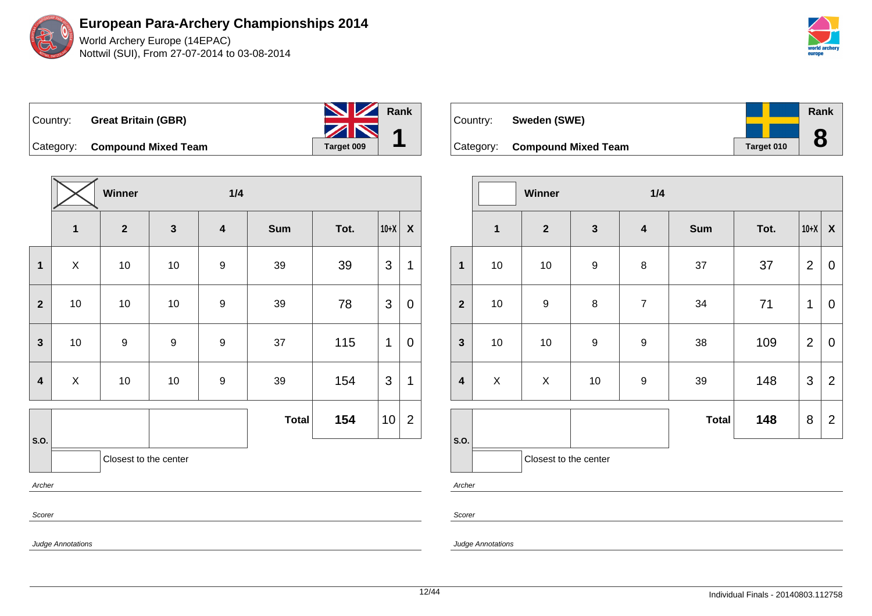

| Country: | <b>Great Britain (GBR)</b>    | <b>NV</b> Rank   |  |
|----------|-------------------------------|------------------|--|
|          | Category: Compound Mixed Team | ZN<br>Target 009 |  |

**Winner 1/4 1 2 3 4 Sum Tot. 10+X X 1** | X | 10 | 10 | 9 | 39 | 39 |3 |1 **2** | 10 | 10 | 10 | 9 | 39 | 78 |3 | 0 **3** | 10 | 9 | 9 | 9 | 37 | 115 |1 | 0 **4** | X | 10 | 10 | 9 | 39 | 154 |3 |1 **S.O. Total 154**  $|10|2$ Closest to the center Archer Scorer

| Country: | Sweden (SWE)                  |                   | Rank   |
|----------|-------------------------------|-------------------|--------|
|          | Category: Compound Mixed Team | <b>Target 010</b> | O<br>O |

|                         |             | Winner                |                  | 1/4                     |              |      |                |                           |
|-------------------------|-------------|-----------------------|------------------|-------------------------|--------------|------|----------------|---------------------------|
|                         | $\mathbf 1$ | $\mathbf{2}$          | $\mathbf{3}$     | $\overline{\mathbf{4}}$ | <b>Sum</b>   | Tot. | $10+X$         | $\boldsymbol{\mathsf{X}}$ |
| $\mathbf 1$             | 10          | 10                    | $\boldsymbol{9}$ | $\bf 8$                 | 37           | 37   | $\overline{2}$ | 0                         |
| $\overline{2}$          | $10$        | $\boldsymbol{9}$      | $\bf 8$          | $\overline{7}$          | 34           | 71   | 1              | 0                         |
| $\mathbf{3}$            | $10$        | 10                    | $\boldsymbol{9}$ | $\boldsymbol{9}$        | 38           | 109  | $\overline{2}$ | $\mathbf 0$               |
| $\overline{\mathbf{4}}$ | $\mathsf X$ | X                     | $10$             | $\boldsymbol{9}$        | 39           | 148  | $\mathfrak{S}$ | $\overline{2}$            |
|                         |             |                       |                  |                         | <b>Total</b> | 148  | 8              | $\overline{2}$            |
| S.O.                    |             | Closest to the center |                  |                         |              |      |                |                           |
| Archer                  |             |                       |                  |                         |              |      |                |                           |

Scorer

Judge Annotations

Judge Annotations

12/44 Individual Finals - 20140803.112758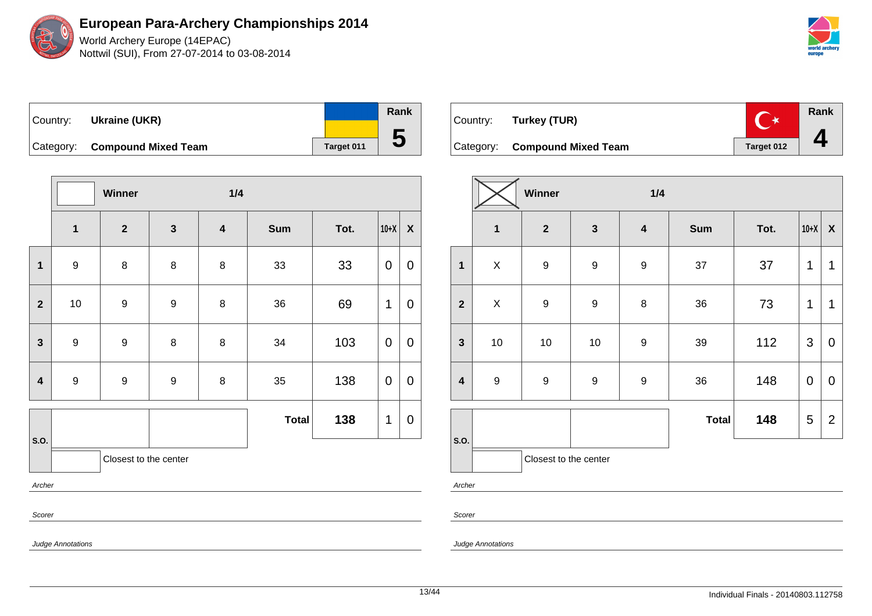World Archery Europe (14EPAC) Nottwil (SUI), From 27-07-2014 to 03-08-2014

| world archery<br>europe |
|-------------------------|

|  | Country: Ukraine (UKR)        |            | Rank |
|--|-------------------------------|------------|------|
|  | Category: Compound Mixed Team | Target 011 | C    |

|                         |                         | Winner                  |                  | 1/4                     |              |      |             |                           |  |  |  |
|-------------------------|-------------------------|-------------------------|------------------|-------------------------|--------------|------|-------------|---------------------------|--|--|--|
|                         | $\overline{\mathbf{1}}$ | $\overline{\mathbf{2}}$ | $\mathbf{3}$     | $\overline{\mathbf{4}}$ | Sum          | Tot. | $10+X$      | $\boldsymbol{\mathsf{X}}$ |  |  |  |
| 1                       | $\boldsymbol{9}$        | 8                       | 8                | 8                       | 33           | 33   | $\mathbf 0$ | $\mathbf 0$               |  |  |  |
| $\overline{2}$          | 10                      | $\boldsymbol{9}$        | $\boldsymbol{9}$ | 8                       | 36           | 69   | 1           | 0                         |  |  |  |
| $\mathbf{3}$            | $\boldsymbol{9}$        | $\boldsymbol{9}$        | $\bf 8$          | $\bf 8$                 | 34           | 103  | 0           | 0                         |  |  |  |
| $\overline{\mathbf{4}}$ | $\boldsymbol{9}$        | $\boldsymbol{9}$        | 9                | 8                       | 35           | 138  | 0           | 0                         |  |  |  |
|                         |                         |                         |                  |                         | <b>Total</b> | 138  | 1           | 0                         |  |  |  |
| S.O.                    |                         | Closest to the center   |                  |                         |              |      |             |                           |  |  |  |
| Archer                  |                         |                         |                  |                         |              |      |             |                           |  |  |  |
|                         | Scorer                  |                         |                  |                         |              |      |             |                           |  |  |  |

Judge Annotations



|                         |                  | Winner                |                  | 1/4                     |              |      |             |                           |  |  |
|-------------------------|------------------|-----------------------|------------------|-------------------------|--------------|------|-------------|---------------------------|--|--|
|                         | $\mathbf{1}$     | $\mathbf{2}$          | $\mathbf{3}$     | $\overline{\mathbf{4}}$ | <b>Sum</b>   | Tot. | $10+X$      | $\boldsymbol{\mathsf{X}}$ |  |  |
| $\mathbf 1$             | X                | $\boldsymbol{9}$      | $\boldsymbol{9}$ | $\boldsymbol{9}$        | 37           | 37   | 1           | 1                         |  |  |
| $\overline{2}$          | $\mathsf X$      | $\boldsymbol{9}$      | $\mathsf g$      | $\bf 8$                 | 36           | 73   | 1           | 1                         |  |  |
| $\mathbf{3}$            | 10               | 10                    | $10$             | 9                       | 39           | 112  | 3           | $\boldsymbol{0}$          |  |  |
| $\overline{\mathbf{4}}$ | $\boldsymbol{9}$ | 9                     | 9                | 9                       | 36           | 148  | $\mathbf 0$ | $\pmb{0}$                 |  |  |
|                         |                  |                       |                  |                         | <b>Total</b> | 148  | 5           | $\overline{2}$            |  |  |
| S.O.                    |                  | Closest to the center |                  |                         |              |      |             |                           |  |  |

Archer

Scorer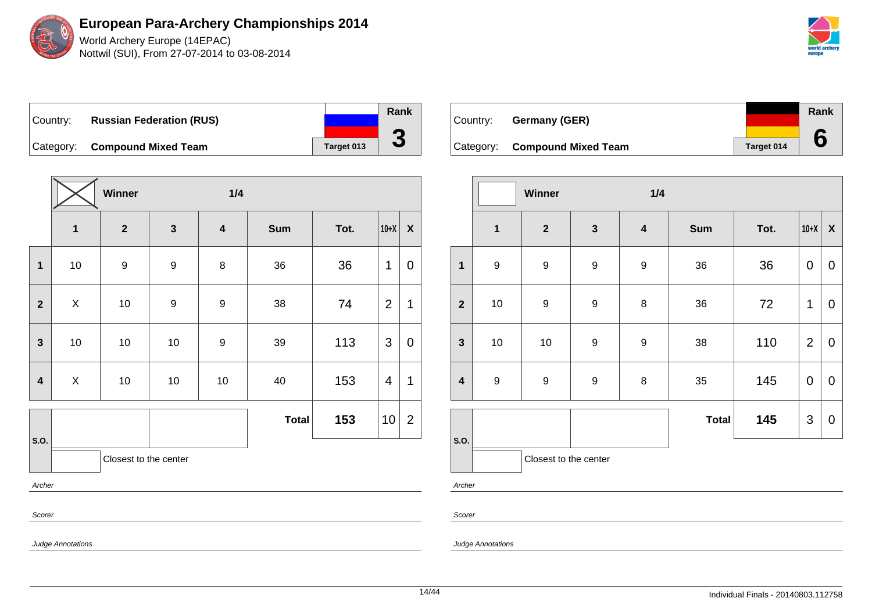

World Archery Europe (14EPAC) Nottwil (SUI), From 27-07-2014 to 03-08-2014



Country: **Russian Federation (RUS)** Category: **Compound Mixed Team Target 013** 

|                         |                           | Winner                |                  | 1/4                     |              |      |                | $\boldsymbol{X}$ |  |  |  |
|-------------------------|---------------------------|-----------------------|------------------|-------------------------|--------------|------|----------------|------------------|--|--|--|
|                         | $\mathbf{1}$              | $\overline{2}$        | $\mathbf{3}$     | $\overline{\mathbf{4}}$ | <b>Sum</b>   | Tot. | $10+X$         |                  |  |  |  |
| 1                       | 10                        | $\boldsymbol{9}$      | $\boldsymbol{9}$ | $\bf 8$                 | 36           | 36   | 1              | 0                |  |  |  |
| $\overline{2}$          | $\mathsf{X}$              | $10$                  | $\boldsymbol{9}$ | $\boldsymbol{9}$        | 38           | 74   | $\overline{2}$ | 1                |  |  |  |
| $\mathbf{3}$            | 10                        | $10$                  | $10$             | $\boldsymbol{9}$        | 39           | 113  | 3              | $\mathbf 0$      |  |  |  |
| $\overline{\mathbf{4}}$ | $\boldsymbol{\mathsf{X}}$ | $10$                  | $10\,$           | $10$                    | 40           | 153  | $\overline{4}$ | 1                |  |  |  |
|                         |                           |                       |                  |                         | <b>Total</b> | 153  | 10             | $\overline{2}$   |  |  |  |
| S.O.                    |                           | Closest to the center |                  |                         |              |      |                |                  |  |  |  |
| Archer                  |                           |                       |                  |                         |              |      |                |                  |  |  |  |
| Scorer                  |                           |                       |                  |                         |              |      |                |                  |  |  |  |

Country: **Germany (GER)** Category: **Compound Mixed Team Target 014 Rank 6**

|                         |                  | Winner                |                  | 1/4                     |              |      |                |                           |
|-------------------------|------------------|-----------------------|------------------|-------------------------|--------------|------|----------------|---------------------------|
|                         | $\mathbf{1}$     | $\mathbf{2}$          | $\mathbf 3$      | $\overline{\mathbf{4}}$ | <b>Sum</b>   | Tot. | $10+X$         | $\boldsymbol{\mathsf{X}}$ |
| $\mathbf{1}$            | $\boldsymbol{9}$ | 9                     | $\boldsymbol{9}$ | $\boldsymbol{9}$        | 36           | 36   | 0              | 0                         |
| $\overline{2}$          | $10$             | $\boldsymbol{9}$      | $\boldsymbol{9}$ | 8                       | 36           | 72   | 1              | $\mathbf 0$               |
| $\mathbf{3}$            | $10$             | $10$                  | $\boldsymbol{9}$ | $\boldsymbol{9}$        | 38           | 110  | $\overline{2}$ | $\mathbf 0$               |
| $\overline{\mathbf{4}}$ | $\boldsymbol{9}$ | 9                     | $\boldsymbol{9}$ | $\bf 8$                 | 35           | 145  | $\pmb{0}$      | $\mathbf 0$               |
|                         |                  |                       |                  |                         | <b>Total</b> | 145  | 3              | $\mathbf 0$               |
| S.O.                    |                  | Closest to the center |                  |                         |              |      |                |                           |

Archer

Scorer

Judge Annotations

Judge Annotations

**Rank**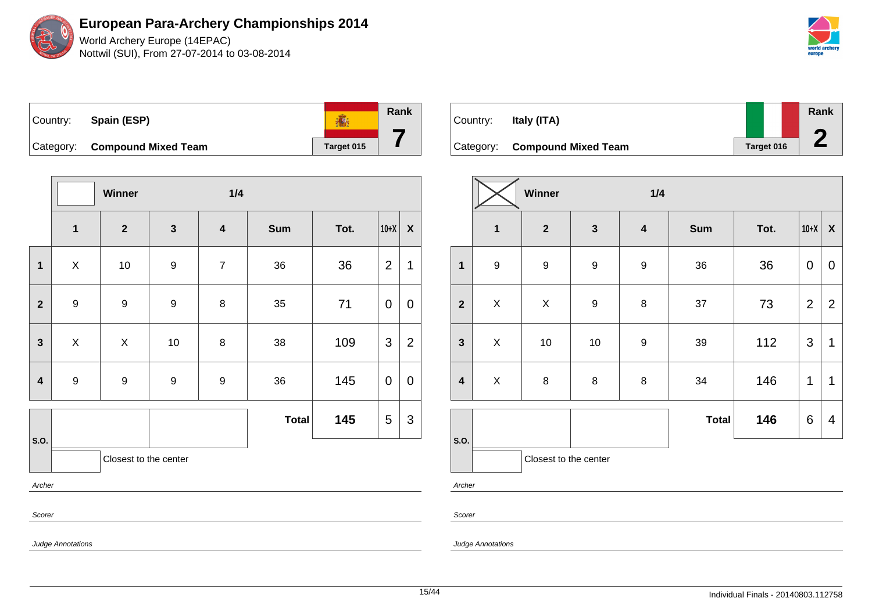World Archery Europe (14EPAC) Nottwil (SUI), From 27-07-2014 to 03-08-2014



| Country: | Spain (ESP)                   |            | Rank |
|----------|-------------------------------|------------|------|
|          | Category: Compound Mixed Team | Target 015 |      |

|              |                  | Winner                |                  | 1/4                     |              |      |                |                  |
|--------------|------------------|-----------------------|------------------|-------------------------|--------------|------|----------------|------------------|
|              | $\mathbf{1}$     | $\mathbf{2}$          | $\mathbf{3}$     | $\overline{\mathbf{4}}$ | <b>Sum</b>   | Tot. | $10+X$         | $\boldsymbol{X}$ |
| $\mathbf{1}$ | X                | 10                    | $\boldsymbol{9}$ | $\overline{7}$          | 36           | 36   | $\overline{2}$ | 1                |
| $\mathbf{2}$ | $\boldsymbol{9}$ | 9                     | $\boldsymbol{9}$ | 8                       | 35           | 71   | $\mathbf 0$    | $\mathbf 0$      |
| $\mathbf{3}$ | X                | X                     | 10               | 8                       | 38           | 109  | 3              | $\overline{2}$   |
| 4            | $\boldsymbol{9}$ | $\boldsymbol{9}$      | $\boldsymbol{9}$ | 9                       | 36           | 145  | $\mathbf 0$    | $\mathbf 0$      |
|              |                  |                       |                  |                         | <b>Total</b> | 145  | 5              | 3                |
| S.O.         |                  | Closest to the center |                  |                         |              |      |                |                  |
| Archer       |                  |                       |                  |                         |              |      |                |                  |
| Scorer       |                  |                       |                  |                         |              |      |                |                  |

| Country: | Italy (ITA)                   |                   |  | Rank |
|----------|-------------------------------|-------------------|--|------|
|          | Category: Compound Mixed Team | <b>Target 016</b> |  |      |

|                         |                         | Winner                |                  | 1/4              |              |      |                |                           |
|-------------------------|-------------------------|-----------------------|------------------|------------------|--------------|------|----------------|---------------------------|
|                         | $\overline{\mathbf{1}}$ | $\mathbf{2}$          | $\mathbf{3}$     | $\boldsymbol{4}$ | <b>Sum</b>   | Tot. | $10+X$         | $\boldsymbol{\mathsf{X}}$ |
| $\mathbf{1}$            | $\boldsymbol{9}$        | $\boldsymbol{9}$      | 9                | 9                | 36           | 36   | 0              | 0                         |
| $\overline{2}$          | X                       | $\pmb{\times}$        | $\boldsymbol{9}$ | 8                | 37           | 73   | $\overline{2}$ | $\overline{2}$            |
| $\mathbf{3}$            | X                       | 10                    | $10$             | $\mathsf g$      | 39           | 112  | 3              | 1                         |
| $\overline{\mathbf{4}}$ | $\mathsf X$             | 8                     | $\bf 8$          | 8                | 34           | 146  | 1              | 1                         |
|                         |                         |                       |                  |                  | <b>Total</b> | 146  | $\,6$          | $\overline{4}$            |
| S.O.                    |                         | Closest to the center |                  |                  |              |      |                |                           |

Archer

Scorer

Judge Annotations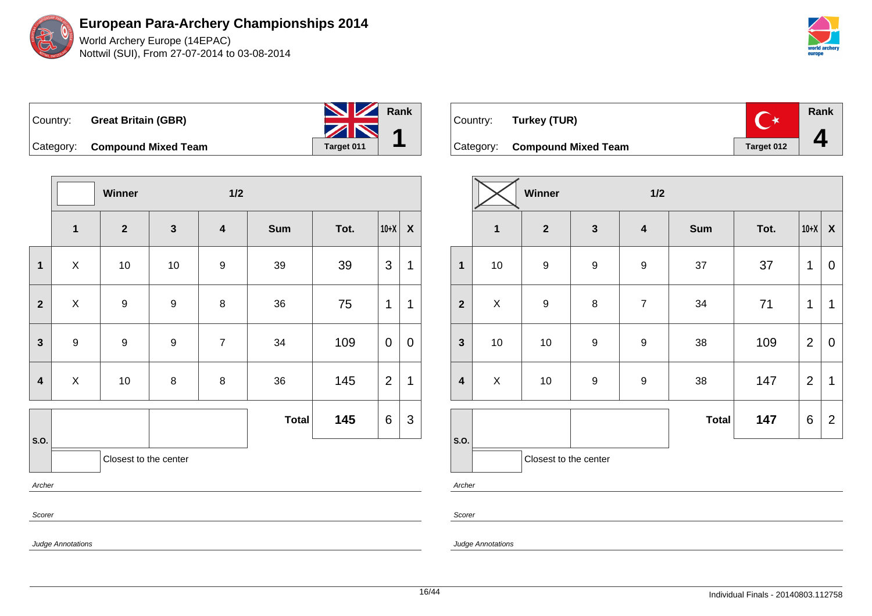World Archery Europe (14EPAC) Nottwil (SUI), From 27-07-2014 to 03-08-2014



| Country: | <b>Great Britain (GBR)</b>    | <b>No. 7 Rank</b><br>ZN |  |
|----------|-------------------------------|-------------------------|--|
|          | Category: Compound Mixed Team | Target 011              |  |

**Winner 1/2 1 2 3 4 Sum Tot. 10+X X 1** | X | 10 | 10 | 9 | 39 | 39 |3 |1 **2** X 9 9 8 36 75 1 1 **3** | 9 | 9 | 7 | 34 | 109 |0 |0 **4** | X | 10 | 8 | 8 | 36 | 145 |2 |1 **S.O. Total 145** 6 3 Closest to the center Archer Scorer

| Country: Turkey (TUR)         | ੱ∗         | Rank |
|-------------------------------|------------|------|
| Category: Compound Mixed Team | Target 012 |      |

|                         |                         | Winner                |                  | 1/2                     |              |      |                |                           |
|-------------------------|-------------------------|-----------------------|------------------|-------------------------|--------------|------|----------------|---------------------------|
|                         | $\overline{\mathbf{1}}$ | $\mathbf{2}$          | $\mathbf{3}$     | $\overline{\mathbf{4}}$ | <b>Sum</b>   | Tot. | $10+X$         | $\boldsymbol{\mathsf{X}}$ |
| $\mathbf{1}$            | $10$                    | $\boldsymbol{9}$      | $\boldsymbol{9}$ | $\boldsymbol{9}$        | 37           | 37   | 1              | 0                         |
| $\overline{2}$          | X                       | $\boldsymbol{9}$      | $\bf 8$          | $\boldsymbol{7}$        | 34           | 71   | 1              | 1                         |
| $\mathbf{3}$            | $10$                    | $10\,$                | $\boldsymbol{9}$ | $\boldsymbol{9}$        | 38           | 109  | $\overline{2}$ | 0                         |
| $\overline{\mathbf{4}}$ | $\pmb{\times}$          | 10                    | $\boldsymbol{9}$ | $\boldsymbol{9}$        | 38           | 147  | $\overline{2}$ | 1                         |
|                         |                         |                       |                  |                         | <b>Total</b> | 147  | 6              | $\overline{2}$            |
| S.O.                    |                         | Closest to the center |                  |                         |              |      |                |                           |

Archer

Scorer

Judge Annotations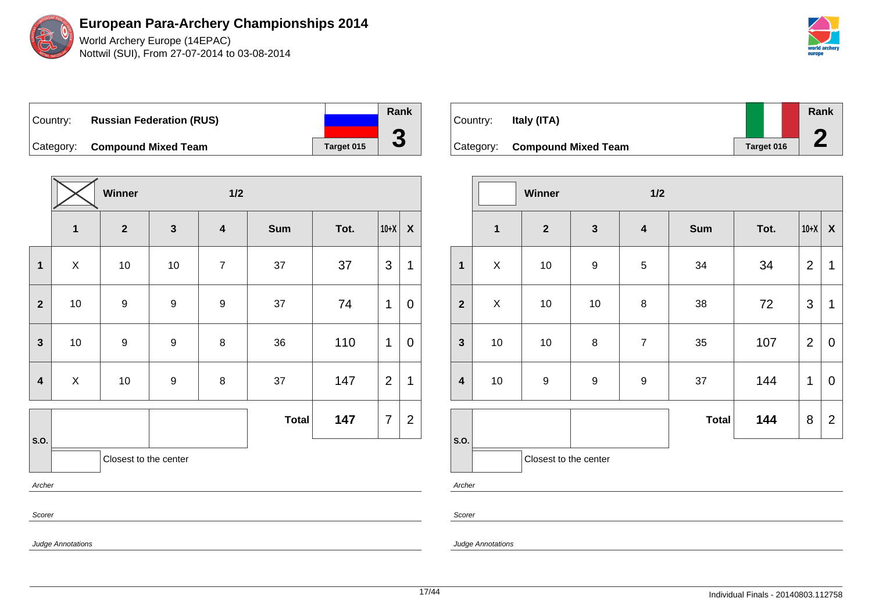World Archery Europe (14EPAC) Nottwil (SUI), From 27-07-2014 to 03-08-2014



Country: **Russian Federation (RUS)** Category: **Compound Mixed Team Target 015** 

|                         |                           | Winner                  |                         | $1/2$                   |              |      |                |                  |
|-------------------------|---------------------------|-------------------------|-------------------------|-------------------------|--------------|------|----------------|------------------|
|                         | $\mathbf{1}$              | $\overline{\mathbf{2}}$ | $\overline{\mathbf{3}}$ | $\overline{\mathbf{4}}$ | <b>Sum</b>   | Tot. | $10+X$         | $\boldsymbol{X}$ |
| $\mathbf{1}$            | $\mathsf{X}$              | $10$                    | $10$                    | $\overline{7}$          | 37           | 37   | 3              | 1                |
| $\overline{\mathbf{2}}$ | $10\,$                    | $\boldsymbol{9}$        | $\boldsymbol{9}$        | $\boldsymbol{9}$        | 37           | 74   | 1              | 0                |
| $\overline{\mathbf{3}}$ | $10\,$                    | $\boldsymbol{9}$        | 9                       | 8                       | 36           | 110  | 1              | 0                |
| $\overline{4}$          | $\boldsymbol{\mathsf{X}}$ | $10$                    | $\boldsymbol{9}$        | 8                       | 37           | 147  | $\overline{2}$ | 1                |
|                         |                           |                         |                         |                         | <b>Total</b> | 147  | $\overline{7}$ | $\overline{2}$   |
| S.O.                    |                           | Closest to the center   |                         |                         |              |      |                |                  |
| Archer                  |                           |                         |                         |                         |              |      |                |                  |
| Scorer                  |                           |                         |                         |                         |              |      |                |                  |

Country: **Italy (ITA)** Category: **Compound Mixed Team Target 016 Rank 2**

|                         |              | Winner                |                  | 1/2                     |              |      |                |                           |
|-------------------------|--------------|-----------------------|------------------|-------------------------|--------------|------|----------------|---------------------------|
|                         | $\mathbf{1}$ | $\mathbf{2}$          | $\mathbf{3}$     | $\overline{\mathbf{4}}$ | <b>Sum</b>   | Tot. | $10+X$         | $\boldsymbol{\mathsf{X}}$ |
| $\mathbf{1}$            | X            | $10$                  | $\boldsymbol{9}$ | $\sqrt{5}$              | 34           | 34   | $\overline{2}$ | 1                         |
| $\overline{2}$          | $\mathsf X$  | 10                    | 10               | $\bf 8$                 | 38           | 72   | $\mathfrak{S}$ | 1                         |
| $\mathbf{3}$            | 10           | 10                    | 8                | $\boldsymbol{7}$        | 35           | 107  | $\overline{2}$ | $\mathbf 0$               |
| $\overline{\mathbf{4}}$ | $10$         | $\boldsymbol{9}$      | $\boldsymbol{9}$ | $\boldsymbol{9}$        | 37           | 144  | 1              | 0                         |
|                         |              |                       |                  |                         | <b>Total</b> | 144  | 8              | $\overline{2}$            |
| S.O.                    |              | Closest to the center |                  |                         |              |      |                |                           |
| Archer                  |              |                       |                  |                         |              |      |                |                           |

Scorer

Judge Annotations

Judge Annotations

**Rank**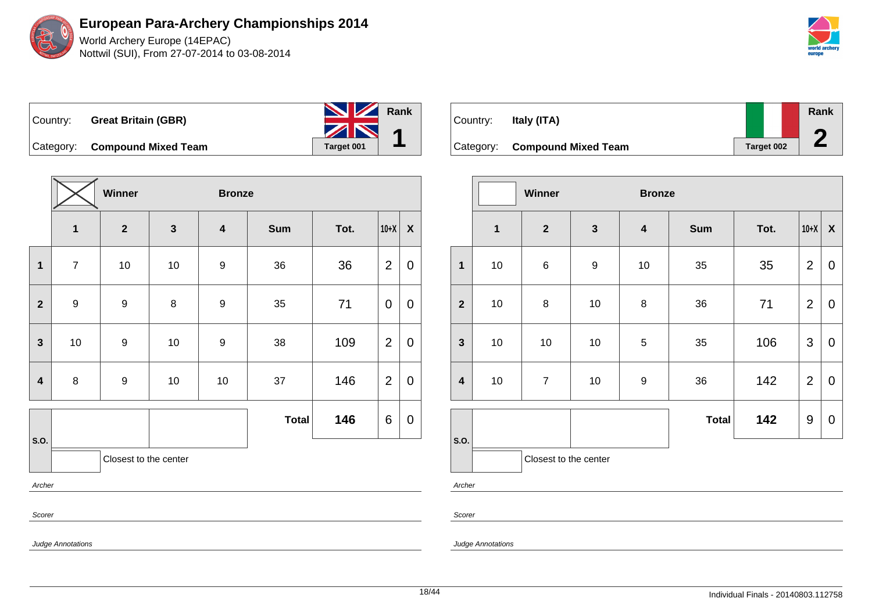World Archery Europe (14EPAC) Nottwil (SUI), From 27-07-2014 to 03-08-2014

|  | Country: Great Britain (GBR)  | Rank<br>Α  |
|--|-------------------------------|------------|
|  | Category: Compound Mixed Team | Target 001 |

|                         |                  | Winner                |              | <b>Bronze</b>           |              |      |                |                  |
|-------------------------|------------------|-----------------------|--------------|-------------------------|--------------|------|----------------|------------------|
|                         | $\mathbf{1}$     | $\overline{2}$        | $\mathbf{3}$ | $\overline{\mathbf{4}}$ | <b>Sum</b>   | Tot. | $10+X$         | $\pmb{\chi}$     |
| $\mathbf 1$             | $\overline{7}$   | $10$                  | $10$         | $\boldsymbol{9}$        | 36           | 36   | $\overline{2}$ | $\mathbf 0$      |
| $\mathbf{2}$            | $\boldsymbol{9}$ | $\boldsymbol{9}$      | $\bf 8$      | $\boldsymbol{9}$        | 35           | 71   | 0              | $\boldsymbol{0}$ |
| $\mathbf{3}$            | $10\,$           | $\boldsymbol{9}$      | $10\,$       | 9                       | 38           | 109  | $\overline{2}$ | $\pmb{0}$        |
| $\overline{\mathbf{4}}$ | $\bf 8$          | $\boldsymbol{9}$      | $10$         | $10$                    | 37           | 146  | $\overline{2}$ | $\mathbf 0$      |
|                         |                  |                       |              |                         | <b>Total</b> | 146  | 6              | $\pmb{0}$        |
| S.O.                    |                  | Closest to the center |              |                         |              |      |                |                  |
| Archer                  |                  |                       |              |                         |              |      |                |                  |
| Scorer                  |                  |                       |              |                         |              |      |                |                  |

| Country:  | Italy (ITA)                |            | Rank |
|-----------|----------------------------|------------|------|
| Category: | <b>Compound Mixed Team</b> | Target 002 |      |

|                         |              | <b>Winner</b>         |                  | <b>Bronze</b>           |              |      |                |                           |  |  |  |
|-------------------------|--------------|-----------------------|------------------|-------------------------|--------------|------|----------------|---------------------------|--|--|--|
|                         | $\mathbf{1}$ | $\boldsymbol{2}$      | $\mathbf{3}$     | $\overline{\mathbf{4}}$ | <b>Sum</b>   | Tot. | $10+X$         | $\boldsymbol{\mathsf{X}}$ |  |  |  |
| $\mathbf{1}$            | $10$         | $\,6\,$               | $\boldsymbol{9}$ | 10                      | 35           | 35   | $\overline{2}$ | $\mathbf 0$               |  |  |  |
| $\overline{2}$          | 10           | $\bf 8$               | 10               | 8                       | 36           | 71   | $\overline{2}$ | $\mathbf 0$               |  |  |  |
| $\mathbf{3}$            | 10           | 10                    | $10$             | $\sqrt{5}$              | 35           | 106  | 3              | $\mathbf 0$               |  |  |  |
| $\overline{\mathbf{4}}$ | 10           | $\overline{7}$        | $10$             | $\boldsymbol{9}$        | 36           | 142  | $\overline{2}$ | $\mathbf 0$               |  |  |  |
|                         |              |                       |                  |                         | <b>Total</b> | 142  | 9              | $\boldsymbol{0}$          |  |  |  |
| S.O.                    |              | Closest to the center |                  |                         |              |      |                |                           |  |  |  |

Archer

Scorer

Judge Annotations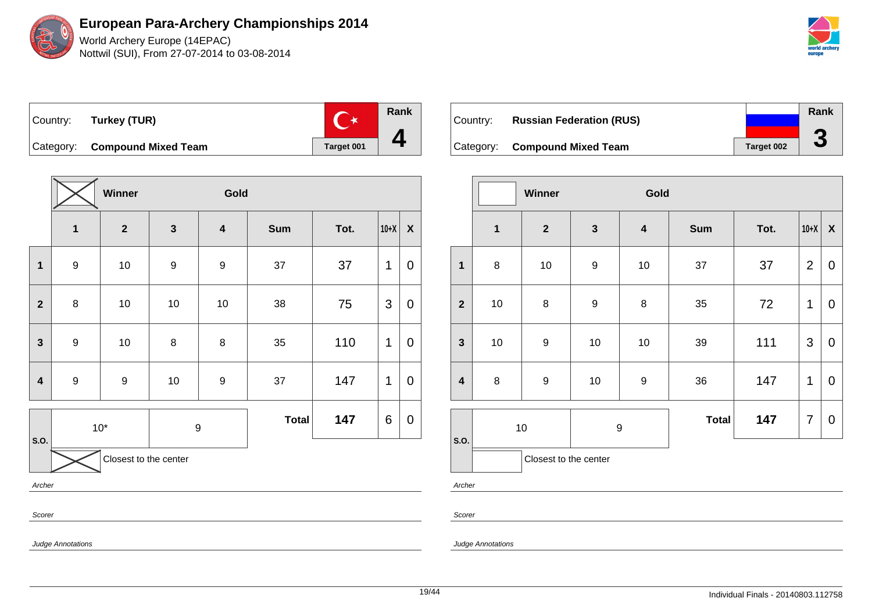



**Rank**  $\mathbb{C}^*$ Country: **Turkey (TUR) 4** Category: **Compound Mixed Team Target 001** 

|                         |                               | Winner           |                  | Gold                    |              |      |             |                    |  |  |  |  |
|-------------------------|-------------------------------|------------------|------------------|-------------------------|--------------|------|-------------|--------------------|--|--|--|--|
|                         | $\overline{\mathbf{1}}$       | $\boldsymbol{2}$ | $\mathbf{3}$     | $\overline{\mathbf{4}}$ | Sum          | Tot. | $10+X$      | $\pmb{\mathsf{X}}$ |  |  |  |  |
| $\mathbf 1$             | $\boldsymbol{9}$              | $10$             | $\boldsymbol{9}$ | $\boldsymbol{9}$        | 37           | 37   | 1           | 0                  |  |  |  |  |
| $\mathbf{2}$            | 8                             | 10               | $10$             | $10$                    | 38           | 75   | 3           | $\boldsymbol{0}$   |  |  |  |  |
| $\mathbf{3}$            | $\boldsymbol{9}$              | 10               | $\bf 8$          | 8                       | 35           | 110  | $\mathbf 1$ | $\mathbf 0$        |  |  |  |  |
| $\overline{\mathbf{4}}$ | $\boldsymbol{9}$              | $\boldsymbol{9}$ | $10\,$           | $\boldsymbol{9}$        | 37           | 147  | 1           | $\pmb{0}$          |  |  |  |  |
|                         |                               | $10*$            | 9                |                         | <b>Total</b> | 147  | 6           | $\pmb{0}$          |  |  |  |  |
|                         | S.O.<br>Closest to the center |                  |                  |                         |              |      |             |                    |  |  |  |  |
| Archer                  |                               |                  |                  |                         |              |      |             |                    |  |  |  |  |
| Scorer                  |                               |                  |                  |                         |              |      |             |                    |  |  |  |  |

| Country: | <b>Russian Federation (RUS)</b> |            | Rank |
|----------|---------------------------------|------------|------|
|          | Category: Compound Mixed Team   | Target 002 | J    |

|                         |                         | Winner                |                  | Gold                    |              |      |                |                  |
|-------------------------|-------------------------|-----------------------|------------------|-------------------------|--------------|------|----------------|------------------|
|                         | $\overline{\mathbf{1}}$ | $\overline{2}$        | $\mathbf{3}$     | $\overline{\mathbf{4}}$ | <b>Sum</b>   | Tot. | $10+X$         | $\boldsymbol{X}$ |
| $\mathbf{1}$            | $\bf 8$                 | 10                    | $\boldsymbol{9}$ | $10$                    | 37           | 37   | $\overline{2}$ | $\mathbf 0$      |
| $\overline{2}$          | 10                      | $\bf 8$               | $\boldsymbol{9}$ | 8                       | 35           | 72   | 1              | $\mathbf 0$      |
| $\mathbf{3}$            | $10$                    | $\boldsymbol{9}$      | $10$             | $10$                    | 39           | 111  | 3              | $\mathbf 0$      |
| $\overline{\mathbf{4}}$ | $\bf 8$                 | 9                     | $10$             | $\boldsymbol{9}$        | 36           | 147  | 1              | $\mathbf 0$      |
| S.O.                    |                         | $10$                  | 9                |                         | <b>Total</b> | 147  | $\overline{7}$ | $\mathbf 0$      |
|                         |                         | Closest to the center |                  |                         |              |      |                |                  |

Archer

Scorer

Judge Annotations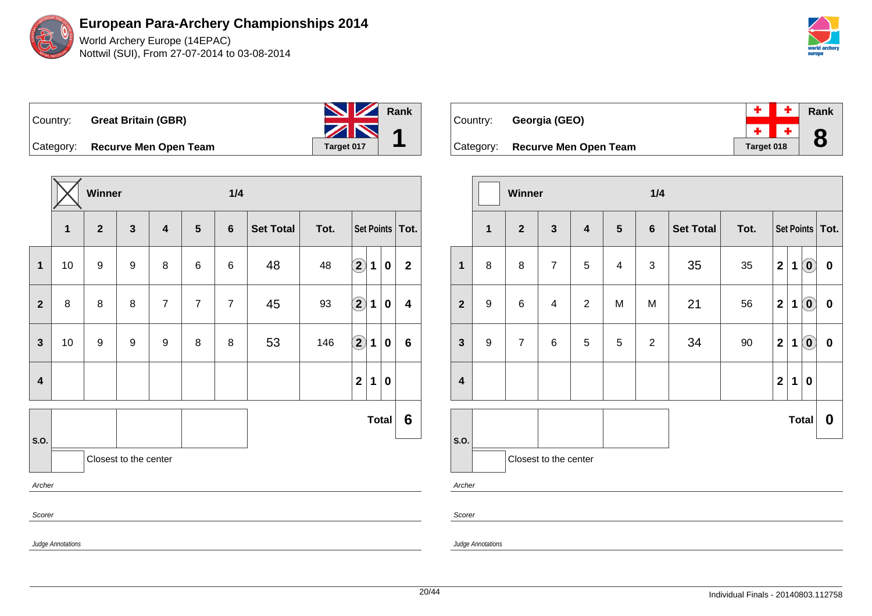

| Country: |                                 | <b>NV</b> Rank |  |
|----------|---------------------------------|----------------|--|
|          | <b>Great Britain (GBR)</b>      | ZN             |  |
|          | Category: Recurve Men Open Team | Target 017     |  |

**Winner 1/4 1 2 3 4 5 6 Set Total Tot. Set Points Tot. 1** 10 9 9 8 6 6 48 48 **2 1 0 2 2** 8 8 8 7 7 7 45 93 **2 1 0 4 3** 10 9 9 9 8 8 53 146 **2 1 0 6 4 2 1 0 S.O. Total 6** Closest to the center Archer Scorer Judge Annotations

| Country: | Georgia (GEO)                   |            |       | $+$ $+$ $\overline{ }$ Rank |
|----------|---------------------------------|------------|-------|-----------------------------|
|          |                                 |            | $+ +$ | 8                           |
|          | Category: Recurve Men Open Team | Target 018 |       |                             |

|                         |                  | Winner         |                         |                         |                | 1/4            |           |        |                         |             |                            |                   |
|-------------------------|------------------|----------------|-------------------------|-------------------------|----------------|----------------|-----------|--------|-------------------------|-------------|----------------------------|-------------------|
|                         | 1                | $\overline{2}$ | $\mathbf{3}$            | $\overline{\mathbf{4}}$ | $5\phantom{1}$ | $6\phantom{1}$ | Set Total | Tot.   |                         |             |                            | Set Points   Tot. |
| $\mathbf 1$             | 8                | 8              | $\overline{7}$          | 5                       | $\overline{4}$ | $\sqrt{3}$     | 35        | 35     | $\mathbf{2}$            | 1           | $\left( \mathbf{0}\right)$ | $\pmb{0}$         |
| $\overline{\mathbf{2}}$ | $\boldsymbol{9}$ | $6\phantom{1}$ | $\overline{\mathbf{4}}$ | $\overline{2}$          | M              | M              | 21        | 56     | $\mathbf{2}$            | 1           | $\left( \mathbf{0}\right)$ | $\bf{0}$          |
| $\mathbf{3}$            | $\boldsymbol{9}$ | $\overline{7}$ | 6                       | $\sqrt{5}$              | 5              | $\overline{c}$ | 34        | $90\,$ | $\mathbf{2}$            | 1           | $\left( \mathbf{0}\right)$ | $\pmb{0}$         |
| $\overline{\mathbf{4}}$ |                  |                |                         |                         |                |                |           |        | $\overline{\mathbf{2}}$ | $\mathbf 1$ | 0                          |                   |
|                         |                  |                |                         |                         |                |                |           |        |                         |             | <b>Total</b>               | $\boldsymbol{0}$  |
| S.O.                    |                  |                | Closest to the center   |                         |                |                |           |        |                         |             |                            |                   |
| Archer                  |                  |                |                         |                         |                |                |           |        |                         |             |                            |                   |

Judge Annotations

Scorer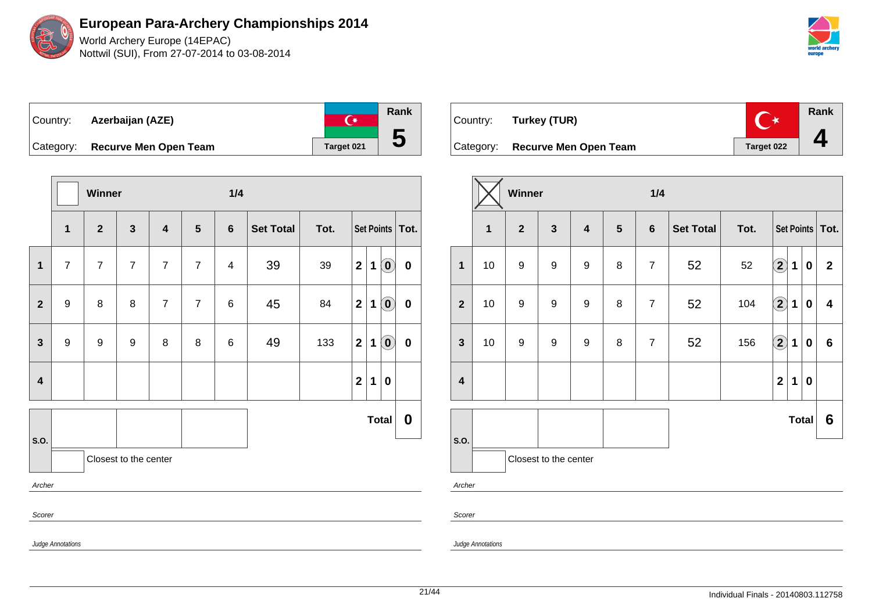World Archery Europe (14EPAC) Nottwil (SUI), From 27-07-2014 to 03-08-2014

| ∣Country: | Azerbaijan (AZE)                | 一套         | Rank                    |
|-----------|---------------------------------|------------|-------------------------|
|           |                                 |            |                         |
|           | Category: Recurve Men Open Team | Target 021 | $\overline{\mathbf{c}}$ |

|                         |                               | Winner         |                |                         |                | 1/4            |                  |      |                |             |                             |                   |
|-------------------------|-------------------------------|----------------|----------------|-------------------------|----------------|----------------|------------------|------|----------------|-------------|-----------------------------|-------------------|
|                         | $\mathbf{1}$                  | $\mathbf{2}$   | $\mathbf{3}$   | $\overline{\mathbf{4}}$ | $5\phantom{1}$ | $6\phantom{1}$ | <b>Set Total</b> | Tot. |                |             |                             | Set Points   Tot. |
| 1                       | $\overline{7}$                | $\overline{7}$ | $\overline{7}$ | $\overline{7}$          | $\overline{7}$ | 4              | 39               | 39   | $\mathbf 2$    | 1           | $\left( \mathbf{0}\right)$  | 0                 |
| $\mathbf{2}$            | 9                             | 8              | 8              | $\overline{7}$          | $\overline{7}$ | 6              | 45               | 84   | $\mathbf{2}$   | 1           | $\left( \mathbf{0}\right)$  | 0                 |
| $\mathbf{3}$            | $\boldsymbol{9}$              | 9              | 9              | 8                       | 8              | 6              | 49               | 133  | $\mathbf{2}$   | 1           | $\left( \textbf{0} \right)$ | $\pmb{0}$         |
| $\overline{\mathbf{4}}$ |                               |                |                |                         |                |                |                  |      | $\overline{2}$ | $\mathbf 1$ | $\bf{0}$                    |                   |
|                         |                               |                |                |                         |                |                |                  |      |                |             | <b>Total</b>                | 0                 |
|                         | S.O.<br>Closest to the center |                |                |                         |                |                |                  |      |                |             |                             |                   |
| Archer                  |                               |                |                |                         |                |                |                  |      |                |             |                             |                   |
| Scorer                  |                               |                |                |                         |                |                |                  |      |                |             |                             |                   |
|                         | <b>Judge Annotations</b>      |                |                |                         |                |                |                  |      |                |             |                             |                   |

| Country: Turkey (TUR)           | <b>TAX</b> | <b>Rank</b> |
|---------------------------------|------------|-------------|
| Category: Recurve Men Open Team | Target 022 |             |

|                         |                         | Winner           |                  |                         |                | 1/4            |                  |      |                        |              |           |                         |
|-------------------------|-------------------------|------------------|------------------|-------------------------|----------------|----------------|------------------|------|------------------------|--------------|-----------|-------------------------|
|                         | $\overline{\mathbf{1}}$ | $\overline{2}$   | $\mathbf{3}$     | $\overline{\mathbf{4}}$ | $5\phantom{1}$ | $6\phantom{1}$ | <b>Set Total</b> | Tot. |                        |              |           | Set Points   Tot.       |
| $\mathbf{1}$            | 10                      | $\boldsymbol{9}$ | $\boldsymbol{9}$ | $\boldsymbol{9}$        | 8              | $\overline{7}$ | 52               | 52   | $\left( \bf{2}\right)$ | $\mathbf 1$  | 0         | $\mathbf{2}$            |
| $\overline{\mathbf{2}}$ | 10                      | $\boldsymbol{9}$ | 9                | $\boldsymbol{9}$        | 8              | $\overline{7}$ | 52               | 104  | $\Large 2$             | $\mathbf 1$  | $\bf{0}$  | $\overline{\mathbf{4}}$ |
| $\mathbf{3}$            | 10                      | $\boldsymbol{9}$ | 9                | $\boldsymbol{9}$        | 8              | $\overline{7}$ | 52               | 156  | $\bf \overline{2}$     | 1            | $\pmb{0}$ | $6\phantom{a}$          |
| $\overline{\mathbf{4}}$ |                         |                  |                  |                         |                |                |                  |      | $\overline{2}$         | 1            | $\pmb{0}$ |                         |
|                         |                         |                  |                  |                         |                |                |                  |      |                        | <b>Total</b> |           | 6                       |
| S.O.                    |                         |                  |                  |                         |                |                |                  |      |                        |              |           |                         |
| Archer                  | Closest to the center   |                  |                  |                         |                |                |                  |      |                        |              |           |                         |

Scorer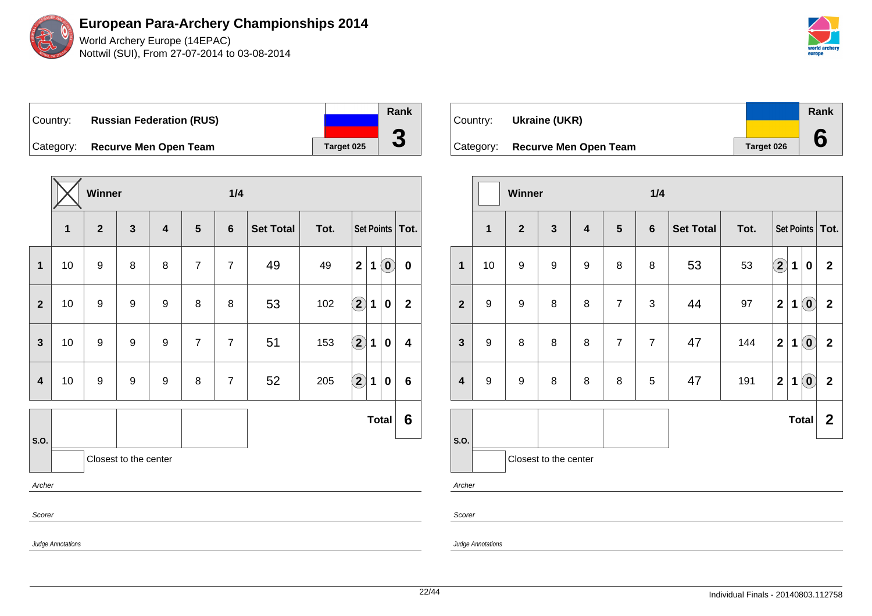

World Archery Europe (14EPAC) Nottwil (SUI), From 27-07-2014 to 03-08-2014



Country: **Russian Federation (RUS)** Category: **Recurve Men Open Team Target 025** 

**Winner 1/4 1 2 3 4 5 6 Set Total Tot. Set Points Tot. 1** 10 9 8 8 7 7 49 49 **2 1 0 0 2** 10 9 9 9 8 8 53 102 **2 1 0 2 3** 10 9 9 9 7 7 51 153 **2 1 0 4 4** 10 9 9 9 8 7 52 205 **2 1 0 6 S.O. Total 6** Closest to the center Archer Scorer Judge Annotations

| Country:  | Ukraine (UKR)         |            | Rank |
|-----------|-----------------------|------------|------|
| Category: | Recurve Men Open Team | Target 026 |      |

|                         |                  | Winner           |                       |                         |                | 1/4            |                  |      |                         |             |                                   |                   |
|-------------------------|------------------|------------------|-----------------------|-------------------------|----------------|----------------|------------------|------|-------------------------|-------------|-----------------------------------|-------------------|
|                         | $\overline{1}$   | $\overline{2}$   | $\mathbf{3}$          | $\overline{\mathbf{4}}$ | $5\phantom{1}$ | $6\phantom{1}$ | <b>Set Total</b> | Tot. |                         |             |                                   | Set Points   Tot. |
| $\mathbf{1}$            | 10               | $\boldsymbol{9}$ | $\boldsymbol{9}$      | 9                       | 8              | 8              | 53               | 53   | $\left( \bf{2}\right)$  | $\mathbf 1$ | $\bf{0}$                          | $\mathbf{2}$      |
| $\mathbf{2}$            | $\boldsymbol{9}$ | $\boldsymbol{9}$ | 8                     | 8                       | $\overline{7}$ | 3              | 44               | 97   | $\overline{\mathbf{2}}$ | 1           | $\left( \mathbf{0}\right)$        | $\mathbf{2}$      |
| $\mathbf{3}$            | $\boldsymbol{9}$ | 8                | 8                     | 8                       | $\overline{7}$ | $\overline{7}$ | 47               | 144  | $\overline{\mathbf{2}}$ | 1           | $\left( \text{\textbf{0}}\right)$ | $\mathbf{2}$      |
| $\overline{\mathbf{4}}$ | $\boldsymbol{9}$ | $\boldsymbol{9}$ | 8                     | 8                       | 8              | 5              | 47               | 191  | $\mathbf 2$             | 1           | $\left( \text{\textbf{0}}\right)$ | $\mathbf{2}$      |
|                         |                  |                  |                       |                         |                |                |                  |      |                         |             | <b>Total</b>                      | $\boldsymbol{2}$  |
| S.O.                    |                  |                  | Closest to the center |                         |                |                |                  |      |                         |             |                                   |                   |
| Archer                  |                  |                  |                       |                         |                |                |                  |      |                         |             |                                   |                   |
| Scorer                  |                  |                  |                       |                         |                |                |                  |      |                         |             |                                   |                   |

Judge Annotations

**Rank**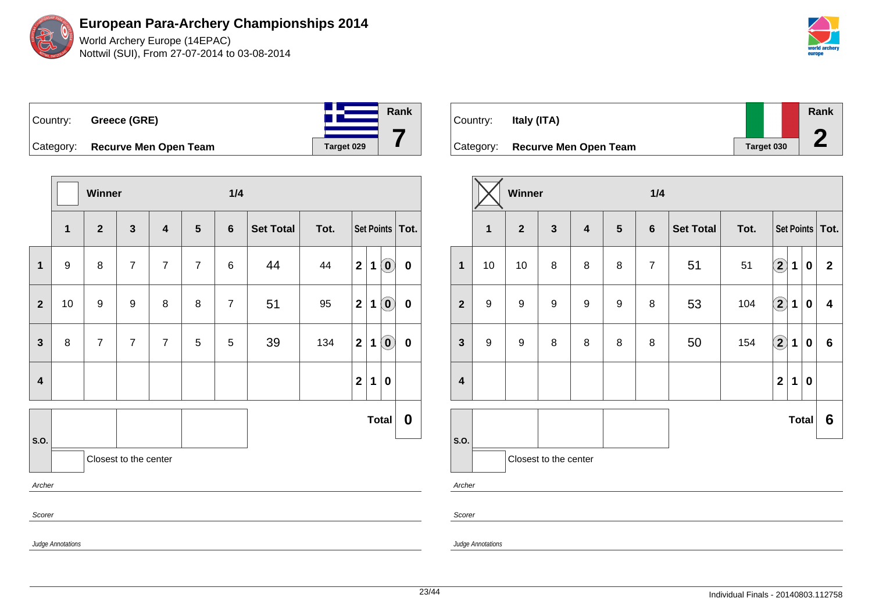World Archery Europe (14EPAC) Nottwil (SUI), From 27-07-2014 to 03-08-2014

| Country:  | Greece (GRE)                 |            | Rank |
|-----------|------------------------------|------------|------|
|           |                              |            |      |
| Category: | <b>Recurve Men Open Team</b> | Target 029 |      |

|                         |                   | Winner         |                       |                         |                 | 1/4            |                  |      |              |             |                            |                  |
|-------------------------|-------------------|----------------|-----------------------|-------------------------|-----------------|----------------|------------------|------|--------------|-------------|----------------------------|------------------|
|                         | $\mathbf{1}$      | $\mathbf{2}$   | $\mathbf{3}$          | $\overline{\mathbf{4}}$ | $5\phantom{.0}$ | $6\phantom{1}$ | <b>Set Total</b> | Tot. |              |             | Set Points   Tot.          |                  |
| 1                       | $\boldsymbol{9}$  | 8              | $\overline{7}$        | $\overline{7}$          | $\overline{7}$  | 6              | 44               | 44   | $\mathbf{2}$ | $\mathbf 1$ | $\left( \mathbf{0}\right)$ | $\mathbf 0$      |
| $\mathbf{2}$            | 10                | 9              | 9                     | 8                       | 8               | $\overline{7}$ | 51               | 95   | $\mathbf 2$  | 1           | $\left( \mathbf{0}\right)$ | $\bf{0}$         |
| $\mathbf{3}$            | 8                 | $\overline{7}$ | $\overline{7}$        | $\overline{7}$          | 5               | 5              | 39               | 134  | $\mathbf{2}$ | $\mathbf 1$ | $\left( \mathbf{0}\right)$ | $\mathbf 0$      |
| $\overline{\mathbf{4}}$ |                   |                |                       |                         |                 |                |                  |      | $\mathbf 2$  | $\mathbf 1$ | $\boldsymbol{0}$           |                  |
|                         |                   |                |                       |                         |                 |                |                  |      |              |             | <b>Total</b>               | $\boldsymbol{0}$ |
| S.O.                    |                   |                | Closest to the center |                         |                 |                |                  |      |              |             |                            |                  |
| Archer                  |                   |                |                       |                         |                 |                |                  |      |              |             |                            |                  |
| Scorer                  |                   |                |                       |                         |                 |                |                  |      |              |             |                            |                  |
|                         | Judge Annotations |                |                       |                         |                 |                |                  |      |              |             |                            |                  |

| Country:  | Italy (ITA)                  |            | Rank |
|-----------|------------------------------|------------|------|
|           |                              |            |      |
| Category: | <b>Recurve Men Open Team</b> | Target 030 |      |

|                         |              | Winner           |                       |                         |                  | 1/4            |                  |      |                         |              |          |                         |
|-------------------------|--------------|------------------|-----------------------|-------------------------|------------------|----------------|------------------|------|-------------------------|--------------|----------|-------------------------|
|                         | $\mathbf{1}$ | $\overline{2}$   | $\mathbf{3}$          | $\overline{\mathbf{4}}$ | $5\phantom{1}$   | $6\phantom{1}$ | <b>Set Total</b> | Tot. |                         |              |          | Set Points   Tot.       |
| $\mathbf{1}$            | 10           | 10               | 8                     | 8                       | 8                | $\overline{7}$ | 51               | 51   | $\bf \overline{2}$      | 1            | 0        | $\overline{2}$          |
| $\overline{2}$          | 9            | $\boldsymbol{9}$ | $\boldsymbol{9}$      | 9                       | $\boldsymbol{9}$ | 8              | 53               | 104  | $\bigcirc$              | $\mathbf{1}$ | $\bf{0}$ | $\overline{\mathbf{4}}$ |
| 3                       | 9            | $\boldsymbol{9}$ | 8                     | 8                       | 8                | 8              | 50               | 154  | $\bigcirc$              | $\mathbf 1$  | $\bf{0}$ | $6\phantom{a}$          |
| $\overline{\mathbf{4}}$ |              |                  |                       |                         |                  |                |                  |      | $\overline{\mathbf{2}}$ | 1            | 0        |                         |
| S.O.                    |              |                  |                       |                         |                  |                |                  |      |                         | <b>Total</b> |          | 6                       |
|                         |              |                  | Closest to the center |                         |                  |                |                  |      |                         |              |          |                         |
| Archer                  |              |                  |                       |                         |                  |                |                  |      |                         |              |          |                         |

Scorer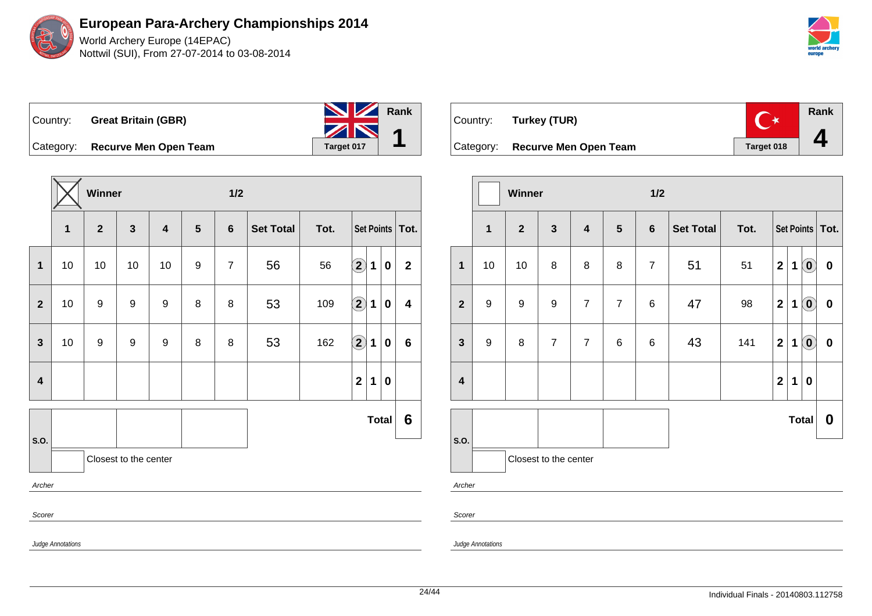| Country: Great Britain (GBR)    | <b>No. 12 Rank</b> |  |
|---------------------------------|--------------------|--|
|                                 | ZN                 |  |
| Category: Recurve Men Open Team | Target 017         |  |

**Winner 1/2 1 2 3 4 5 6 Set Total Tot. Set Points Tot. 1** 10 10 10 10 9 7 56 56 **2 1 0 2 2** 10 9 9 9 8 8 53 109 **2 1 0 4 3** 10 9 9 9 8 8 53 162 **2 1 0 6 4 2 1 0 S.O. Total 6** Closest to the center Archer Scorer Judge Annotations



|                         |                  | Winner           |                       |                         |                | 1/2            |                  |      |                |             |                            |                   |
|-------------------------|------------------|------------------|-----------------------|-------------------------|----------------|----------------|------------------|------|----------------|-------------|----------------------------|-------------------|
|                         | $\mathbf{1}$     | $\overline{2}$   | $\mathbf{3}$          | $\overline{\mathbf{4}}$ | $5\phantom{1}$ | $6\phantom{1}$ | <b>Set Total</b> | Tot. |                |             |                            | Set Points   Tot. |
| $\mathbf{1}$            | 10               | 10               | 8                     | 8                       | 8              | $\overline{7}$ | 51               | 51   | $\overline{2}$ | $\mathbf 1$ | $\left( \mathbf{0}\right)$ | $\pmb{0}$         |
| $\boldsymbol{2}$        | $\boldsymbol{9}$ | $\boldsymbol{9}$ | 9                     | $\overline{7}$          | $\overline{7}$ | 6              | 47               | 98   | $\mathbf{2}$   | 1           | $\left( \mathbf{0}\right)$ | $\mathbf 0$       |
| $\mathbf{3}$            | $\boldsymbol{9}$ | 8                | $\overline{7}$        | $\overline{7}$          | 6              | 6              | 43               | 141  | $\mathbf{2}$   | $\mathbf 1$ | $\left( \mathbf{0}\right)$ | $\mathbf 0$       |
| $\overline{\mathbf{4}}$ |                  |                  |                       |                         |                |                |                  |      | $\overline{2}$ | $\mathbf 1$ | $\pmb{0}$                  |                   |
|                         |                  |                  |                       |                         |                |                |                  |      |                |             | <b>Total</b>               | 0                 |
| S.O.                    |                  |                  | Closest to the center |                         |                |                |                  |      |                |             |                            |                   |
| Archer                  |                  |                  |                       |                         |                |                |                  |      |                |             |                            |                   |
| Scorer                  |                  |                  |                       |                         |                |                |                  |      |                |             |                            |                   |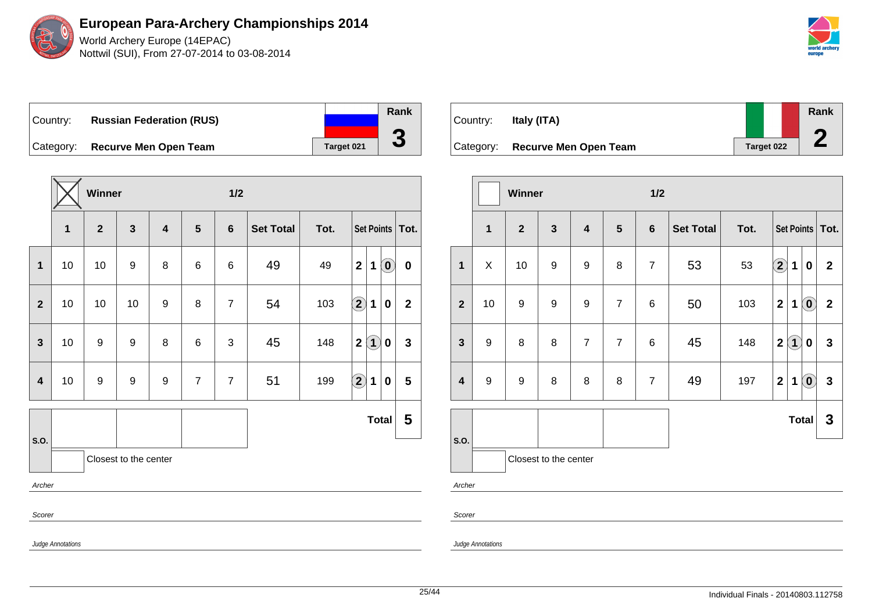

World Archery Europe (14EPAC) Nottwil (SUI), From 27-07-2014 to 03-08-2014



Country: **Russian Federation (RUS)** Category: **Recurve Men Open Team Tanget 021 Rank 3**

|                         |                          | Winner           |                       |   |                | 1/2            |                  |      |                        |                                                     |                         |
|-------------------------|--------------------------|------------------|-----------------------|---|----------------|----------------|------------------|------|------------------------|-----------------------------------------------------|-------------------------|
|                         | 1                        | $\mathbf{2}$     | $\mathbf{3}$          | 4 | 5              | $6\phantom{1}$ | <b>Set Total</b> | Tot. |                        |                                                     | Set Points   Tot.       |
| $\mathbf 1$             | 10                       | 10               | 9                     | 8 | 6              | 6              | 49               | 49   | $\mathbf{2}$           | $\left( \begin{matrix} 0 \end{matrix} \right)$<br>1 | $\boldsymbol{0}$        |
| $\overline{2}$          | 10                       | 10               | 10                    | 9 | 8              | $\overline{7}$ | 54               | 103  | $\bf (2)$              | $\bf{0}$<br>1                                       | $\mathbf 2$             |
| $\overline{3}$          | 10                       | 9                | 9                     | 8 | 6              | 3              | 45               | 148  | $\mathbf 2$            | $\left( \mathbf{1}\right)$<br>0                     | $\mathbf 3$             |
| $\overline{\mathbf{4}}$ | 10                       | $\boldsymbol{9}$ | 9                     | 9 | $\overline{7}$ | $\overline{7}$ | 51               | 199  | $\mathbf{\widehat{2}}$ | 1<br>$\bf{0}$                                       | $\overline{\mathbf{5}}$ |
|                         |                          |                  |                       |   |                |                |                  |      |                        | <b>Total</b>                                        | 5                       |
| S.O.                    |                          |                  | Closest to the center |   |                |                |                  |      |                        |                                                     |                         |
| Archer                  |                          |                  |                       |   |                |                |                  |      |                        |                                                     |                         |
| Scorer                  |                          |                  |                       |   |                |                |                  |      |                        |                                                     |                         |
|                         | <b>Judge Annotations</b> |                  |                       |   |                |                |                  |      |                        |                                                     |                         |



|                         |                  | Winner           |                       |                         |                | 1/2            |                  |      |                  |                   |                                                |                   |
|-------------------------|------------------|------------------|-----------------------|-------------------------|----------------|----------------|------------------|------|------------------|-------------------|------------------------------------------------|-------------------|
|                         | $\mathbf{1}$     | $\overline{2}$   | $\mathbf{3}$          | $\overline{\mathbf{4}}$ | $5\phantom{1}$ | $6\phantom{1}$ | <b>Set Total</b> | Tot. |                  |                   |                                                | Set Points   Tot. |
| $\mathbf{1}$            | X                | 10               | $\boldsymbol{9}$      | 9                       | 8              | $\overline{7}$ | 53               | 53   | $\mathbf{2}$     | 1                 | $\boldsymbol{0}$                               | $\mathbf{2}$      |
| $\boldsymbol{2}$        | 10               | $\boldsymbol{9}$ | $\boldsymbol{9}$      | $\boldsymbol{9}$        | $\overline{7}$ | 6              | 50               | 103  | $\boldsymbol{2}$ | 1                 | $\left( \begin{matrix} 0 \end{matrix} \right)$ | $\mathbf{2}$      |
| $\mathbf{3}$            | $\boldsymbol{9}$ | 8                | 8                     | $\overline{7}$          | $\overline{7}$ | 6              | 45               | 148  | $\overline{2}$   | $\left( 1\right)$ | 0                                              | $\mathbf{3}$      |
| $\overline{\mathbf{4}}$ | $9$              | $\boldsymbol{9}$ | $\bf 8$               | 8                       | 8              | $\overline{7}$ | 49               | 197  | $\mathbf 2$      | 1                 | $\left( \mathbf{0}\right)$                     | $\mathbf{3}$      |
| S.O.                    |                  |                  |                       |                         |                |                |                  |      |                  |                   | <b>Total</b>                                   | 3                 |
|                         |                  |                  | Closest to the center |                         |                |                |                  |      |                  |                   |                                                |                   |
| Archer                  |                  |                  |                       |                         |                |                |                  |      |                  |                   |                                                |                   |
| Scorer                  |                  |                  |                       |                         |                |                |                  |      |                  |                   |                                                |                   |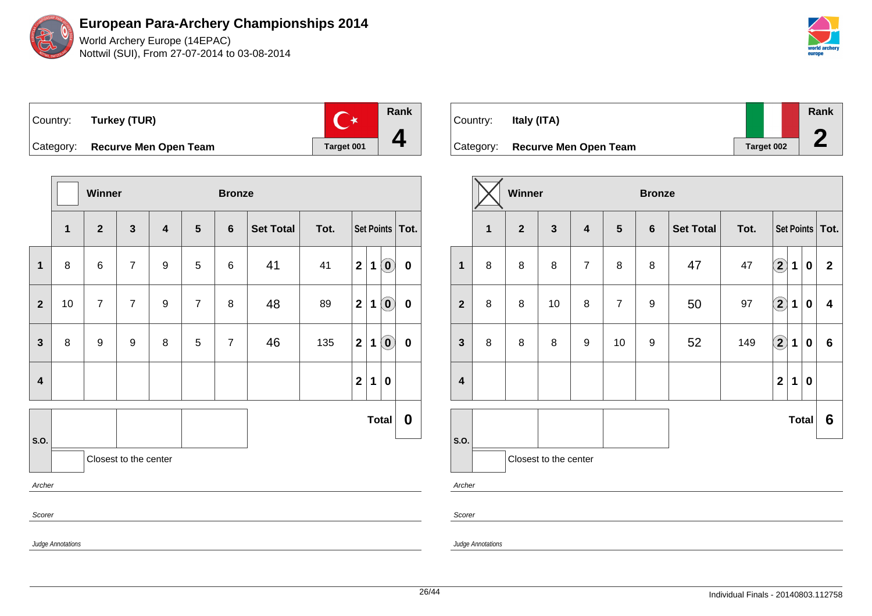

**European Para-Archery Championships 2014** World Archery Europe (14EPAC)

Nottwil (SUI), From 27-07-2014 to 03-08-2014



**Rank**  $\mathbb{C}^*$ Country: **Turkey (TUR) 4** Category: **Recurve Men Open Team Target 001** 

|                         |                   | Winner         |                       |                         |                | <b>Bronze</b>  |                  |      |                  |   |                                                         |                   |
|-------------------------|-------------------|----------------|-----------------------|-------------------------|----------------|----------------|------------------|------|------------------|---|---------------------------------------------------------|-------------------|
|                         | $\mathbf{1}$      | $\overline{2}$ | $\mathbf{3}$          | $\overline{\mathbf{4}}$ | $5\phantom{1}$ | $6\phantom{1}$ | <b>Set Total</b> | Tot. |                  |   |                                                         | Set Points   Tot. |
| $\mathbf{1}$            | 8                 | 6              | $\overline{7}$        | 9                       | 5              | 6              | 41               | 41   | $\mathbf 2$      | 1 | $\left( \begin{matrix} \mathbf{0} \end{matrix} \right)$ | $\bf{0}$          |
| $\overline{2}$          | 10                | $\overline{7}$ | $\overline{7}$        | 9                       | $\overline{7}$ | 8              | 48               | 89   | $\boldsymbol{2}$ | 1 | $\left( \begin{matrix} 0 \end{matrix} \right)$          | $\pmb{0}$         |
| $\mathbf{3}$            | 8                 | 9              | 9                     | 8                       | 5              | $\overline{7}$ | 46               | 135  | $\mathbf{2}$     | 1 | $\left( \mathbf{0}\right)$                              | $\pmb{0}$         |
| $\overline{\mathbf{4}}$ |                   |                |                       |                         |                |                |                  |      | $\mathbf{2}$     | 1 | 0                                                       |                   |
|                         |                   |                |                       |                         |                |                |                  |      |                  |   | <b>Total</b>                                            | $\boldsymbol{0}$  |
| S.O.                    |                   |                | Closest to the center |                         |                |                |                  |      |                  |   |                                                         |                   |
| Archer                  |                   |                |                       |                         |                |                |                  |      |                  |   |                                                         |                   |
| Scorer                  |                   |                |                       |                         |                |                |                  |      |                  |   |                                                         |                   |
|                         | Judge Annotations |                |                       |                         |                |                |                  |      |                  |   |                                                         |                   |

| Country: | Italy (ITA)                     |            | Rank |
|----------|---------------------------------|------------|------|
|          | Category: Recurve Men Open Team | Target 002 |      |

|                         |                | Winner         |                       |                         |                | <b>Bronze</b>   |                  |      |                         |              |              |                   |
|-------------------------|----------------|----------------|-----------------------|-------------------------|----------------|-----------------|------------------|------|-------------------------|--------------|--------------|-------------------|
|                         | $\overline{1}$ | $\overline{2}$ | $\mathbf{3}$          | $\overline{\mathbf{4}}$ | $5\phantom{1}$ | $6\phantom{1}6$ | <b>Set Total</b> | Tot. |                         |              |              | Set Points   Tot. |
| $\mathbf{1}$            | 8              | 8              | 8                     | $\overline{7}$          | $\bf 8$        | 8               | 47               | 47   | $\mathbf{2}$            | $\mathbf{1}$ | $\bf{0}$     | $\mathbf{2}$      |
| $\overline{2}$          | 8              | 8              | 10                    | 8                       | $\overline{7}$ | 9               | 50               | 97   | $\left( 2\right)$       | 1            | $\bf{0}$     | 4                 |
| $\mathbf{3}$            | 8              | 8              | 8                     | 9                       | 10             | 9               | 52               | 149  | $\Large{\textbf{2}}$    | $\mathbf 1$  | 0            | $6\phantom{1}$    |
| $\overline{\mathbf{4}}$ |                |                |                       |                         |                |                 |                  |      | $\overline{\mathbf{2}}$ | 1            | 0            |                   |
|                         |                |                |                       |                         |                |                 |                  |      |                         |              | <b>Total</b> | 6                 |
| S.O.                    |                |                | Closest to the center |                         |                |                 |                  |      |                         |              |              |                   |
| Archer                  |                |                |                       |                         |                |                 |                  |      |                         |              |              |                   |

Scorer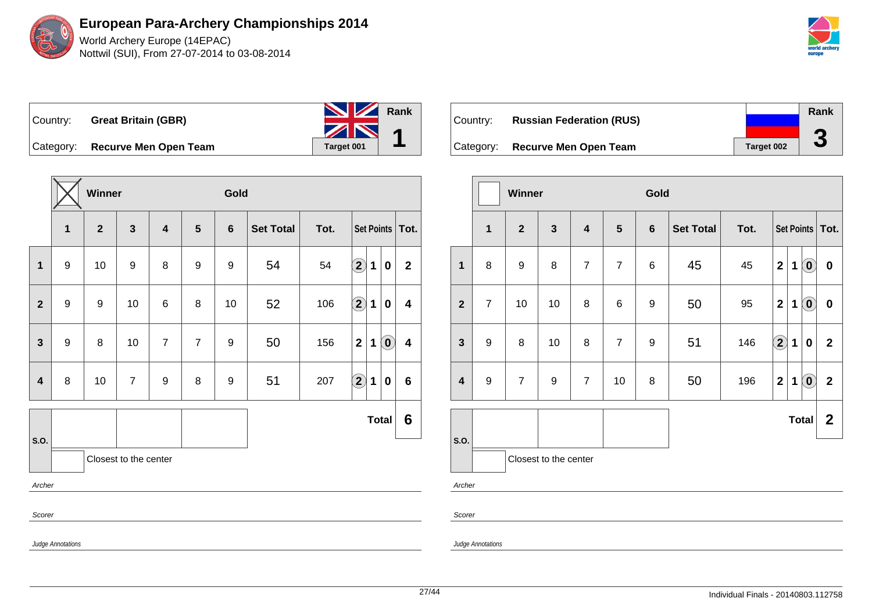

| <b>Great Britain (GBR)</b> |                                 |                      |
|----------------------------|---------------------------------|----------------------|
|                            | Target 001                      |                      |
|                            | Category: Recurve Men Open Team | <b>NV</b> Rank<br>ZN |

**Winner Gold 1 2 3 4 5 6 Set Total Tot. Set Points Tot. 1** 9 10 9 8 9 9 54 54 **2 1 0 2 2** 9 9 10 6 8 10 52 106 **2 1 0 4 3** 9 8 10 7 7 9 50 156 210 4 **4** 8 10 7 9 8 9 51 207 **2 1 0 6 S.O. Total 6** Closest to the center Archer Scorer Judge Annotations

| Country:  | <b>Russian Federation (RUS)</b> |            | Rank   |
|-----------|---------------------------------|------------|--------|
| Category: | <b>Recurve Men Open Team</b>    | Target 002 | G<br>J |

|                         |                       | <b>Winner</b>    |              |                         |                | Gold           |                  |      |                         |   |                            |                  |
|-------------------------|-----------------------|------------------|--------------|-------------------------|----------------|----------------|------------------|------|-------------------------|---|----------------------------|------------------|
|                         | $\mathbf{1}$          | $\overline{2}$   | $\mathbf{3}$ | $\overline{\mathbf{4}}$ | 5              | $6\phantom{1}$ | <b>Set Total</b> | Tot. |                         |   | Set Points   Tot.          |                  |
| $\mathbf{1}$            | 8                     | $\boldsymbol{9}$ | 8            | $\overline{7}$          | $\overline{7}$ | 6              | 45               | 45   | $\mathbf{2}$            | 1 | $\left( \mathbf{0}\right)$ | $\boldsymbol{0}$ |
| $\overline{2}$          | $\overline{7}$        | 10               | 10           | 8                       | 6              | 9              | 50               | 95   | $\overline{2}$          | 1 | $\left( \mathbf{0}\right)$ | $\bf{0}$         |
| $\mathbf{3}$            | $\boldsymbol{9}$      | 8                | 10           | 8                       | $\overline{7}$ | 9              | 51               | 146  | $\Large 2$              | 1 | 0                          | $\mathbf{2}$     |
| $\overline{\mathbf{4}}$ | $\boldsymbol{9}$      | $\overline{7}$   | 9            | $\overline{7}$          | 10             | 8              | 50               | 196  | $\overline{\mathbf{2}}$ | 1 | $\left( \mathbf{0}\right)$ | $\mathbf{2}$     |
| S.O.                    |                       |                  |              |                         |                |                |                  |      |                         |   | <b>Total</b>               | $\mathbf{2}$     |
|                         | Closest to the center |                  |              |                         |                |                |                  |      |                         |   |                            |                  |
| Archer                  |                       |                  |              |                         |                |                |                  |      |                         |   |                            |                  |
| Scorer                  |                       |                  |              |                         |                |                |                  |      |                         |   |                            |                  |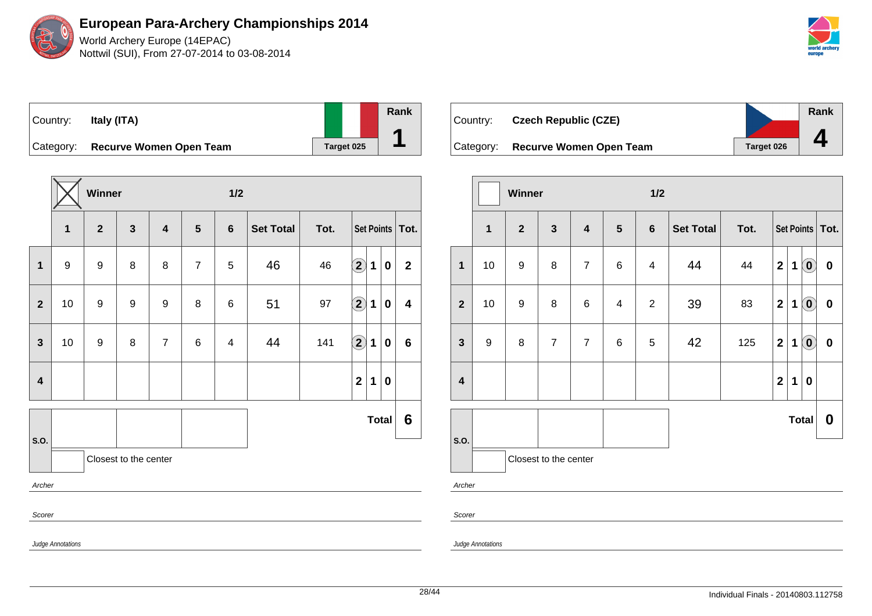World Archery Europe (14EPAC) Nottwil (SUI), From 27-07-2014 to 03-08-2014



## Country: **Italy (ITA)** Category: **Recurve Women Open Team Target 025**

|                         |                   | Winner           |                       |                         |                | $1/2$          |                  |      |                      |             |              |                         |
|-------------------------|-------------------|------------------|-----------------------|-------------------------|----------------|----------------|------------------|------|----------------------|-------------|--------------|-------------------------|
|                         | $\mathbf{1}$      | $\mathbf{2}$     | $\mathbf{3}$          | $\overline{\mathbf{4}}$ | $5\phantom{1}$ | $6\phantom{1}$ | <b>Set Total</b> | Tot. | Set Points   Tot.    |             |              |                         |
| 1                       | 9                 | 9                | 8                     | 8                       | $\overline{7}$ | 5              | 46               | 46   | $\Large{\textbf{2}}$ | 1           | $\bf{0}$     | $\mathbf 2$             |
| $\mathbf{2}$            | 10                | $\boldsymbol{9}$ | 9                     | 9                       | 8              | $\,6$          | 51               | 97   | $\bigcirc \!\! \! 2$ | $\mathbf 1$ | 0            | $\overline{\mathbf{4}}$ |
| $\mathbf{3}$            | 10                | 9                | 8                     | $\overline{7}$          | 6              | 4              | 44               | 141  | $\bf \overline{2}$   | 1           | 0            | 6                       |
| $\overline{\mathbf{4}}$ |                   |                  |                       |                         |                |                |                  |      | $\boldsymbol{2}$     | 1           | 0            |                         |
| S.O.                    |                   |                  |                       |                         |                |                |                  |      |                      |             | <b>Total</b> | 6                       |
|                         |                   |                  | Closest to the center |                         |                |                |                  |      |                      |             |              |                         |
| Archer                  |                   |                  |                       |                         |                |                |                  |      |                      |             |              |                         |
| Scorer                  |                   |                  |                       |                         |                |                |                  |      |                      |             |              |                         |
|                         | Judge Annotations |                  |                       |                         |                |                |                  |      |                      |             |              |                         |

| ∣Countr∨: l | <b>Czech Republic (CZE)</b> |            | Rank |
|-------------|-----------------------------|------------|------|
| Category:   | Recurve Women Open Team     | Target 026 |      |

|                         |              | Winner           |                       |                         |                | 1/2            |                  |      |                         |             |                                                     |                  |
|-------------------------|--------------|------------------|-----------------------|-------------------------|----------------|----------------|------------------|------|-------------------------|-------------|-----------------------------------------------------|------------------|
|                         | $\mathbf{1}$ | $\overline{2}$   | $\mathbf{3}$          | $\overline{\mathbf{4}}$ | $5\phantom{1}$ | $6\phantom{1}$ | <b>Set Total</b> | Tot. | Set Points   Tot.       |             |                                                     |                  |
| $\mathbf{1}$            | 10           | $\boldsymbol{9}$ | 8                     | $\overline{7}$          | 6              | 4              | 44               | 44   | $\overline{\mathbf{2}}$ | 1           | $\left( \mathbf{0}\right)$                          | $\pmb{0}$        |
| $\overline{2}$          | 10           | $\boldsymbol{9}$ | 8                     | $\,6$                   | 4              | $\mathbf{2}$   | 39               | 83   | $\overline{\mathbf{2}}$ | 1           | $\left( \begin{matrix} 0 \\ 0 \end{matrix} \right)$ | $\pmb{0}$        |
| $\mathbf{3}$            | 9            | $\bf 8$          | $\overline{7}$        | $\overline{7}$          | $\,6$          | 5              | 42               | 125  | $\mathbf 2$             | 1           | $\left( 0 \right)$                                  | $\pmb{0}$        |
| $\overline{\mathbf{4}}$ |              |                  |                       |                         |                |                |                  |      | $\overline{\mathbf{2}}$ | $\mathbf 1$ | $\mathbf 0$                                         |                  |
|                         |              |                  |                       |                         |                |                | <b>Total</b>     |      |                         |             |                                                     | $\boldsymbol{0}$ |
| S.O.                    |              |                  | Closest to the center |                         |                |                |                  |      |                         |             |                                                     |                  |
|                         | Archer       |                  |                       |                         |                |                |                  |      |                         |             |                                                     |                  |

Scorer

Judge Annotations

**Rank**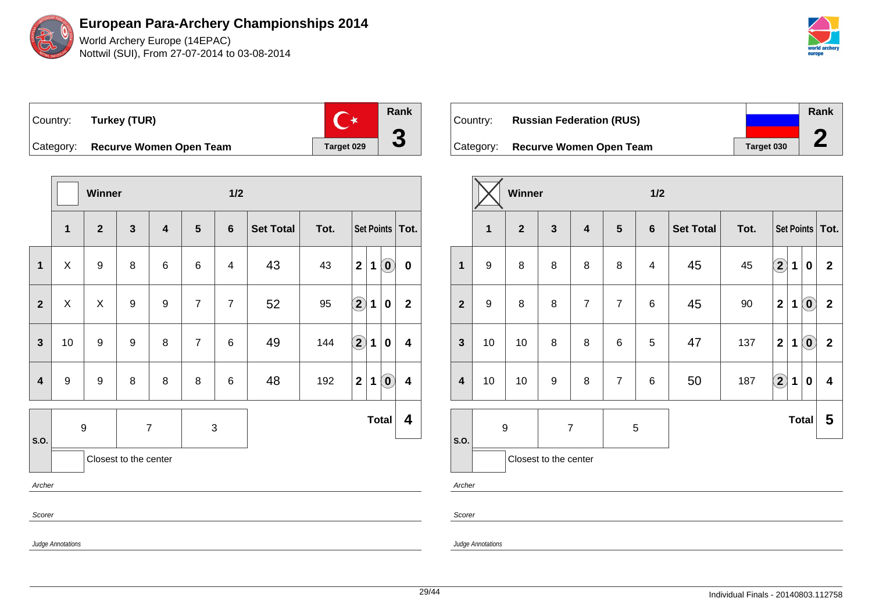

**Rank**  $\mathbf{C}^{\star}$ Country: **Turkey (TUR) 3** Category: **Recurve Women Open Team Target 029** 

|                         |                   | Winner           |                       |                         |                |                 | $1/2$            |      |                                                                                                                                                                                                                                                                                                                                                                                                               |              |                                                |                         |  |
|-------------------------|-------------------|------------------|-----------------------|-------------------------|----------------|-----------------|------------------|------|---------------------------------------------------------------------------------------------------------------------------------------------------------------------------------------------------------------------------------------------------------------------------------------------------------------------------------------------------------------------------------------------------------------|--------------|------------------------------------------------|-------------------------|--|
|                         | $\mathbf{1}$      | $\mathbf{2}$     | $\mathbf{3}$          | $\overline{\mathbf{4}}$ | $5\phantom{1}$ | $6\phantom{1}6$ | <b>Set Total</b> | Tot. | Set Points   Tot.                                                                                                                                                                                                                                                                                                                                                                                             |              |                                                |                         |  |
| 1                       | X                 | $\boldsymbol{9}$ | 8                     | 6                       | 6              | 4               | 43               | 43   | $\overline{2}$                                                                                                                                                                                                                                                                                                                                                                                                | $\mathbf 1$  | $\left( \begin{matrix} 0 \end{matrix} \right)$ | $\mathbf 0$             |  |
| $\mathbf{2}$            | X                 | Χ                | 9                     | 9                       | $\overline{7}$ | $\overline{7}$  | 52               | 95   | $\mathbf{2}% ^{2}\mathbf{1}_{B(1)}=\mathbf{1}_{B(1)}=\mathbf{1}_{B(1)}=\mathbf{1}_{B(1)}=\mathbf{1}_{B(1)}=\mathbf{1}_{B(1)}=\mathbf{1}_{B(1)}=\mathbf{1}_{B(1)}=\mathbf{1}_{B(1)}=\mathbf{1}_{B(1)}=\mathbf{1}_{B(1)}=\mathbf{1}_{B(1)}=\mathbf{1}_{B(1)}=\mathbf{1}_{B(1)}=\mathbf{1}_{B(1)}=\mathbf{1}_{B(1)}=\mathbf{1}_{B(1)}=\mathbf{1}_{B(1)}=\mathbf{1}_{B(1)}=\mathbf{1}_{B(1)}=\mathbf{1}_{B(1)}=\$ | 1            | $\bf{0}$                                       | $\mathbf{2}$            |  |
| $\mathbf{3}$            | 10                | $\boldsymbol{9}$ | 9                     | 8                       | $\overline{7}$ | $6\phantom{1}6$ | 49               | 144  | $\Large{\textbf{2}}$                                                                                                                                                                                                                                                                                                                                                                                          | $\mathbf{1}$ | $\bf{0}$                                       | $\overline{\mathbf{4}}$ |  |
| $\overline{\mathbf{4}}$ | $\boldsymbol{9}$  | $\boldsymbol{9}$ | 8                     | 8                       | 8              | $6\phantom{1}6$ | 48               | 192  | $\mathbf{2}$                                                                                                                                                                                                                                                                                                                                                                                                  | $\mathbf 1$  | $\left( \begin{matrix} 0 \end{matrix} \right)$ | $\overline{\mathbf{4}}$ |  |
|                         |                   | $\boldsymbol{9}$ | $\overline{7}$        |                         | $\sqrt{3}$     |                 |                  |      |                                                                                                                                                                                                                                                                                                                                                                                                               |              | <b>Total</b>                                   | 4                       |  |
| S.O.                    |                   |                  | Closest to the center |                         |                |                 |                  |      |                                                                                                                                                                                                                                                                                                                                                                                                               |              |                                                |                         |  |
| Archer                  |                   |                  |                       |                         |                |                 |                  |      |                                                                                                                                                                                                                                                                                                                                                                                                               |              |                                                |                         |  |
| Scorer                  |                   |                  |                       |                         |                |                 |                  |      |                                                                                                                                                                                                                                                                                                                                                                                                               |              |                                                |                         |  |
|                         | Judge Annotations |                  |                       |                         |                |                 |                  |      |                                                                                                                                                                                                                                                                                                                                                                                                               |              |                                                |                         |  |

| ∣Country: l | <b>Russian Federation (RUS)</b>   |            | Rank |
|-------------|-----------------------------------|------------|------|
|             | Category: Recurve Women Open Team | Target 030 |      |

|                         |                                    | Winner                |                  |                         |                | 1/2            |                  |        |                         |   |                            |                         |
|-------------------------|------------------------------------|-----------------------|------------------|-------------------------|----------------|----------------|------------------|--------|-------------------------|---|----------------------------|-------------------------|
|                         | $\overline{\mathbf{1}}$            | $\overline{2}$        | $\mathbf{3}$     | $\overline{\mathbf{4}}$ | 5              | $6\phantom{1}$ | <b>Set Total</b> | Tot.   |                         |   | Set Points                 | Tot.                    |
| $\mathbf{1}$            | $\boldsymbol{9}$                   | 8                     | 8                | 8                       | 8              | 4              | 45               | 45     | $\bf \Omega$            | 1 | 0                          | $\mathbf 2$             |
| $\overline{\mathbf{2}}$ | 9                                  | 8                     | 8                | $\overline{7}$          | $\overline{7}$ | 6              | 45               | $90\,$ | $\mathbf 2$             | 1 | $\odot$                    | $\mathbf 2$             |
| $\mathbf{3}$            | 10                                 | 10                    | 8                | 8                       | 6              | 5              | 47               | 137    | $\overline{\mathbf{2}}$ | 1 | $\left( \mathbf{0}\right)$ | $\mathbf 2$             |
| $\overline{\mathbf{4}}$ | 10                                 | 10                    | $\boldsymbol{9}$ | 8                       | $\overline{7}$ | 6              | 50               | 187    | $\mathbf{\widehat{2}}$  | 1 | 0                          | $\overline{\mathbf{4}}$ |
| S.O.                    | $\boldsymbol{9}$<br>$\overline{7}$ |                       |                  | 5                       |                |                |                  |        | <b>Total</b>            |   | 5                          |                         |
|                         |                                    | Closest to the center |                  |                         |                |                |                  |        |                         |   |                            |                         |
| Archer                  |                                    |                       |                  |                         |                |                |                  |        |                         |   |                            |                         |

Scorer

Judge Annotations

29/44 Individual Finals - 20140803.112758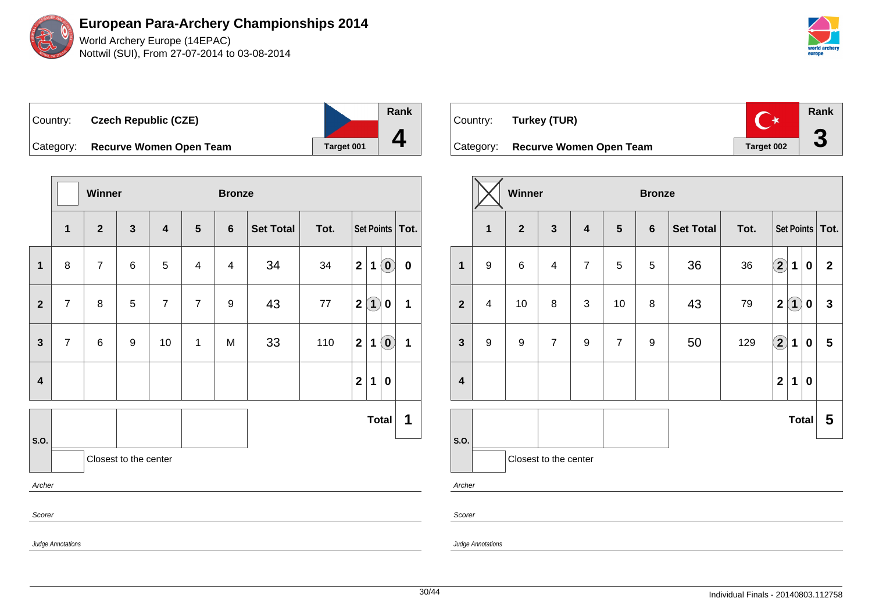World Archery Europe (14EPAC) Nottwil (SUI), From 27-07-2014 to 03-08-2014

| world archery<br>europe |
|-------------------------|

| Country:  | <b>Czech Republic (CZE)</b>    |            | Rank |
|-----------|--------------------------------|------------|------|
| Category: | <b>Recurve Women Open Team</b> | Target 001 |      |

**Winner Bronze 1 2 3 4 5 6 Set Total Tot. Set Points Tot. 1** 8 7 6 5 4 4 34 34 **2 1 0 0 2** 7 8 5 7 7 9 43 77 **2 1 0 1 3**  $\begin{bmatrix} 7 \\ 6 \end{bmatrix}$  6 | 9 | 10 | 1 | M | 33 | 110 | 2 | 1 | 0 | 1 **4 2 1 0 S.O. Total 1** Closest to the center Archer Scorer

|           | Country: Turkey (TUR)   | $\Gamma$   | Rank |
|-----------|-------------------------|------------|------|
| Category: | Recurve Women Open Team | Target 002 |      |

|                         |              | Winner         |                       |                         |                | <b>Bronze</b>    |                  |      |                                              |              |                   |  |
|-------------------------|--------------|----------------|-----------------------|-------------------------|----------------|------------------|------------------|------|----------------------------------------------|--------------|-------------------|--|
|                         | $\mathbf{1}$ | $\overline{2}$ | $\mathbf{3}$          | $\overline{\mathbf{4}}$ | $5\phantom{1}$ | $6\phantom{a}$   | <b>Set Total</b> | Tot. |                                              |              | Set Points   Tot. |  |
| $\mathbf{1}$            | 9            | $\,6\,$        | $\overline{4}$        | $\overline{7}$          | 5              | 5                | 36               | 36   | $\mathbf{2}$<br>1                            | $\bf{0}$     | $\mathbf{2}$      |  |
| $\overline{2}$          | 4            | 10             | 8                     | 3                       | 10             | 8                | 43               | 79   | $\overline{\mathbf{2}}$<br>$\left( 1\right)$ | 0            | $\mathbf{3}$      |  |
| $\mathbf{3}$            | 9            | 9              | $\overline{7}$        | 9                       | $\overline{7}$ | $\boldsymbol{9}$ | 50               | 129  | $\bigcirc \!\! 2$<br>1                       | 0            | 5                 |  |
| $\overline{\mathbf{4}}$ |              |                |                       |                         |                |                  |                  |      | $\overline{\mathbf{2}}$<br>1                 | 0            |                   |  |
| S.O.                    |              |                |                       |                         |                |                  |                  |      |                                              | <b>Total</b> | 5                 |  |
|                         |              |                | Closest to the center |                         |                |                  |                  |      |                                              |              |                   |  |
|                         | Archer       |                |                       |                         |                |                  |                  |      |                                              |              |                   |  |

Scorer

Judge Annotations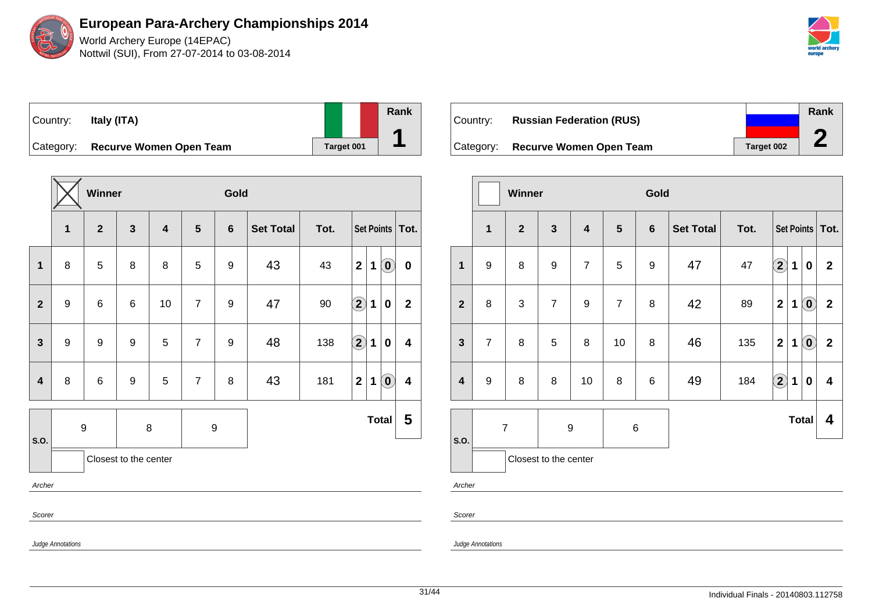World Archery Europe (14EPAC) Nottwil (SUI), From 27-07-2014 to 03-08-2014



## Country: **Italy (ITA)** Category: **Recurve Women Open Team Target 001**

|                         |                               | Winner          |                  |                         |                  | Gold             |                  |      |                            |   |                                                |                         |
|-------------------------|-------------------------------|-----------------|------------------|-------------------------|------------------|------------------|------------------|------|----------------------------|---|------------------------------------------------|-------------------------|
|                         | $\mathbf{1}$                  | $\overline{2}$  | $\mathbf{3}$     | $\overline{\mathbf{4}}$ | $5\phantom{1}$   | $6\phantom{1}$   | <b>Set Total</b> | Tot. |                            |   |                                                | Set Points   Tot.       |
| $\mathbf 1$             | 8                             | 5               | 8                | 8                       | 5                | $\boldsymbol{9}$ | 43               | 43   | $\overline{\mathbf{2}}$    | 1 | $\left( \begin{matrix} 0 \end{matrix} \right)$ | $\bf{0}$                |
| $\mathbf{2}$            | $\boldsymbol{9}$              | $\,6$           | 6                | 10                      | $\overline{7}$   | $\boldsymbol{9}$ | 47               | 90   | $\bf \overline{2}$         | 1 | $\bf{0}$                                       | $\mathbf 2$             |
| $\mathbf{3}$            | $\boldsymbol{9}$              | $9$             | 9                | $\sqrt{5}$              | $\overline{7}$   | $\boldsymbol{9}$ | 48               | 138  | $\left( \mathbf{2}\right)$ | 1 | $\bf{0}$                                       | $\overline{\mathbf{4}}$ |
| $\overline{\mathbf{4}}$ | $\bf 8$                       | $6\phantom{1}6$ | $\boldsymbol{9}$ | 5                       | $\overline{7}$   | 8                | 43               | 181  | $\mathbf 2$                | 1 | $\left( \mathbf{0}\right)$                     | $\overline{\mathbf{4}}$ |
|                         |                               | 9               |                  | $\bf 8$                 | $\boldsymbol{9}$ |                  |                  |      |                            |   | <b>Total</b>                                   | 5                       |
|                         | S.O.<br>Closest to the center |                 |                  |                         |                  |                  |                  |      |                            |   |                                                |                         |
| Archer                  |                               |                 |                  |                         |                  |                  |                  |      |                            |   |                                                |                         |
| Scorer                  | Judge Annotations             |                 |                  |                         |                  |                  |                  |      |                            |   |                                                |                         |

| ⊺Countr∨: | <b>Russian Federation (RUS)</b>   |                   | Rank |
|-----------|-----------------------------------|-------------------|------|
|           |                                   |                   |      |
|           | Category: Recurve Women Open Team | <b>Target 002</b> |      |

|                         |                | Winner       |                       |                         |                 | Gold             |                  |      |                            |   |                                                     |                         |
|-------------------------|----------------|--------------|-----------------------|-------------------------|-----------------|------------------|------------------|------|----------------------------|---|-----------------------------------------------------|-------------------------|
|                         | 1              | $\mathbf{2}$ | $\mathbf{3}$          | $\overline{\mathbf{4}}$ | $5\phantom{.0}$ | $6\phantom{1}6$  | <b>Set Total</b> | Tot. |                            |   |                                                     | Set Points   Tot.       |
| $\mathbf{1}$            | 9              | 8            | $\boldsymbol{9}$      | $\overline{7}$          | 5               | $\boldsymbol{9}$ | 47               | 47   | $\bf \Omega$               | 1 | $\bf{0}$                                            | $\mathbf{2}$            |
| $\overline{2}$          | 8              | 3            | $\overline{7}$        | 9                       | $\overline{7}$  | 8                | 42               | 89   | $\overline{\mathbf{2}}$    | 1 | $\ddot{\mathbf{0}}$                                 | $\mathbf 2$             |
| $\mathbf{3}$            | $\overline{7}$ | 8            | 5                     | 8                       | 10              | 8                | 46               | 135  | $\mathbf{2}$               | 1 | $\left( \begin{matrix} 0 \\ 0 \end{matrix} \right)$ | $\boldsymbol{2}$        |
| $\overline{\mathbf{4}}$ | 9              | 8            | 8                     | 10                      | 8               | $6\phantom{1}6$  | 49               | 184  | $\left( \mathbf{2}\right)$ | 1 | $\mathbf 0$                                         | $\overline{\mathbf{4}}$ |
|                         | $\overline{7}$ |              |                       | 6<br>9                  |                 |                  |                  |      |                            |   | <b>Total</b>                                        | 4                       |
| S.O.                    |                |              | Closest to the center |                         |                 |                  |                  |      |                            |   |                                                     |                         |

Archer

Scorer

Judge Annotations

31/44 Individual Finals - 20140803.112758

**Rank**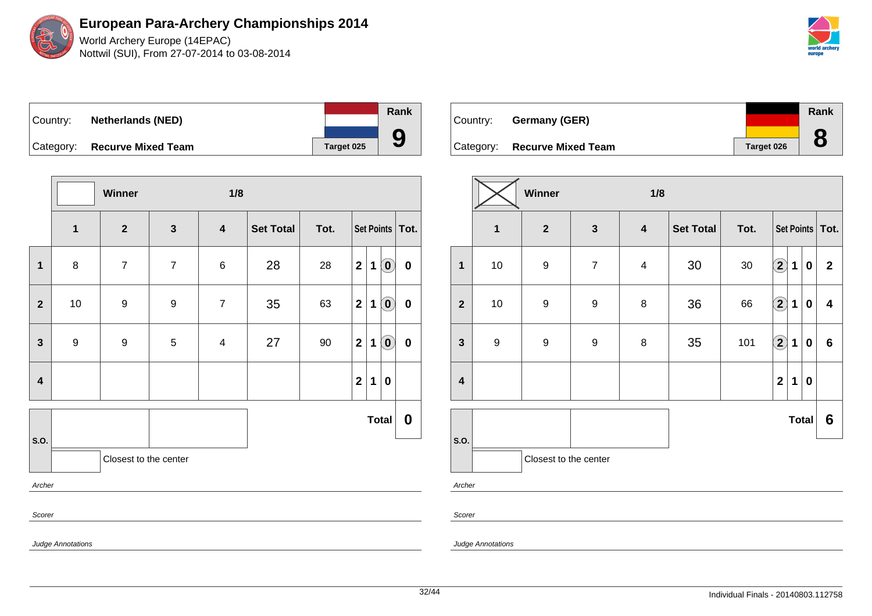World Archery Europe (14EPAC) Nottwil (SUI), From 27-07-2014 to 03-08-2014

| world archery<br>europe |
|-------------------------|

| Country: | <b>Netherlands (NED)</b>     |            | <b>Rank</b> |
|----------|------------------------------|------------|-------------|
|          | Category: Recurve Mixed Team | Target 025 |             |

|                               |                  | Winner         |                  | 1/8                     |                  |      |                |             |                                                         |                   |
|-------------------------------|------------------|----------------|------------------|-------------------------|------------------|------|----------------|-------------|---------------------------------------------------------|-------------------|
|                               | $\mathbf 1$      | $\mathbf{2}$   | $\mathbf{3}$     | $\overline{\mathbf{4}}$ | <b>Set Total</b> | Tot. |                |             |                                                         | Set Points   Tot. |
| $\mathbf{1}$                  | $\bf 8$          | $\overline{7}$ | $\overline{7}$   | $\,6$                   | 28               | 28   | 2              | $\mathbf 1$ | $\left( \mathbf{0}\right)$                              | $\pmb{0}$         |
| $\mathbf{2}$                  | 10               | 9              | $\boldsymbol{9}$ | $\overline{7}$          | 35               | 63   | 2 <sup>1</sup> | $\mathbf 1$ | $\left( \begin{matrix} \textbf{0} \end{matrix} \right)$ | $\pmb{0}$         |
| $\mathbf{3}$                  | $\boldsymbol{9}$ | 9              | $\sqrt{5}$       | $\overline{\mathbf{4}}$ | 27               | 90   | 2              | $\mathbf 1$ | $\left( \mathbf{0}\right)$                              | $\pmb{0}$         |
| 4                             |                  |                |                  |                         |                  |      | $\mathbf{2}$   | 1           | $\boldsymbol{0}$                                        |                   |
|                               |                  |                |                  |                         |                  |      |                |             | <b>Total</b>                                            | $\boldsymbol{0}$  |
| S.O.<br>Closest to the center |                  |                |                  |                         |                  |      |                |             |                                                         |                   |
| Archer                        |                  |                |                  |                         |                  |      |                |             |                                                         |                   |
| Scorer                        |                  |                |                  |                         |                  |      |                |             |                                                         |                   |

|          |                              |            | Rank |
|----------|------------------------------|------------|------|
| Country: | Germany (GER)                |            |      |
|          | Category: Recurve Mixed Team | Target 026 |      |

|                         | Winner<br>1/8           |                       |                  |                         |                  |        |                         |             |                  |                   |
|-------------------------|-------------------------|-----------------------|------------------|-------------------------|------------------|--------|-------------------------|-------------|------------------|-------------------|
|                         | $\overline{\mathbf{1}}$ | $\mathbf{2}$          | $\mathbf{3}$     | $\overline{\mathbf{4}}$ | <b>Set Total</b> | Tot.   |                         |             |                  | Set Points   Tot. |
| $\mathbf{1}$            | $10$                    | 9                     | $\overline{7}$   | $\overline{\mathbf{4}}$ | 30               | $30\,$ | $\Large 2$              | 1           | $\boldsymbol{0}$ | $\mathbf 2$       |
| $\overline{\mathbf{2}}$ | $10$                    | $\boldsymbol{9}$      | $\boldsymbol{9}$ | 8                       | 36               | 66     | $\Large{\textbf{2}}$    | $\mathbf 1$ | $\bf{0}$         | 4                 |
| $\mathbf{3}$            | $\boldsymbol{9}$        | $\boldsymbol{9}$      | $\boldsymbol{9}$ | 8                       | 35               | 101    | $\Large{\textbf{2}}$    | $\mathbf 1$ | 0                | $\bf 6$           |
| $\overline{\mathbf{4}}$ |                         |                       |                  |                         |                  |        | $\overline{\mathbf{2}}$ | $\mathbf 1$ | $\bf{0}$         |                   |
|                         |                         |                       |                  |                         |                  |        |                         |             | <b>Total</b>     | 6                 |
| S.O.<br>Archer          |                         | Closest to the center |                  |                         |                  |        |                         |             |                  |                   |

Scorer

Judge Annotations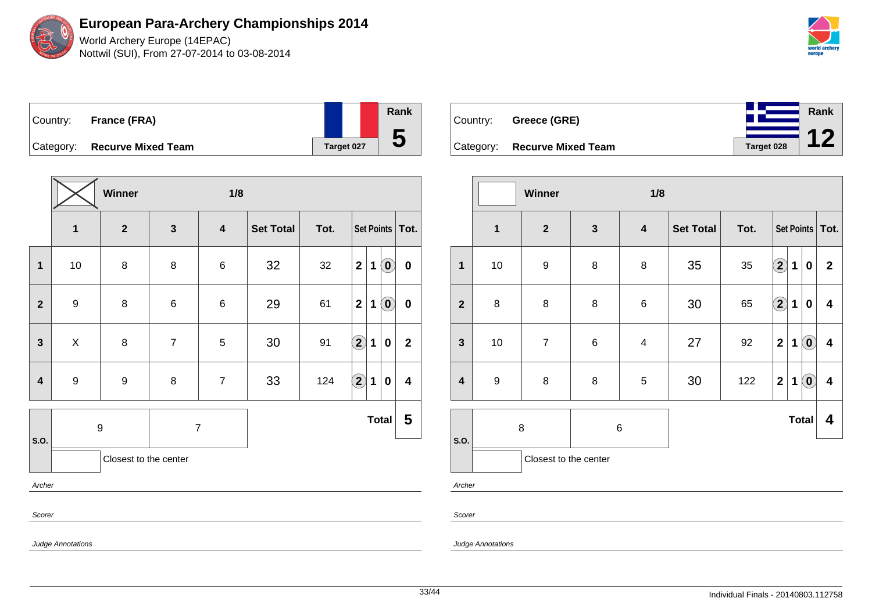World Archery Europe (14EPAC) Nottwil (SUI), From 27-07-2014 to 03-08-2014

**Rank**

**12**

|  | Country: France (FRA)        |            | Rank |
|--|------------------------------|------------|------|
|  | Category: Recurve Mixed Team | Target 027 | C    |

|                         |                  | Winner                |                | 1/8                     |                  |      |                      |              |                            |                         |
|-------------------------|------------------|-----------------------|----------------|-------------------------|------------------|------|----------------------|--------------|----------------------------|-------------------------|
|                         | $\mathbf{1}$     | $\mathbf{2}$          | $\mathbf{3}$   | $\overline{\mathbf{4}}$ | <b>Set Total</b> | Tot. |                      |              |                            | Set Points   Tot.       |
| $\mathbf{1}$            | 10               | 8                     | 8              | 6                       | 32               | 32   | $\mathbf 2$          | $\mathbf{1}$ | $\left( \mathbf{0}\right)$ | $\pmb{0}$               |
| $\overline{2}$          | $\boldsymbol{9}$ | 8                     | $\,6$          | 6                       | 29               | 61   | $\mathbf 2$          | $\mathbf 1$  | $\left( \mathbf{0}\right)$ | $\pmb{0}$               |
| 3                       | X                | 8                     | $\overline{7}$ | 5                       | 30               | 91   | $\Large 2$           | 1            | $\mathbf 0$                | $\overline{\mathbf{2}}$ |
| $\overline{\mathbf{4}}$ | 9                | $\boldsymbol{9}$      | 8              | $\overline{7}$          | 33               | 124  | $\Large{\textbf{2}}$ | $\mathbf 1$  | $\pmb{0}$                  | $\overline{\mathbf{4}}$ |
| S.O.                    |                  | $\mathsf 9$           | $\overline{7}$ |                         |                  |      |                      | <b>Total</b> | 5                          |                         |
|                         |                  | Closest to the center |                |                         |                  |      |                      |              |                            |                         |
| Archer                  |                  |                       |                |                         |                  |      |                      |              |                            |                         |
| Scorer                  |                  |                       |                |                         |                  |      |                      |              |                            |                         |

| Country: Greece (GRE)        |            |
|------------------------------|------------|
| Category: Recurve Mixed Team | Target 028 |

|                  |                         | Winner                |              | 1/8                     |                  |      |                         |   |                            |                         |
|------------------|-------------------------|-----------------------|--------------|-------------------------|------------------|------|-------------------------|---|----------------------------|-------------------------|
|                  | $\overline{\mathbf{1}}$ | $\mathbf{2}$          | $\mathbf{3}$ | 4                       | <b>Set Total</b> | Tot. |                         |   |                            | Set Points   Tot.       |
| 1                | 10                      | $\boldsymbol{9}$      | 8            | 8                       | 35               | 35   | $\bf \Omega$            | 1 | 0                          | $\mathbf{2}$            |
| $\overline{2}$   | $\bf 8$                 | 8                     | $\bf 8$      | $\,6$                   | 30               | 65   | $\mathbf{Q}$            | 1 | $\bf{0}$                   | 4                       |
| $\mathbf{3}$     | 10                      | $\overline{7}$        | 6            | $\overline{\mathbf{4}}$ | 27               | 92   | $\overline{\mathbf{2}}$ | 1 | $\left( \mathbf{0}\right)$ | $\overline{\mathbf{4}}$ |
| $\boldsymbol{4}$ | $\boldsymbol{9}$        | 8                     | $\bf 8$      | 5                       | 30               | 122  | $\mathbf 2$             | 1 | $\tilde{\mathbf{0}}$       | $\overline{\mathbf{4}}$ |
|                  | 8                       |                       | $\,6$        |                         |                  |      |                         |   | <b>Total</b>               | 4                       |
| S.O.             |                         | Closest to the center |              |                         |                  |      |                         |   |                            |                         |

Archer

Scorer

Judge Annotations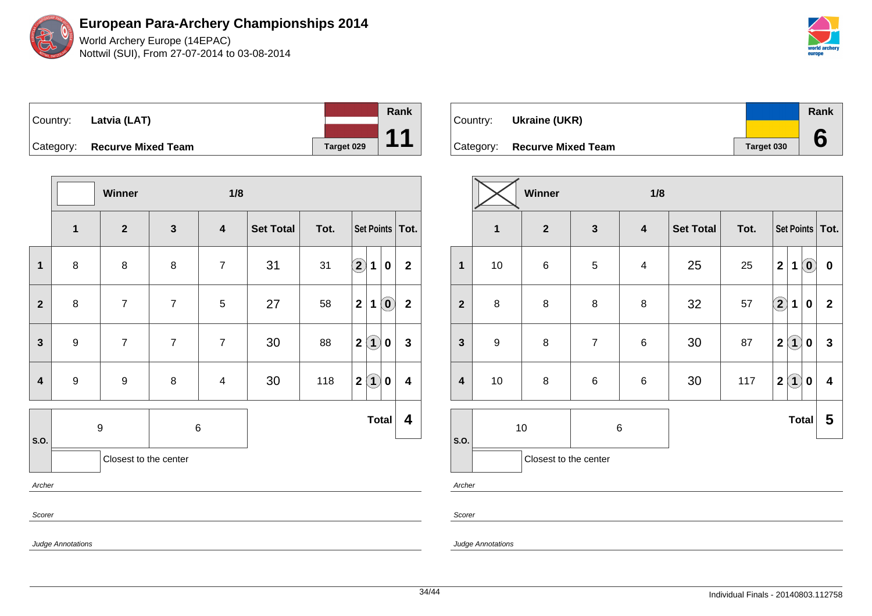World Archery Europe (14EPAC) Nottwil (SUI), From 27-07-2014 to 03-08-2014

|  | Country: Latvia (LAT)        |                   | Rank                 |
|--|------------------------------|-------------------|----------------------|
|  |                              |                   | $\blacktriangleleft$ |
|  | Category: Recurve Mixed Team | <b>Target 029</b> |                      |

|                         |                          | Winner                |                | 1/8                     |                  |      |                                                           |                         |  |  |  |
|-------------------------|--------------------------|-----------------------|----------------|-------------------------|------------------|------|-----------------------------------------------------------|-------------------------|--|--|--|
|                         | $\mathbf 1$              | $\mathbf{2}$          | $\mathbf{3}$   | $\overline{\mathbf{4}}$ | <b>Set Total</b> | Tot. | Set Points   Tot.                                         |                         |  |  |  |
| $\mathbf{1}$            | $\bf 8$                  | 8                     | $\bf 8$        | $\overline{7}$          | 31               | 31   | $\Large{\textbf{2}}$<br>1<br>$\boldsymbol{0}$             | $\mathbf 2$             |  |  |  |
| $\mathbf{2}$            | $\bf 8$                  | $\overline{7}$        | $\overline{7}$ | $\mathbf 5$             | 27               | 58   | $\mathbf{2}$<br>$\left( \mathbf{0}\right)$<br>$\mathbf 1$ | $\mathbf{2}$            |  |  |  |
| $\mathbf{3}$            | $\boldsymbol{9}$         | $\overline{7}$        | $\overline{7}$ | $\overline{7}$          | 30               | 88   | 2 <sup>1</sup><br>$\bf(1)$<br>$\boldsymbol{0}$            | $\mathbf{3}$            |  |  |  |
| $\overline{\mathbf{4}}$ | $\boldsymbol{9}$         | $\boldsymbol{9}$      | 8              | $\overline{4}$          | 30               | 118  | $\mathbf{\hat{1}}$<br>$\mathbf{2}$<br>$\pmb{0}$           | $\overline{\mathbf{4}}$ |  |  |  |
|                         |                          | $\boldsymbol{9}$      | 6              |                         | <b>Total</b>     |      |                                                           |                         |  |  |  |
| S.O.                    |                          | Closest to the center |                |                         |                  |      |                                                           |                         |  |  |  |
| Archer                  |                          |                       |                |                         |                  |      |                                                           |                         |  |  |  |
| Scorer                  |                          |                       |                |                         |                  |      |                                                           |                         |  |  |  |
|                         | <b>Judge Annotations</b> |                       |                |                         |                  |      |                                                           |                         |  |  |  |

| Country:  | Ukraine (UKR)             |            | Rank |
|-----------|---------------------------|------------|------|
|           |                           |            |      |
| Category: | <b>Recurve Mixed Team</b> | Target 030 |      |

|                         |                  | Winner<br>1/8         |                |                         |                  |      |                         |                   |                            |              |  |
|-------------------------|------------------|-----------------------|----------------|-------------------------|------------------|------|-------------------------|-------------------|----------------------------|--------------|--|
|                         | $\mathbf 1$      | $\overline{2}$        | $\mathbf{3}$   | $\overline{\mathbf{4}}$ | <b>Set Total</b> | Tot. |                         | Set Points   Tot. |                            |              |  |
| $\mathbf{1}$            | 10               | $\,6$                 | 5              | $\overline{\mathbf{4}}$ | 25               | 25   | $\mathbf 2$             | 1                 | $\left( \mathbf{0}\right)$ | $\bf{0}$     |  |
| $\overline{2}$          | $\bf 8$          | $\bf 8$               | 8              | 8                       | 32               | 57   | $\bigcirc$              | $\mathbf 1$       | $\bf{0}$                   | $\mathbf{2}$ |  |
| $\mathbf{3}$            | $\boldsymbol{9}$ | 8                     | $\overline{7}$ | $\,6$                   | 30               | 87   | $\overline{\mathbf{2}}$ | $\left( 1\right)$ | $\boldsymbol{0}$           | 3            |  |
| $\overline{\mathbf{4}}$ | 10               | $\bf 8$               | $\,6\,$        | $\,6$                   | 30               | 117  | $\mathbf 2$             | $\mathbf{1}$      | 0                          | 4            |  |
|                         | 10<br>$\,6$      |                       |                |                         |                  |      | <b>Total</b>            |                   | 5                          |              |  |
| S.O.                    |                  | Closest to the center |                |                         |                  |      |                         |                   |                            |              |  |

Archer

Scorer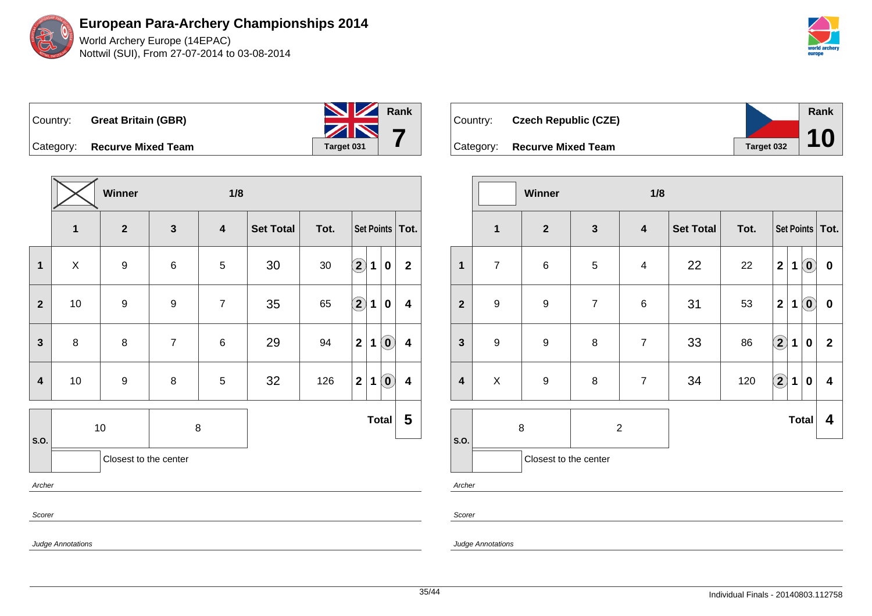

|           | Country: Great Britain (GBR) | <b>No. 7 Rank</b>  |  |
|-----------|------------------------------|--------------------|--|
| Category: | <b>Recurve Mixed Team</b>    | ZN 7<br>Target 031 |  |

**Winner 1/8 1 2 3 4 Set Total Tot. Set Points Tot. 1** X 9 6 5 30 30 **2 1 0 2 2** 10 9 9 7 35 65 **2 1 0 4 3** 8 8 8 7 6 29 94 21 0 4 **4** | 10 | 9 | 8 | 5 | 32 | 126 | 2 | 1 | 0 | 4 **S.O.** 10 8 **Total 5** Closest to the center Archer Scorer

| Country:  | <b>Czech Republic (CZE)</b> |            | <b>Rank</b> |
|-----------|-----------------------------|------------|-------------|
| Category: | <b>Recurve Mixed Team</b>   | Target 032 | 10          |

|                         |                         | Winner<br>1/8         |                |                  |                  |      |                            |                   |              |                         |  |
|-------------------------|-------------------------|-----------------------|----------------|------------------|------------------|------|----------------------------|-------------------|--------------|-------------------------|--|
|                         | $\overline{\mathbf{1}}$ | $\mathbf{2}$          | $\mathbf{3}$   | $\boldsymbol{4}$ | <b>Set Total</b> | Tot. |                            | Set Points   Tot. |              |                         |  |
| $\mathbf 1$             | $\overline{7}$          | $\,6$                 | $\sqrt{5}$     | $\overline{4}$   | 22               | 22   | $\mathbf 2$                | $\mathbf 1$       | $\odot$      | $\boldsymbol{0}$        |  |
| $\overline{2}$          | $\boldsymbol{9}$        | $\boldsymbol{9}$      | $\overline{7}$ | $\,6$            | 31               | 53   | $\overline{\mathbf{2}}$    | 1                 | $\odot$      | $\bf{0}$                |  |
| $\mathbf{3}$            | $\boldsymbol{9}$        | $\boldsymbol{9}$      | 8              | $\overline{7}$   | 33               | 86   | $\bf \Omega$               | $\mathbf 1$       | $\pmb{0}$    | $\overline{\mathbf{2}}$ |  |
| $\overline{\mathbf{4}}$ | $\mathsf{X}$            | $\boldsymbol{9}$      | 8              | $\overline{7}$   | 34               | 120  | $\left( \mathbf{2}\right)$ | $\mathbf 1$       | $\mathbf 0$  | 4                       |  |
|                         | 8                       |                       | $\overline{c}$ |                  |                  |      |                            |                   | <b>Total</b> | 4                       |  |
| S.O.                    |                         | Closest to the center |                |                  |                  |      |                            |                   |              |                         |  |

Archer

Scorer

Judge Annotations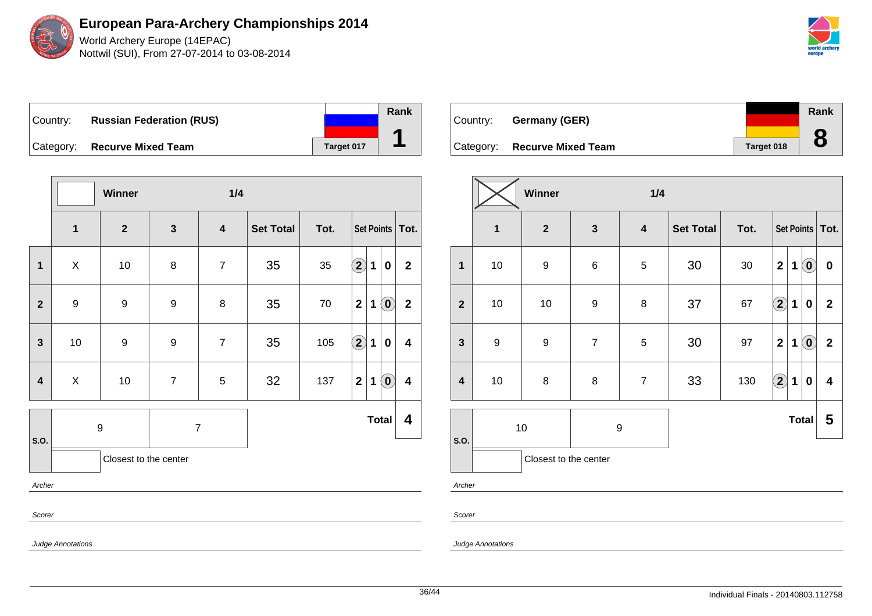

World Archery Europe (14EPAC) Nottwil (SUI), From 27-07-2014 to 03-08-2014



Country: **Russian Federation (RUS)** Category: **Recurve Mixed Team Target 017** 

|                                |                  | Winner                |                  | 1/4              |                  |      |                                        |                                                |                         |
|--------------------------------|------------------|-----------------------|------------------|------------------|------------------|------|----------------------------------------|------------------------------------------------|-------------------------|
|                                | $\mathbf{1}$     | $\mathbf{2}$          | $\mathbf{3}$     | $\boldsymbol{4}$ | <b>Set Total</b> | Tot. | Set Points   Tot.                      |                                                |                         |
| $\mathbf 1$                    | X                | $10$                  | $\bf 8$          | $\overline{7}$   | 35               | 35   | $\Large 2$<br>1                        | $\pmb{0}$                                      | $\mathbf{2}$            |
| $\overline{2}$                 | $\boldsymbol{9}$ | 9                     | 9                | 8                | 35               | 70   | $\overline{\mathbf{2}}$<br>$\mathbf 1$ | $\left( \mathbf{0}\right)$                     | $\mathbf{2}$            |
| $\mathbf{3}$                   | $10$             | $\boldsymbol{9}$      | 9                | $\overline{7}$   | 35               | 105  | $\bigcirc$<br>1                        | $\mathbf 0$                                    | $\overline{\mathbf{4}}$ |
| 4                              | X                | $10$                  | $\boldsymbol{7}$ | $\,$ 5 $\,$      | 32               | 137  | $\mathbf 2$<br>$\mathbf 1$             | $\left( \begin{matrix} 0 \end{matrix} \right)$ | $\overline{\mathbf{4}}$ |
| S.O.                           | 9                |                       | $\overline{7}$   |                  | <b>Total</b>     |      |                                        | 4                                              |                         |
|                                |                  | Closest to the center |                  |                  |                  |      |                                        |                                                |                         |
| Archer                         |                  |                       |                  |                  |                  |      |                                        |                                                |                         |
| Scorer<br>$\sim$ $\sim$ $\sim$ |                  |                       |                  |                  |                  |      |                                        |                                                |                         |

| Country: | Germany (GER)                |            | Rank |
|----------|------------------------------|------------|------|
|          |                              |            |      |
|          | Category: Recurve Mixed Team | Target 018 |      |

|                         |                  | Winner<br>1/4         |                  |                         |                  |      |                         |   |                            |                   |  |  |
|-------------------------|------------------|-----------------------|------------------|-------------------------|------------------|------|-------------------------|---|----------------------------|-------------------|--|--|
|                         | $\mathbf{1}$     | $\boldsymbol{2}$      | $\mathbf{3}$     | $\overline{\mathbf{4}}$ | <b>Set Total</b> | Tot. |                         |   |                            | Set Points   Tot. |  |  |
| $\mathbf{1}$            | 10               | $\boldsymbol{9}$      | $\,6$            | $\sqrt{5}$              | 30               | 30   | $\mathbf 2$             | 1 | $\left( \mathbf{0}\right)$ | $\boldsymbol{0}$  |  |  |
| $\overline{2}$          | $10$             | 10                    | $\boldsymbol{9}$ | $\, 8$                  | 37               | 67   | $\bf \Omega$            | 1 | $\bf{0}$                   | $\mathbf{2}$      |  |  |
| $\mathbf{3}$            | $\boldsymbol{9}$ | $\boldsymbol{9}$      | $\overline{7}$   | $\sqrt{5}$              | 30               | 97   | $\overline{\mathbf{2}}$ | 1 | $\left( \mathbf{0}\right)$ | $\mathbf 2$       |  |  |
| $\overline{\mathbf{4}}$ | 10               | $\bf 8$               | 8                | $\overline{7}$          | 33               | 130  | $\Omega$                | 1 | $\bf{0}$                   | 4                 |  |  |
|                         |                  | $10$                  | 9                |                         | <b>Total</b>     |      |                         | 5 |                            |                   |  |  |
| S.O.                    |                  | Closest to the center |                  |                         |                  |      |                         |   |                            |                   |  |  |

Archer

Scorer

Judge Annotations

Judge Annotations

**Rank**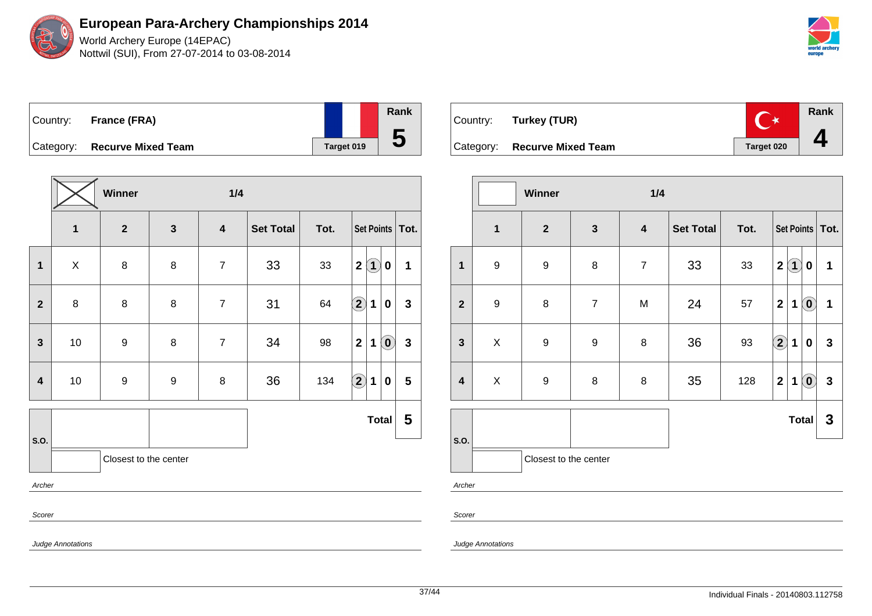World Archery Europe (14EPAC) Nottwil (SUI), From 27-07-2014 to 03-08-2014



| Country:  | <b>France (FRA)</b>       |            | Rank |
|-----------|---------------------------|------------|------|
| Category: | <b>Recurve Mixed Team</b> | Target 019 | C    |

| $\mathbf{2}$ | $\mathbf{3}$     |                         |                  |      |                            |  |                                                                                                                                 |
|--------------|------------------|-------------------------|------------------|------|----------------------------|--|---------------------------------------------------------------------------------------------------------------------------------|
|              |                  | $\overline{\mathbf{4}}$ | <b>Set Total</b> | Tot. | Set Points   Tot.          |  |                                                                                                                                 |
| $\bf 8$      | $\bf 8$          | $\overline{7}$          | 33               | 33   | $\mathbf{2}$               |  | 1                                                                                                                               |
| $\bf 8$      | 8                | $\overline{7}$          | 31               | 64   | $\bigcirc \!\! 2$          |  | $\mathbf{3}$                                                                                                                    |
| 9            | 8                | $\overline{7}$          | 34               | 98   | $\mathbf 2$                |  | $\mathbf{3}$                                                                                                                    |
| 9            | $\boldsymbol{9}$ | $\bf 8$                 | 36               | 134  | $\left( \mathbf{2}\right)$ |  | 5                                                                                                                               |
|              |                  |                         |                  |      |                            |  | 5                                                                                                                               |
|              |                  |                         |                  |      |                            |  |                                                                                                                                 |
|              |                  |                         |                  |      |                            |  |                                                                                                                                 |
|              |                  |                         |                  |      |                            |  |                                                                                                                                 |
|              |                  | Closest to the center   |                  |      |                            |  | $\bf(1)$<br>$\mathbf 0$<br>$\mathbf 1$<br>$\pmb{0}$<br>$\left( \mathbf{0}\right)$<br>1<br>1<br>$\boldsymbol{0}$<br><b>Total</b> |



|                         |                               | Winner           |                  | 1/4              |                  |      |                                                            |              |
|-------------------------|-------------------------------|------------------|------------------|------------------|------------------|------|------------------------------------------------------------|--------------|
|                         | 1                             | $\boldsymbol{2}$ | $\mathbf{3}$     | $\boldsymbol{4}$ | <b>Set Total</b> | Tot. | Set Points   Tot.                                          |              |
| 1                       | $\boldsymbol{9}$              | 9                | 8                | $\overline{7}$   | 33               | 33   | $\mathbf 2$<br>$\bf(1)$<br>0                               | 1            |
| $\mathbf{2}$            | $\boldsymbol{9}$              | 8                | $\overline{7}$   | M                | 24               | 57   | $\overline{\mathbf{2}}$<br>$\left( \mathbf{0}\right)$<br>1 | $\mathbf 1$  |
| $\mathbf{3}$            | $\mathsf X$                   | $\boldsymbol{9}$ | $\boldsymbol{9}$ | $\bf 8$          | 36               | 93   | $\left( 2\right)$<br>1<br>0                                | $\mathbf{3}$ |
| $\overline{\mathbf{4}}$ | X                             | $\boldsymbol{9}$ | $\bf 8$          | 8                | 35               | 128  | $\left( \mathbf{0}\right)$<br>$\mathbf{2}$<br>1            | $\mathbf{3}$ |
|                         |                               |                  |                  |                  |                  |      | <b>Total</b>                                               | $\mathbf{3}$ |
|                         | S.O.<br>Closest to the center |                  |                  |                  |                  |      |                                                            |              |

Archer

Scorer

Judge Annotations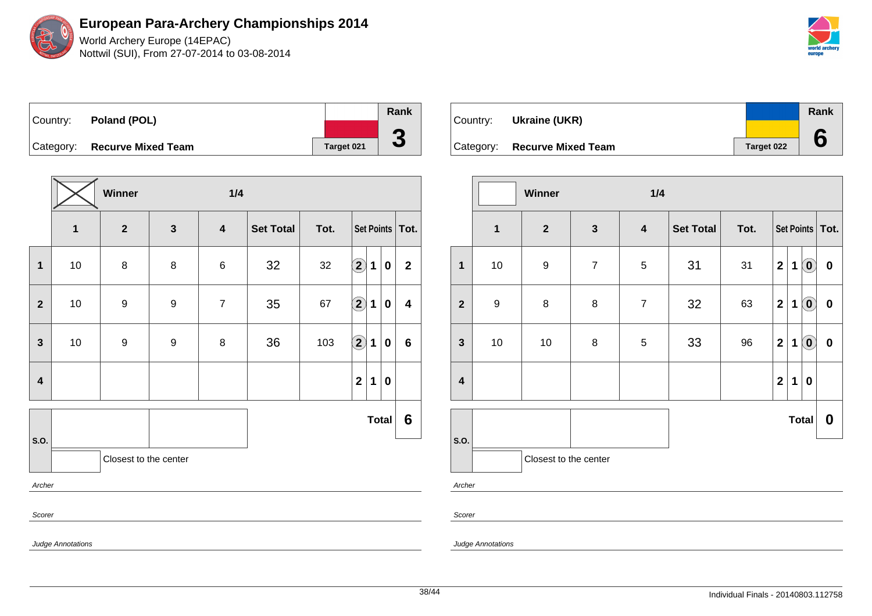World Archery Europe (14EPAC) Nottwil (SUI), From 27-07-2014 to 03-08-2014

| world archery<br>europe |
|-------------------------|

| Country: Poland (POL)        |                   | Rank     |
|------------------------------|-------------------|----------|
|                              |                   |          |
| Category: Recurve Mixed Team | <b>Target 021</b> | <b>J</b> |

|                         |    | Winner<br>1/4         |                         |                         |                  |      |                            |   |              |                         |  |
|-------------------------|----|-----------------------|-------------------------|-------------------------|------------------|------|----------------------------|---|--------------|-------------------------|--|
|                         | 1  | $\overline{2}$        | $\overline{\mathbf{3}}$ | $\overline{\mathbf{4}}$ | <b>Set Total</b> | Tot. | Set Points   Tot.          |   |              |                         |  |
| 1                       | 10 | 8                     | 8                       | 6                       | 32               | 32   | $\bf \overline{2}$         | 1 | 0            | $\overline{2}$          |  |
| $\mathbf{2}$            | 10 | 9                     | 9                       | $\overline{7}$          | 35               | 67   | $\bf \overline{2}$         | 1 | 0            | $\overline{\mathbf{4}}$ |  |
| $\mathbf{3}$            | 10 | 9                     | 9                       | 8                       | 36               | 103  | $\left( \mathbf{2}\right)$ | 1 | $\bf{0}$     | $6\phantom{1}$          |  |
| $\overline{\mathbf{4}}$ |    |                       |                         |                         |                  |      | $\mathbf 2$                | 1 | 0            |                         |  |
|                         |    |                       |                         |                         |                  |      |                            |   | <b>Total</b> | 6                       |  |
| S.O.                    |    | Closest to the center |                         |                         |                  |      |                            |   |              |                         |  |
| Archer                  |    |                       |                         |                         |                  |      |                            |   |              |                         |  |
| Scorer                  |    |                       |                         |                         |                  |      |                            |   |              |                         |  |

Judge Annotations

| Country: | Ukraine (UKR)                |            | Rank |
|----------|------------------------------|------------|------|
|          |                              |            |      |
|          | Category: Recurve Mixed Team | Target 022 |      |

|                         |                  | Winner<br>1/4         |                |                         |                  |      |                         |   |                                   |           |  |  |  |
|-------------------------|------------------|-----------------------|----------------|-------------------------|------------------|------|-------------------------|---|-----------------------------------|-----------|--|--|--|
|                         | $\mathbf{1}$     | $\overline{2}$        | $\mathbf{3}$   | $\overline{\mathbf{4}}$ | <b>Set Total</b> | Tot. | Set Points   Tot.       |   |                                   |           |  |  |  |
| $\mathbf{1}$            | 10               | $\boldsymbol{9}$      | $\overline{7}$ | $\sqrt{5}$              | 31               | 31   | $\mathbf 2$             | 1 | $\left( \mathbf{0}\right)$        | $\pmb{0}$ |  |  |  |
| $\overline{2}$          | $\boldsymbol{9}$ | 8                     | $\bf 8$        | $\overline{7}$          | 32               | 63   | $\mathbf{2}$            | 1 | $\left( \text{\textbf{0}}\right)$ | $\pmb{0}$ |  |  |  |
| $\mathbf{3}$            | $10$             | 10                    | $\bf 8$        | $\sqrt{5}$              | 33               | 96   | $\mathbf 2$             | 1 | $\left( \mathbf{0}\right)$        | $\pmb{0}$ |  |  |  |
| $\overline{\mathbf{4}}$ |                  |                       |                |                         |                  |      | $\overline{\mathbf{2}}$ | 1 | $\bf{0}$                          |           |  |  |  |
|                         |                  |                       |                |                         |                  |      |                         |   | <b>Total</b>                      | 0         |  |  |  |
| S.O.<br>Archer          |                  | Closest to the center |                |                         |                  |      |                         |   |                                   |           |  |  |  |

Scorer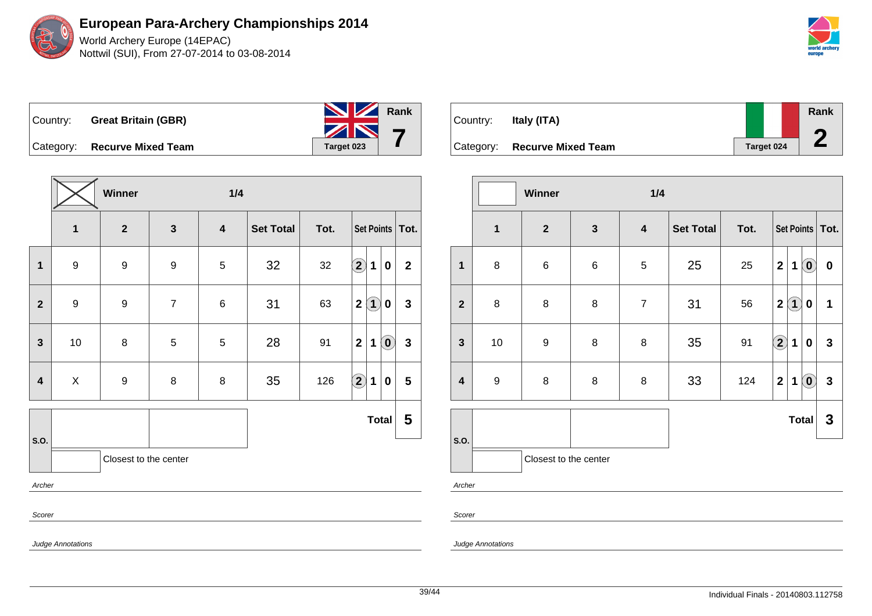

| Country: _ | <b>Great Britain (GBR)</b> | <b>NIZ</b> Rank |  |
|------------|----------------------------|-----------------|--|
|            |                            | ZN 7            |  |
| Category:  | <b>Recurve Mixed Team</b>  | Target 023      |  |

|                         |                  | Winner<br>1/4         |                |                         |                  |      |                   |                   |                            |                         |
|-------------------------|------------------|-----------------------|----------------|-------------------------|------------------|------|-------------------|-------------------|----------------------------|-------------------------|
|                         | $\mathbf{1}$     | $\overline{2}$        | $\mathbf{3}$   | $\overline{\mathbf{4}}$ | <b>Set Total</b> | Tot. | Set Points   Tot. |                   |                            |                         |
| 1                       | $9$              | 9                     | 9              | $\,$ 5 $\,$             | 32               | 32   | $\Large 2$        | 1                 | $\pmb{0}$                  | $\mathbf{2}$            |
| $\overline{2}$          | $\boldsymbol{9}$ | 9                     | $\overline{7}$ | 6                       | 31               | 63   | $\mathbf{2}$      | $\left( 1\right)$ | 0                          | $\mathbf{3}$            |
| $\mathbf{3}$            | 10               | 8                     | 5              | $\,$ 5 $\,$             | 28               | 91   | $\overline{2}$    | $\mathbf 1$       | $\left( \mathbf{0}\right)$ | $\mathbf{3}$            |
| $\overline{\mathbf{4}}$ | X                | $\boldsymbol{9}$      | 8              | 8                       | 35               | 126  | $\bigcirc \!\! 2$ | $\mathbf 1$       | $\pmb{0}$                  | $\overline{\mathbf{5}}$ |
|                         |                  |                       |                |                         |                  |      |                   |                   | <b>Total</b>               | 5                       |
| S.O.                    |                  | Closest to the center |                |                         |                  |      |                   |                   |                            |                         |
| Archer                  |                  |                       |                |                         |                  |      |                   |                   |                            |                         |
| Scorer                  |                  |                       |                |                         |                  |      |                   |                   |                            |                         |

| Country:  | Italy (ITA)               |            | Rank |
|-----------|---------------------------|------------|------|
| Category: | <b>Recurve Mixed Team</b> | Target 024 |      |

|                         |                  | Winner<br>1/4         |              |                  |                  |      |                                     |                             |              |  |
|-------------------------|------------------|-----------------------|--------------|------------------|------------------|------|-------------------------------------|-----------------------------|--------------|--|
|                         | $\mathbf{1}$     | $\boldsymbol{2}$      | $\mathbf{3}$ | $\boldsymbol{4}$ | <b>Set Total</b> | Tot. | Set Points   Tot.                   |                             |              |  |
| $\mathbf{1}$            | 8                | $\,6$                 | $\,6$        | 5                | 25               | 25   | $\overline{\mathbf{2}}$<br>1        | $\left( \mathbf{0}\right)$  | $\pmb{0}$    |  |
| $\overline{2}$          | $\bf 8$          | 8                     | 8            | $\overline{7}$   | 31               | 56   | $\left( 1\right)$<br>$\overline{2}$ | 0                           | 1            |  |
| $\mathbf{3}$            | $10$             | $\boldsymbol{9}$      | 8            | 8                | 35               | 91   | $\bigcirc \!\! \! 2$<br>$\mathbf 1$ | $\bf{0}$                    | $\mathbf{3}$ |  |
| $\overline{\mathbf{4}}$ | $\boldsymbol{9}$ | $\bf 8$               | 8            | $\,8\,$          | 33               | 124  | $\mathbf{2}$<br>1                   | $\left( \textbf{0} \right)$ | $\mathbf{3}$ |  |
|                         |                  |                       |              |                  |                  |      |                                     | <b>Total</b>                | 3            |  |
| S.O.                    |                  | Closest to the center |              |                  |                  |      |                                     |                             |              |  |
| Archer                  |                  |                       |              |                  |                  |      |                                     |                             |              |  |

Scorer

Judge Annotations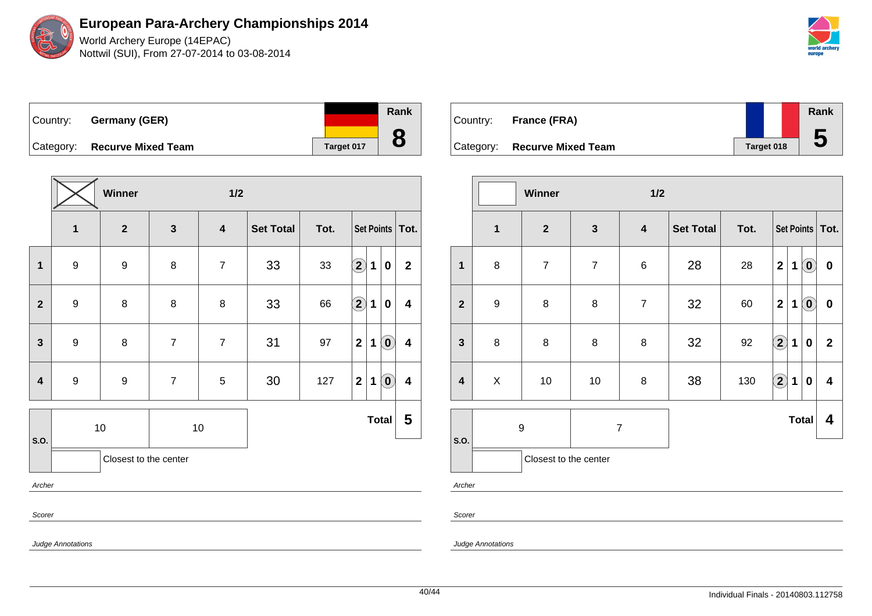World Archery Europe (14EPAC) Nottwil (SUI), From 27-07-2014 to 03-08-2014



Country: **Germany (GER)** Category: **Recurve Mixed Team Target 017** 

|                         |                  | Winner                  |                | $1/2$                   |                  |      |                         |             |                            |                         |
|-------------------------|------------------|-------------------------|----------------|-------------------------|------------------|------|-------------------------|-------------|----------------------------|-------------------------|
|                         | $\mathbf 1$      | $\overline{\mathbf{2}}$ | $\mathbf{3}$   | $\overline{\mathbf{4}}$ | <b>Set Total</b> | Tot. | Set Points   Tot.       |             |                            |                         |
| $\mathbf{1}$            | $9$              | $\boldsymbol{9}$        | 8              | $\overline{7}$          | 33               | 33   | $\bf \Omega$            | 1           | $\pmb{0}$                  | $\mathbf 2$             |
| $\overline{2}$          | $\boldsymbol{9}$ | 8                       | 8              | 8                       | 33               | 66   | $\bigcirc \!\! \! 2$    | 1           | $\bf{0}$                   | 4                       |
| 3                       | 9                | 8                       | $\overline{7}$ | $\overline{7}$          | 31               | 97   | $\overline{\mathbf{2}}$ | 1           | $\left( \mathbf{0}\right)$ | $\overline{\mathbf{4}}$ |
| $\overline{\mathbf{4}}$ | $\boldsymbol{9}$ | $\boldsymbol{9}$        | $\overline{7}$ | $\sqrt{5}$              | 30               | 127  | $\mathbf 2$             | $\mathbf 1$ | $\left( \mathbf{0}\right)$ | 4                       |
| S.O.                    |                  | $10$                    |                | $10$                    |                  |      |                         |             | <b>Total</b>               | 5                       |
|                         |                  | Closest to the center   |                |                         |                  |      |                         |             |                            |                         |
| Archer                  |                  |                         |                |                         |                  |      |                         |             |                            |                         |
| Scorer                  |                  |                         |                |                         |                  |      |                         |             |                            |                         |

| Country: France (FRA)        |                   | Rank |
|------------------------------|-------------------|------|
| Category: Recurve Mixed Team | <b>Target 018</b> | b    |

|                         |                                    | Winner                |                | 1/2                     |                  |      |                         |             |                            |                         |
|-------------------------|------------------------------------|-----------------------|----------------|-------------------------|------------------|------|-------------------------|-------------|----------------------------|-------------------------|
|                         | $\overline{\mathbf{1}}$            | $\mathbf{2}$          | $\mathbf{3}$   | $\overline{\mathbf{4}}$ | <b>Set Total</b> | Tot. |                         |             |                            | Set Points   Tot.       |
| $\mathbf{1}$            | 8                                  | $\overline{7}$        | $\overline{7}$ | $\,6$                   | 28               | 28   | $\overline{\mathbf{2}}$ | 1           | $\odot$                    | $\bf{0}$                |
| $\overline{2}$          | $\boldsymbol{9}$                   | $\bf 8$               | $\bf 8$        | $\overline{7}$          | 32               | 60   | $\mathbf{2}$            | 1           | $\left( \mathbf{0}\right)$ | $\bf{0}$                |
| $\mathbf{3}$            | $\bf 8$                            | 8                     | $\bf 8$        | 8                       | 32               | 92   | $\bigcircled{2}$        | $\mathbf 1$ | $\mathbf 0$                | $\overline{\mathbf{2}}$ |
| $\overline{\mathbf{4}}$ | X                                  | 10                    | 10             | $\bf 8$                 | 38               | 130  | $\boxed{2}$             | 1           | $\bf{0}$                   | 4                       |
|                         | $\boldsymbol{9}$<br>$\overline{7}$ |                       |                |                         |                  |      |                         |             | <b>Total</b>               | 4                       |
| S.O.                    |                                    | Closest to the center |                |                         |                  |      |                         |             |                            |                         |

Archer

Scorer

Judge Annotations

Judge Annotations

**Rank**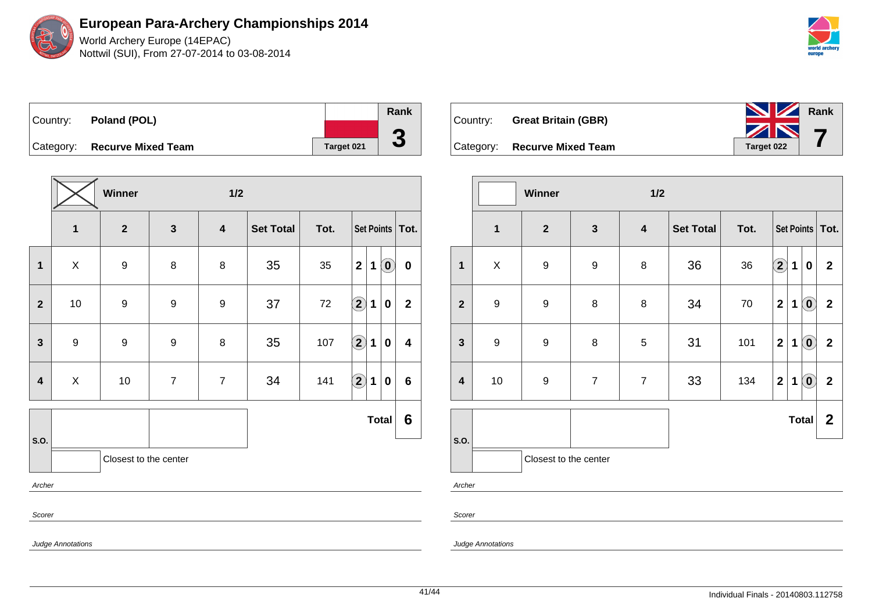World Archery Europe (14EPAC) Nottwil (SUI), From 27-07-2014 to 03-08-2014



Country: **Poland (POL)** Category: **Recurve Mixed Team Target 021 Rank 3**

|                         |                         | Winner                |                | 1/2                     |                  |      |                            |             |                            |                  |
|-------------------------|-------------------------|-----------------------|----------------|-------------------------|------------------|------|----------------------------|-------------|----------------------------|------------------|
|                         | $\overline{\mathbf{1}}$ | $\overline{2}$        | $\mathbf{3}$   | $\overline{\mathbf{4}}$ | <b>Set Total</b> | Tot. | Set Points   Tot.          |             |                            |                  |
| $\mathbf{1}$            | X                       | $\boldsymbol{9}$      | 8              | 8                       | 35               | 35   | $\mathbf{2}$               | $\mathbf 1$ | $\left( \mathbf{0}\right)$ | $\pmb{0}$        |
| $\overline{2}$          | 10                      | $\boldsymbol{9}$      | 9              | 9                       | 37               | 72   | $\bigcirc \!\! 2$          | $\mathbf 1$ | 0                          | $\mathbf{2}$     |
| $\mathbf{3}$            | $\boldsymbol{9}$        | $\boldsymbol{9}$      | 9              | $\bf 8$                 | 35               | 107  | $\mathbf{2}$               | 1           | 0                          | $\boldsymbol{4}$ |
| $\overline{\mathbf{4}}$ | $\mathsf X$             | $10$                  | $\overline{7}$ | $\overline{7}$          | 34               | 141  | $\left( \mathbf{2}\right)$ | 1           | 0                          | $6\phantom{1}$   |
|                         |                         |                       |                |                         |                  |      |                            |             | <b>Total</b>               | 6                |
| S.O.                    |                         | Closest to the center |                |                         |                  |      |                            |             |                            |                  |
| Archer                  |                         |                       |                |                         |                  |      |                            |             |                            |                  |
| Scorer                  |                         |                       |                |                         |                  |      |                            |             |                            |                  |
|                         | Judge Annotations       |                       |                |                         |                  |      |                            |             |                            |                  |



|                         |                  | Winner<br>1/2         |                  |                         |                  |      |                   |             |                                                         |                  |
|-------------------------|------------------|-----------------------|------------------|-------------------------|------------------|------|-------------------|-------------|---------------------------------------------------------|------------------|
|                         | $\mathbf{1}$     | $\overline{2}$        | $\mathbf{3}$     | $\overline{\mathbf{4}}$ | <b>Set Total</b> | Tot. | Set Points   Tot. |             |                                                         |                  |
| $\mathbf{1}$            | $\mathsf X$      | $\boldsymbol{9}$      | $\boldsymbol{9}$ | $\bf 8$                 | 36               | 36   | $\mathbf{2}$      | 1           | $\pmb{0}$                                               | $\mathbf{2}$     |
| $\mathbf{2}$            | $\boldsymbol{9}$ | $\boldsymbol{9}$      | 8                | 8                       | 34               | 70   | $\mathbf 2$       | $\mathbf 1$ | $\left( \mathbf{0}\right)$                              | $\mathbf 2$      |
| $\mathbf{3}$            | $\boldsymbol{9}$ | $\boldsymbol{9}$      | 8                | 5                       | 31               | 101  | $\mathbf{2}$      | 1           | $\left( \begin{matrix} \textbf{0} \end{matrix} \right)$ | $\mathbf{2}$     |
| $\overline{\mathbf{4}}$ | 10               | $\boldsymbol{9}$      | $\overline{7}$   | $\overline{7}$          | 33               | 134  | $\mathbf 2$       | 1           | $\left( \mathbf{0}\right)$                              | $\mathbf 2$      |
|                         |                  |                       |                  |                         |                  |      |                   |             | <b>Total</b>                                            | $\boldsymbol{2}$ |
| S.O.                    |                  | Closest to the center |                  |                         |                  |      |                   |             |                                                         |                  |
| Archer                  |                  |                       |                  |                         |                  |      |                   |             |                                                         |                  |

Scorer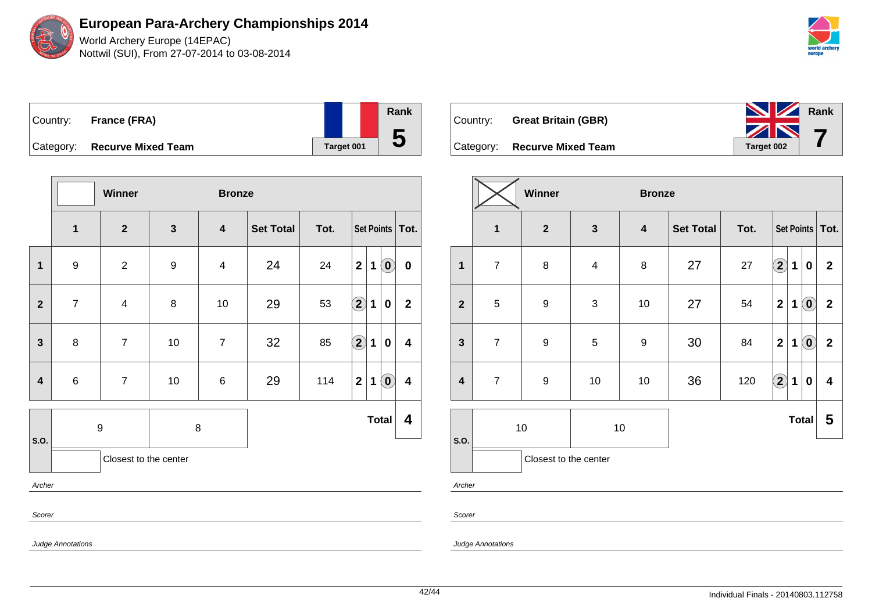Judge Annotations

**European Para-Archery Championships 2014** World Archery Europe (14EPAC)

Nottwil (SUI), From 27-07-2014 to 03-08-2014

| world archery<br>europe |  |
|-------------------------|--|

|           | Country: France (FRA)     |            | <b>Rank</b> |
|-----------|---------------------------|------------|-------------|
|           |                           |            |             |
| Category: | <b>Recurve Mixed Team</b> | Target 001 | O           |

|                         |                       | Winner         |                  | <b>Bronze</b>           |                  |      |                   |              |                                                         |                         |
|-------------------------|-----------------------|----------------|------------------|-------------------------|------------------|------|-------------------|--------------|---------------------------------------------------------|-------------------------|
|                         | $\mathbf{1}$          | $\mathbf{2}$   | $\mathbf{3}$     | $\overline{\mathbf{4}}$ | <b>Set Total</b> | Tot. | Set Points   Tot. |              |                                                         |                         |
| 1                       | $\boldsymbol{9}$      | $\sqrt{2}$     | $\boldsymbol{9}$ | $\overline{\mathbf{4}}$ | 24               | 24   | $\mathbf{2}$      | $\mathbf 1$  | $\left( \begin{matrix} \mathbf{0} \end{matrix} \right)$ | $\pmb{0}$               |
| $\mathbf{2}$            | $\overline{7}$        | $\overline{4}$ | 8                | 10                      | 29               | 53   | $\left( 2\right)$ | 1            | $\pmb{0}$                                               | $\mathbf{2}$            |
| $\mathbf{3}$            | 8                     | $\overline{7}$ | $10\,$           | $\overline{7}$          | 32               | 85   | $\left( 2\right)$ | $\mathbf{1}$ | $\pmb{0}$                                               | $\overline{\mathbf{4}}$ |
| $\overline{\mathbf{4}}$ | 6                     | $\overline{7}$ | 10               | $\,6$                   | 29               | 114  | $\mathbf{2}$      | 1            | $\left( \mathbf{0}\right)$                              | $\overline{\mathbf{4}}$ |
| S.O.                    |                       | 9              | 8                |                         |                  |      |                   |              | <b>Total</b>                                            | 4                       |
|                         | Closest to the center |                |                  |                         |                  |      |                   |              |                                                         |                         |
| Archer                  |                       |                |                  |                         |                  |      |                   |              |                                                         |                         |
| Scorer                  |                       |                |                  |                         |                  |      |                   |              |                                                         |                         |





Category: **Recurve Mixed Team Target 002** 

|                         |                       | Winner           |                         | <b>Bronze</b>           |                  |      |                         |              |                            |                  |
|-------------------------|-----------------------|------------------|-------------------------|-------------------------|------------------|------|-------------------------|--------------|----------------------------|------------------|
|                         | $\mathbf{1}$          | $\mathbf{2}$     | $\mathbf{3}$            | $\overline{\mathbf{4}}$ | <b>Set Total</b> | Tot. | Set Points   Tot.       |              |                            |                  |
| $\overline{\mathbf{1}}$ | $\boldsymbol{7}$      | $\bf 8$          | $\overline{\mathbf{4}}$ | $\bf 8$                 | 27               | 27   | $\boxed{2}$             | 1            | 0                          | $\boldsymbol{2}$ |
| $\mathbf{2}$            | 5                     | $\boldsymbol{9}$ | 3                       | 10                      | 27               | 54   | $\overline{\mathbf{2}}$ | 1            | $\left( \mathbf{0}\right)$ | $\mathbf{2}$     |
| $\mathbf{3}$            | $\overline{7}$        | $\boldsymbol{9}$ | $\sqrt{5}$              | $\boldsymbol{9}$        | 30               | 84   | $\mathbf{2}$            | 1            | $\left( \mathbf{0}\right)$ | $\mathbf 2$      |
| $\overline{\mathbf{4}}$ | $\overline{7}$        | $\boldsymbol{9}$ | $10$                    | 10                      | 36               | 120  | $\boxed{2}$             | $\mathbf{1}$ | $\bf{0}$                   | 4                |
| S.O.                    | 10<br>10              |                  |                         |                         |                  |      |                         |              | <b>Total</b>               | 5                |
|                         | Closest to the center |                  |                         |                         |                  |      |                         |              |                            |                  |
| Archer                  |                       |                  |                         |                         |                  |      |                         |              |                            |                  |

Scorer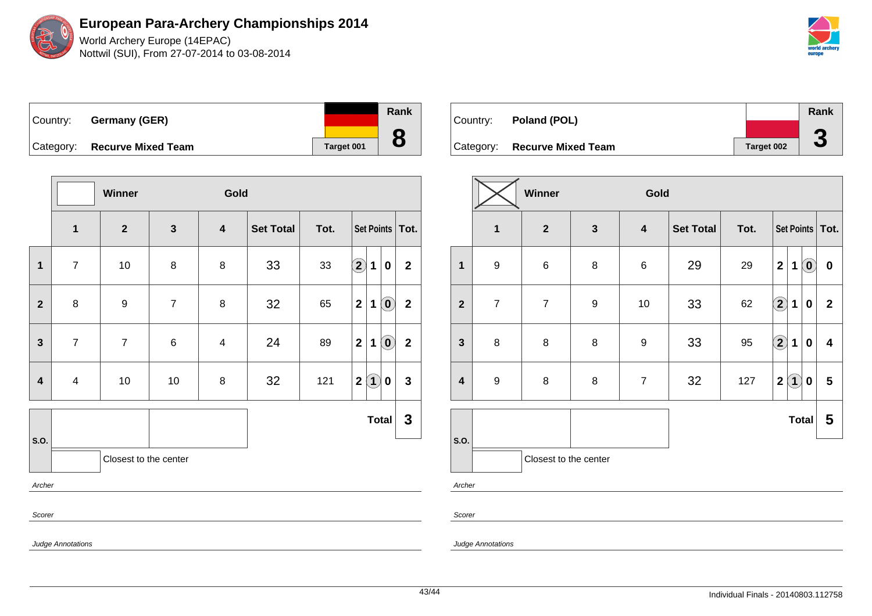World Archery Europe (14EPAC) Nottwil (SUI), From 27-07-2014 to 03-08-2014



| ∣Country: | Germany (GER)             |                   | Rank |
|-----------|---------------------------|-------------------|------|
| Category: | <b>Recurve Mixed Team</b> | <b>Target 001</b> |      |

|                         |                          | Winner                  |                | Gold                    |                  |      |                         |                   |                                                         |              |
|-------------------------|--------------------------|-------------------------|----------------|-------------------------|------------------|------|-------------------------|-------------------|---------------------------------------------------------|--------------|
|                         | $\mathbf{1}$             | $\overline{\mathbf{2}}$ | $\mathbf{3}$   | $\overline{\mathbf{4}}$ | <b>Set Total</b> | Tot. | Set Points   Tot.       |                   |                                                         |              |
| $\mathbf{1}$            | $\overline{7}$           | $10$                    | 8              | 8                       | 33               | 33   | $\Large 2$              | 1                 | $\boldsymbol{0}$                                        | $\mathbf{2}$ |
| $\mathbf{2}$            | 8                        | 9                       | $\overline{7}$ | 8                       | 32               | 65   | $\mathbf{2}$            | $\mathbf 1$       | $\left( \mathbf{0}\right)$                              | $\mathbf{2}$ |
| $\mathbf{3}$            | $\overline{7}$           | $\overline{7}$          | 6              | $\overline{\mathbf{4}}$ | 24               | 89   | $\overline{\mathbf{2}}$ | 1                 | $\left( \begin{matrix} \textbf{0} \end{matrix} \right)$ | $\mathbf 2$  |
| $\overline{\mathbf{4}}$ | $\overline{\mathbf{4}}$  | $10$                    | $10$           | $\bf 8$                 | 32               | 121  | $\mathbf 2$             | $\left( 1\right)$ | $\pmb{0}$                                               | $\mathbf{3}$ |
|                         |                          |                         |                |                         |                  |      |                         | <b>Total</b>      |                                                         | $\mathbf{3}$ |
| S.O.                    |                          | Closest to the center   |                |                         |                  |      |                         |                   |                                                         |              |
| Archer                  |                          |                         |                |                         |                  |      |                         |                   |                                                         |              |
| Scorer                  |                          |                         |                |                         |                  |      |                         |                   |                                                         |              |
|                         | <b>Judge Annotations</b> |                         |                |                         |                  |      |                         |                   |                                                         |              |

| Country: | Poland (POL)                 |            | Rank         |
|----------|------------------------------|------------|--------------|
|          |                              |            | ◚            |
|          | Category: Recurve Mixed Team | Target 002 | $\mathbf{v}$ |

|                         |                  | Winner<br>Gold        |                  |                         |                  |      |                                  |                   |                         |  |  |
|-------------------------|------------------|-----------------------|------------------|-------------------------|------------------|------|----------------------------------|-------------------|-------------------------|--|--|
|                         | $\mathbf{1}$     | $\mathbf{2}$          | $\mathbf{3}$     | $\overline{\mathbf{4}}$ | <b>Set Total</b> | Tot. | Set Points   Tot.                |                   |                         |  |  |
| $\mathbf 1$             | $\boldsymbol{9}$ | $\,6$                 | $\bf 8$          | $\,6\,$                 | 29               | 29   | $\overline{\mathbf{2}}$<br>1     | $\left( 0\right)$ | $\boldsymbol{0}$        |  |  |
| $\overline{2}$          | $\overline{7}$   | $\overline{7}$        | $\boldsymbol{9}$ | 10                      | 33               | 62   | $\bigcirc$<br>$\mathbf 1$        | $\bf{0}$          | $\overline{2}$          |  |  |
| 3                       | 8                | 8                     | 8                | $\boldsymbol{9}$        | 33               | 95   | $\bigcirc \!\! 2$<br>$\mathbf 1$ | $\mathbf 0$       | $\overline{\mathbf{4}}$ |  |  |
| $\overline{\mathbf{4}}$ | $\boldsymbol{9}$ | 8                     | 8                | $\boldsymbol{7}$        | 32               | 127  | $\bf(1)$<br>$\mathbf 2$          | 0                 | 5                       |  |  |
|                         |                  |                       |                  |                         |                  |      |                                  | <b>Total</b>      | 5                       |  |  |
| S.O.                    |                  | Closest to the center |                  |                         |                  |      |                                  |                   |                         |  |  |
| Archer                  |                  |                       |                  |                         |                  |      |                                  |                   |                         |  |  |

Scorer